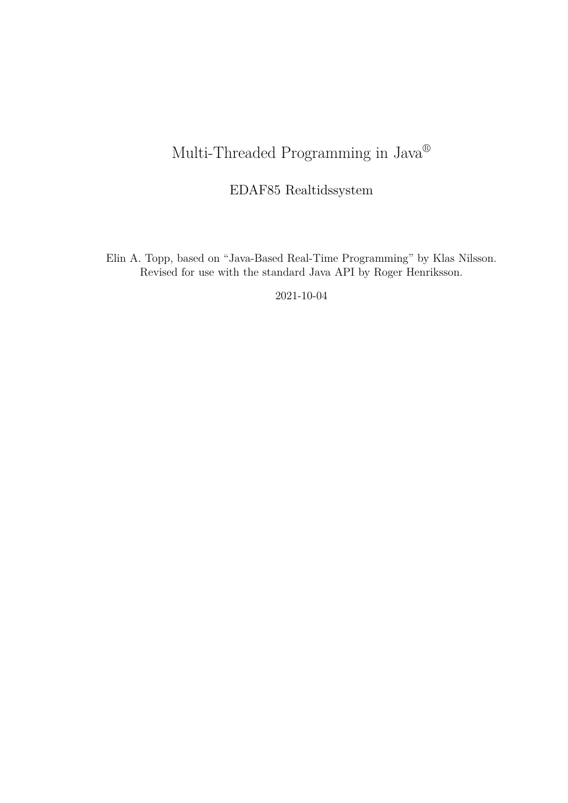# Multi-Threaded Programming in Java®

# EDAF85 Realtidssystem

Elin A. Topp, based on "Java-Based Real-Time Programming" by Klas Nilsson. Revised for use with the standard Java API by Roger Henriksson.

2021-10-04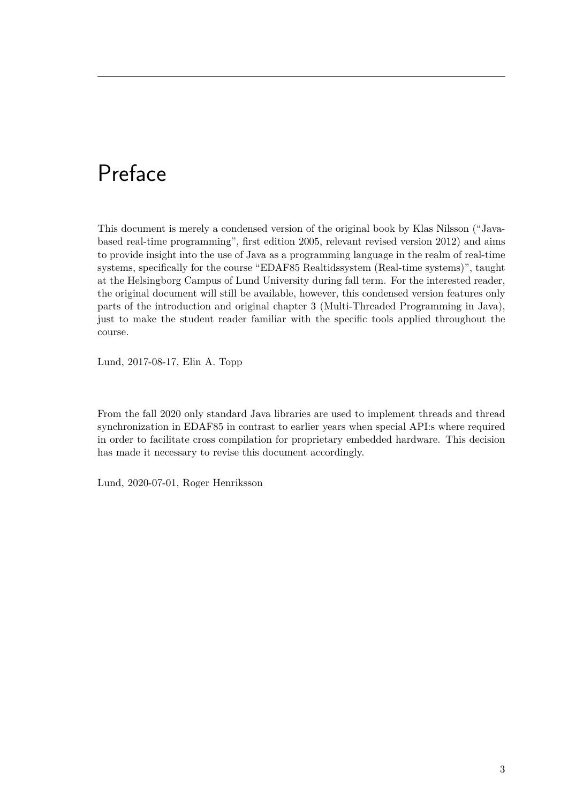# Preface

This document is merely a condensed version of the original book by Klas Nilsson ("Javabased real-time programming", first edition 2005, relevant revised version 2012) and aims to provide insight into the use of Java as a programming language in the realm of real-time systems, specifically for the course "EDAF85 Realtidssystem (Real-time systems)", taught at the Helsingborg Campus of Lund University during fall term. For the interested reader, the original document will still be available, however, this condensed version features only parts of the introduction and original chapter 3 (Multi-Threaded Programming in Java), just to make the student reader familiar with the specific tools applied throughout the course.

Lund, 2017-08-17, Elin A. Topp

From the fall 2020 only standard Java libraries are used to implement threads and thread synchronization in EDAF85 in contrast to earlier years when special API:s where required in order to facilitate cross compilation for proprietary embedded hardware. This decision has made it necessary to revise this document accordingly.

Lund, 2020-07-01, Roger Henriksson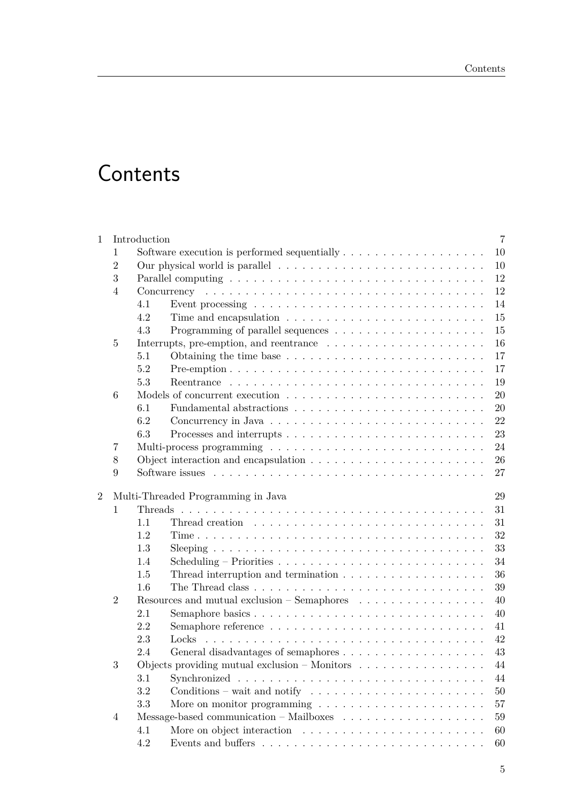# **Contents**

| $\mathbf 1$    |                | Introduction                                                                |                                                                                          | $\overline{7}$ |  |  |  |  |  |
|----------------|----------------|-----------------------------------------------------------------------------|------------------------------------------------------------------------------------------|----------------|--|--|--|--|--|
|                | 1              | 10                                                                          |                                                                                          |                |  |  |  |  |  |
|                | $\overline{2}$ |                                                                             | 10                                                                                       |                |  |  |  |  |  |
|                | 3              |                                                                             |                                                                                          |                |  |  |  |  |  |
|                | $\overline{4}$ |                                                                             |                                                                                          | 12             |  |  |  |  |  |
|                |                | 4.1                                                                         | Event processing $\dots \dots \dots \dots \dots \dots \dots \dots \dots \dots \dots$     | 14             |  |  |  |  |  |
|                |                | 4.2                                                                         |                                                                                          | 15             |  |  |  |  |  |
|                |                | 4.3                                                                         |                                                                                          | 15             |  |  |  |  |  |
|                | $\overline{5}$ |                                                                             |                                                                                          | 16             |  |  |  |  |  |
|                |                | 5.1                                                                         |                                                                                          | 17             |  |  |  |  |  |
|                |                | 5.2                                                                         |                                                                                          | 17             |  |  |  |  |  |
|                |                | 5.3                                                                         |                                                                                          | 19             |  |  |  |  |  |
|                | 6              |                                                                             |                                                                                          | 20             |  |  |  |  |  |
|                |                | 6.1                                                                         |                                                                                          | 20             |  |  |  |  |  |
|                |                | 6.2                                                                         |                                                                                          | 22             |  |  |  |  |  |
|                |                | 6.3                                                                         |                                                                                          | 23             |  |  |  |  |  |
|                | 7              |                                                                             |                                                                                          | 24             |  |  |  |  |  |
|                | 8              |                                                                             | 26                                                                                       |                |  |  |  |  |  |
|                | 9              |                                                                             | 27                                                                                       |                |  |  |  |  |  |
|                |                |                                                                             |                                                                                          |                |  |  |  |  |  |
| $\overline{2}$ |                |                                                                             | Multi-Threaded Programming in Java                                                       | 29             |  |  |  |  |  |
|                | 1              |                                                                             |                                                                                          | 31             |  |  |  |  |  |
|                |                | 1.1                                                                         |                                                                                          | 31             |  |  |  |  |  |
|                |                | 1.2                                                                         |                                                                                          | 32             |  |  |  |  |  |
|                |                | 1.3                                                                         |                                                                                          | 33             |  |  |  |  |  |
|                |                | 1.4                                                                         | Scheduling – Priorities $\ldots \ldots \ldots \ldots \ldots \ldots \ldots \ldots \ldots$ | 34             |  |  |  |  |  |
|                |                | 1.5                                                                         | Thread interruption and termination $\ldots \ldots \ldots \ldots \ldots \ldots$          | 36             |  |  |  |  |  |
|                |                | 1.6                                                                         |                                                                                          | 39             |  |  |  |  |  |
|                | $\overline{2}$ | Resources and mutual exclusion – Semaphores $\dots \dots \dots \dots \dots$ | 40                                                                                       |                |  |  |  |  |  |
|                |                | 2.1                                                                         |                                                                                          | 40             |  |  |  |  |  |
|                |                | 2.2                                                                         |                                                                                          | 41             |  |  |  |  |  |
|                |                | 2.3                                                                         | Locks                                                                                    | 42             |  |  |  |  |  |
|                |                | 2.4                                                                         |                                                                                          | 43             |  |  |  |  |  |
|                | 3              |                                                                             | Objects providing mutual exclusion $-$ Monitors $\dots \dots \dots \dots \dots$          | 44             |  |  |  |  |  |
|                |                | 3.1                                                                         |                                                                                          | 44             |  |  |  |  |  |
|                |                | 3.2                                                                         | Conditions – wait and notify $\dots \dots \dots \dots \dots \dots \dots \dots$           | 50             |  |  |  |  |  |
|                |                | 3.3                                                                         | More on monitor programming $\ldots \ldots \ldots \ldots \ldots \ldots \ldots$           | 57             |  |  |  |  |  |
|                | $\overline{4}$ |                                                                             |                                                                                          | 59             |  |  |  |  |  |
|                |                | 4.1                                                                         |                                                                                          | 60             |  |  |  |  |  |
|                |                | 4.2                                                                         |                                                                                          | 60             |  |  |  |  |  |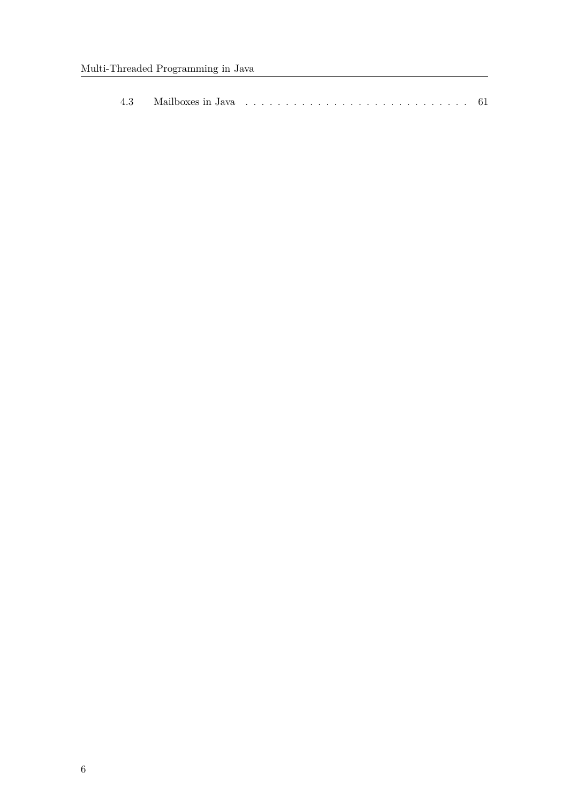| 4.3 |
|-----|
|-----|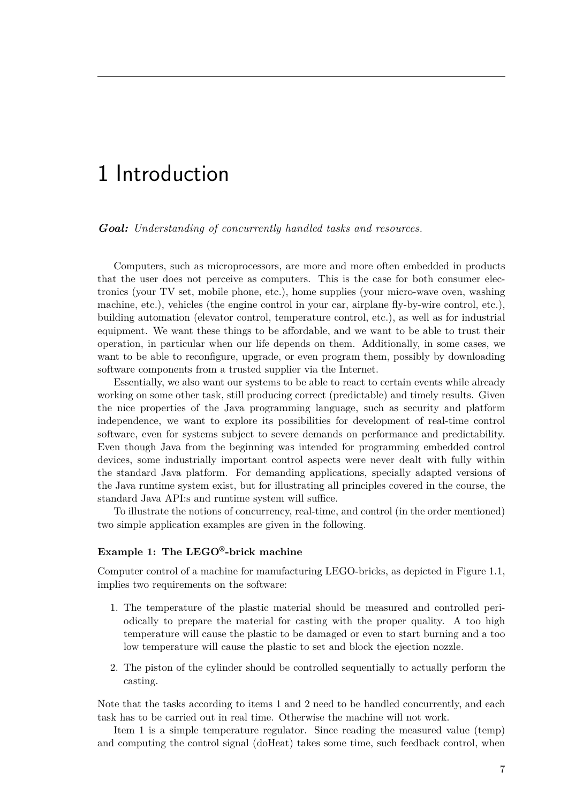# 1 Introduction

*Goal: Understanding of concurrently handled tasks and resources.*

Computers, such as microprocessors, are more and more often embedded in products that the user does not perceive as computers. This is the case for both consumer electronics (your TV set, mobile phone, etc.), home supplies (your micro-wave oven, washing machine, etc.), vehicles (the engine control in your car, airplane fly-by-wire control, etc.), building automation (elevator control, temperature control, etc.), as well as for industrial equipment. We want these things to be affordable, and we want to be able to trust their operation, in particular when our life depends on them. Additionally, in some cases, we want to be able to reconfigure, upgrade, or even program them, possibly by downloading software components from a trusted supplier via the Internet.

Essentially, we also want our systems to be able to react to certain events while already working on some other task, still producing correct (predictable) and timely results. Given the nice properties of the Java programming language, such as security and platform independence, we want to explore its possibilities for development of real-time control software, even for systems subject to severe demands on performance and predictability. Even though Java from the beginning was intended for programming embedded control devices, some industrially important control aspects were never dealt with fully within the standard Java platform. For demanding applications, specially adapted versions of the Java runtime system exist, but for illustrating all principles covered in the course, the standard Java API:s and runtime system will suffice.

To illustrate the notions of concurrency, real-time, and control (in the order mentioned) two simple application examples are given in the following.

# **Example 1: The LEGO®-brick machine**

Computer control of a machine for manufacturing LEGO-bricks, as depicted in Figure 1.1, implies two requirements on the software:

- 1. The temperature of the plastic material should be measured and controlled periodically to prepare the material for casting with the proper quality. A too high temperature will cause the plastic to be damaged or even to start burning and a too low temperature will cause the plastic to set and block the ejection nozzle.
- 2. The piston of the cylinder should be controlled sequentially to actually perform the casting.

Note that the tasks according to items 1 and 2 need to be handled concurrently, and each task has to be carried out in real time. Otherwise the machine will not work.

Item 1 is a simple temperature regulator. Since reading the measured value (temp) and computing the control signal (doHeat) takes some time, such feedback control, when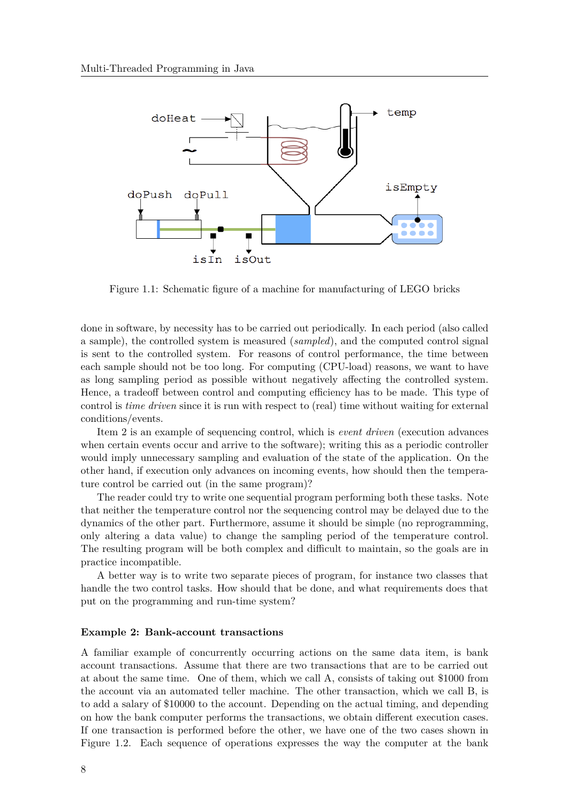

Figure 1.1: Schematic figure of a machine for manufacturing of LEGO bricks

done in software, by necessity has to be carried out periodically. In each period (also called a sample), the controlled system is measured (*sampled*), and the computed control signal is sent to the controlled system. For reasons of control performance, the time between each sample should not be too long. For computing (CPU-load) reasons, we want to have as long sampling period as possible without negatively affecting the controlled system. Hence, a tradeoff between control and computing efficiency has to be made. This type of control is *time driven* since it is run with respect to (real) time without waiting for external conditions/events.

Item 2 is an example of sequencing control, which is *event driven* (execution advances when certain events occur and arrive to the software); writing this as a periodic controller would imply unnecessary sampling and evaluation of the state of the application. On the other hand, if execution only advances on incoming events, how should then the temperature control be carried out (in the same program)?

The reader could try to write one sequential program performing both these tasks. Note that neither the temperature control nor the sequencing control may be delayed due to the dynamics of the other part. Furthermore, assume it should be simple (no reprogramming, only altering a data value) to change the sampling period of the temperature control. The resulting program will be both complex and difficult to maintain, so the goals are in practice incompatible.

A better way is to write two separate pieces of program, for instance two classes that handle the two control tasks. How should that be done, and what requirements does that put on the programming and run-time system?

#### **Example 2: Bank-account transactions**

A familiar example of concurrently occurring actions on the same data item, is bank account transactions. Assume that there are two transactions that are to be carried out at about the same time. One of them, which we call A, consists of taking out \$1000 from the account via an automated teller machine. The other transaction, which we call B, is to add a salary of \$10000 to the account. Depending on the actual timing, and depending on how the bank computer performs the transactions, we obtain different execution cases. If one transaction is performed before the other, we have one of the two cases shown in Figure 1.2. Each sequence of operations expresses the way the computer at the bank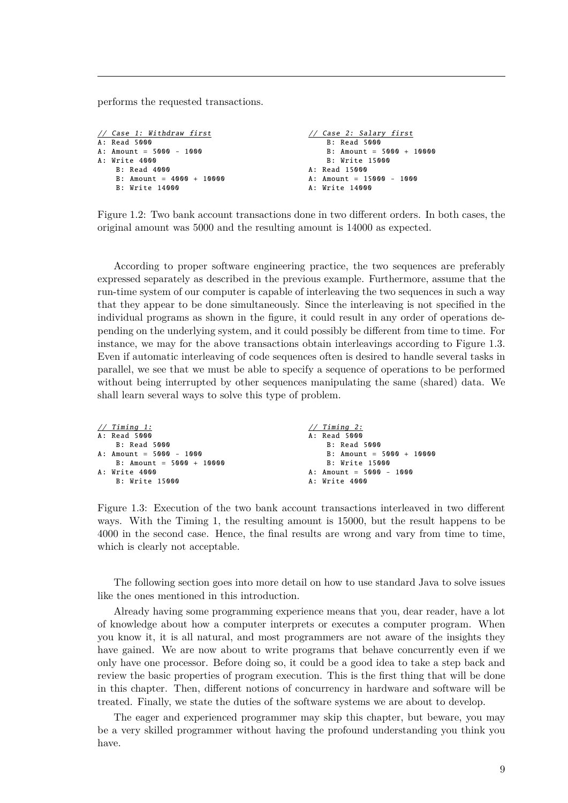performs the requested transactions.

```
// Case 1: Withdraw first
A: Read 5000
A: Amount = 5000 - 1000A: Write 4000
   B: Read 4000
    B: Amount = 4000 + 10000
    B: Write 14000
                                               // Case 2: Salary first
                                                   B: Read 5000
                                                   B: Amount = 5000 + 10000
                                                   B: Write 15000
                                               A: Read 15000
                                               A: Amount = 15000 - 1000
                                               A: Write 14000
```
Figure 1.2: Two bank account transactions done in two different orders. In both cases, the original amount was 5000 and the resulting amount is 14000 as expected.

According to proper software engineering practice, the two sequences are preferably expressed separately as described in the previous example. Furthermore, assume that the run-time system of our computer is capable of interleaving the two sequences in such a way that they appear to be done simultaneously. Since the interleaving is not specified in the individual programs as shown in the figure, it could result in any order of operations depending on the underlying system, and it could possibly be different from time to time. For instance, we may for the above transactions obtain interleavings according to Figure 1.3. Even if automatic interleaving of code sequences often is desired to handle several tasks in parallel, we see that we must be able to specify a sequence of operations to be performed without being interrupted by other sequences manipulating the same (shared) data. We shall learn several ways to solve this type of problem.

```
// Timing 1:
A: Read 5000
    B: Read 5000
A: Amount = 5000 - 1000
    B: Amount = 5000 + 10000
A: Write 4000
    B: Write 15000
                                                // Timing 2:
                                                A: Read 5000
                                                    B: Read 5000
                                                    B: Amount = 5000 + 10000B: Write 15000
                                                A: Amount = 5000 - 1000A: Write 4000
```
Figure 1.3: Execution of the two bank account transactions interleaved in two different ways. With the Timing 1, the resulting amount is 15000, but the result happens to be 4000 in the second case. Hence, the final results are wrong and vary from time to time, which is clearly not acceptable.

The following section goes into more detail on how to use standard Java to solve issues like the ones mentioned in this introduction.

Already having some programming experience means that you, dear reader, have a lot of knowledge about how a computer interprets or executes a computer program. When you know it, it is all natural, and most programmers are not aware of the insights they have gained. We are now about to write programs that behave concurrently even if we only have one processor. Before doing so, it could be a good idea to take a step back and review the basic properties of program execution. This is the first thing that will be done in this chapter. Then, different notions of concurrency in hardware and software will be treated. Finally, we state the duties of the software systems we are about to develop.

The eager and experienced programmer may skip this chapter, but beware, you may be a very skilled programmer without having the profound understanding you think you have.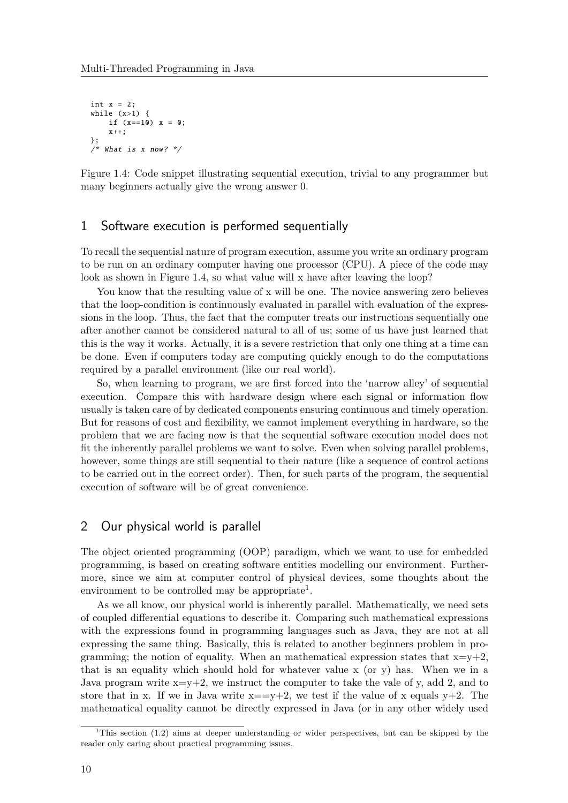```
int x = 2:
while (x>1) {
    if (x == 10) x = 0;
    x++;
};
/* What is x now? */
```
Figure 1.4: Code snippet illustrating sequential execution, trivial to any programmer but many beginners actually give the wrong answer 0.

# 1 Software execution is performed sequentially

To recall the sequential nature of program execution, assume you write an ordinary program to be run on an ordinary computer having one processor (CPU). A piece of the code may look as shown in Figure 1.4, so what value will x have after leaving the loop?

You know that the resulting value of x will be one. The novice answering zero believes that the loop-condition is continuously evaluated in parallel with evaluation of the expressions in the loop. Thus, the fact that the computer treats our instructions sequentially one after another cannot be considered natural to all of us; some of us have just learned that this is the way it works. Actually, it is a severe restriction that only one thing at a time can be done. Even if computers today are computing quickly enough to do the computations required by a parallel environment (like our real world).

So, when learning to program, we are first forced into the 'narrow alley' of sequential execution. Compare this with hardware design where each signal or information flow usually is taken care of by dedicated components ensuring continuous and timely operation. But for reasons of cost and flexibility, we cannot implement everything in hardware, so the problem that we are facing now is that the sequential software execution model does not fit the inherently parallel problems we want to solve. Even when solving parallel problems, however, some things are still sequential to their nature (like a sequence of control actions to be carried out in the correct order). Then, for such parts of the program, the sequential execution of software will be of great convenience.

# 2 Our physical world is parallel

The object oriented programming (OOP) paradigm, which we want to use for embedded programming, is based on creating software entities modelling our environment. Furthermore, since we aim at computer control of physical devices, some thoughts about the environment to be controlled may be appropriate<sup>1</sup>.

As we all know, our physical world is inherently parallel. Mathematically, we need sets of coupled differential equations to describe it. Comparing such mathematical expressions with the expressions found in programming languages such as Java, they are not at all expressing the same thing. Basically, this is related to another beginners problem in programming; the notion of equality. When an mathematical expression states that  $x=y+2$ , that is an equality which should hold for whatever value x (or y) has. When we in a Java program write  $x=y+2$ , we instruct the computer to take the vale of y, add 2, and to store that in x. If we in Java write  $x = v+2$ , we test if the value of x equals  $v+2$ . The mathematical equality cannot be directly expressed in Java (or in any other widely used

<sup>&</sup>lt;sup>1</sup>This section (1.2) aims at deeper understanding or wider perspectives, but can be skipped by the reader only caring about practical programming issues.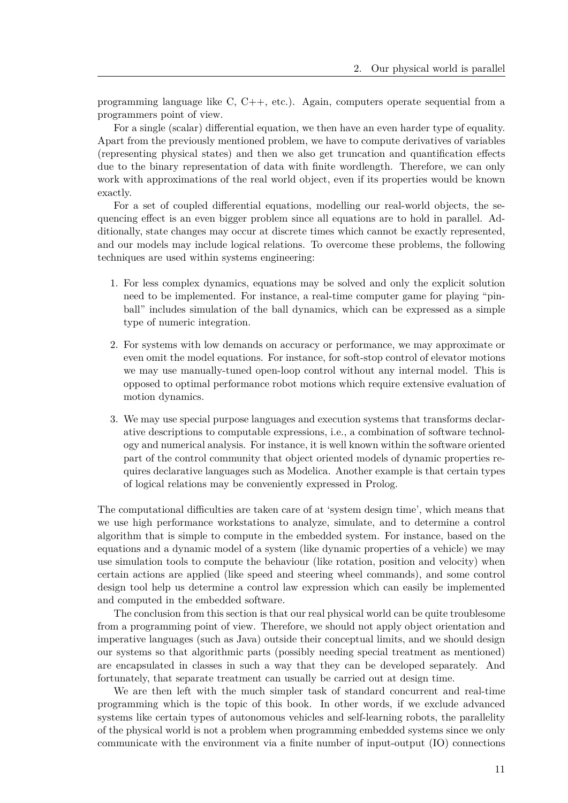programming language like C, C++, etc.). Again, computers operate sequential from a programmers point of view.

For a single (scalar) differential equation, we then have an even harder type of equality. Apart from the previously mentioned problem, we have to compute derivatives of variables (representing physical states) and then we also get truncation and quantification effects due to the binary representation of data with finite wordlength. Therefore, we can only work with approximations of the real world object, even if its properties would be known exactly.

For a set of coupled differential equations, modelling our real-world objects, the sequencing effect is an even bigger problem since all equations are to hold in parallel. Additionally, state changes may occur at discrete times which cannot be exactly represented, and our models may include logical relations. To overcome these problems, the following techniques are used within systems engineering:

- 1. For less complex dynamics, equations may be solved and only the explicit solution need to be implemented. For instance, a real-time computer game for playing "pinball" includes simulation of the ball dynamics, which can be expressed as a simple type of numeric integration.
- 2. For systems with low demands on accuracy or performance, we may approximate or even omit the model equations. For instance, for soft-stop control of elevator motions we may use manually-tuned open-loop control without any internal model. This is opposed to optimal performance robot motions which require extensive evaluation of motion dynamics.
- 3. We may use special purpose languages and execution systems that transforms declarative descriptions to computable expressions, i.e., a combination of software technology and numerical analysis. For instance, it is well known within the software oriented part of the control community that object oriented models of dynamic properties requires declarative languages such as Modelica. Another example is that certain types of logical relations may be conveniently expressed in Prolog.

The computational difficulties are taken care of at 'system design time', which means that we use high performance workstations to analyze, simulate, and to determine a control algorithm that is simple to compute in the embedded system. For instance, based on the equations and a dynamic model of a system (like dynamic properties of a vehicle) we may use simulation tools to compute the behaviour (like rotation, position and velocity) when certain actions are applied (like speed and steering wheel commands), and some control design tool help us determine a control law expression which can easily be implemented and computed in the embedded software.

The conclusion from this section is that our real physical world can be quite troublesome from a programming point of view. Therefore, we should not apply object orientation and imperative languages (such as Java) outside their conceptual limits, and we should design our systems so that algorithmic parts (possibly needing special treatment as mentioned) are encapsulated in classes in such a way that they can be developed separately. And fortunately, that separate treatment can usually be carried out at design time.

We are then left with the much simpler task of standard concurrent and real-time programming which is the topic of this book. In other words, if we exclude advanced systems like certain types of autonomous vehicles and self-learning robots, the parallelity of the physical world is not a problem when programming embedded systems since we only communicate with the environment via a finite number of input-output (IO) connections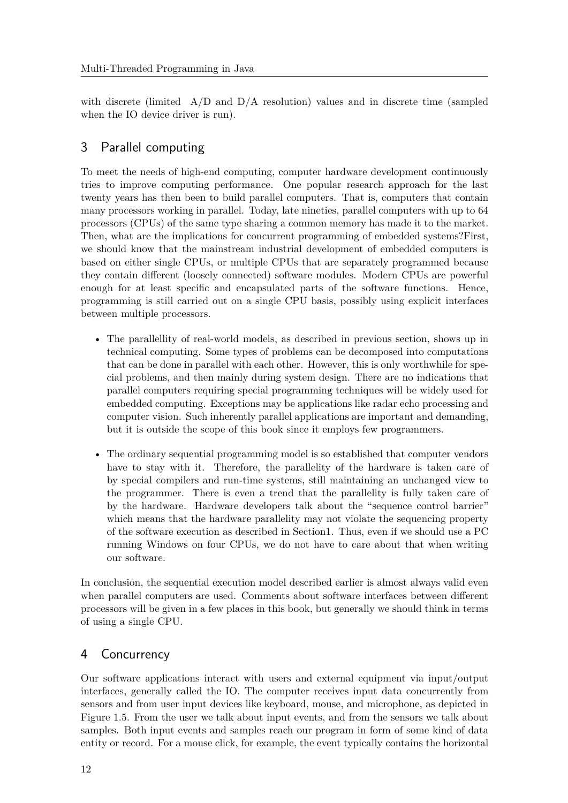with discrete (limited  $A/D$  and  $D/A$  resolution) values and in discrete time (sampled when the IO device driver is run).

# 3 Parallel computing

To meet the needs of high-end computing, computer hardware development continuously tries to improve computing performance. One popular research approach for the last twenty years has then been to build parallel computers. That is, computers that contain many processors working in parallel. Today, late nineties, parallel computers with up to 64 processors (CPUs) of the same type sharing a common memory has made it to the market. Then, what are the implications for concurrent programming of embedded systems?First, we should know that the mainstream industrial development of embedded computers is based on either single CPUs, or multiple CPUs that are separately programmed because they contain different (loosely connected) software modules. Modern CPUs are powerful enough for at least specific and encapsulated parts of the software functions. Hence, programming is still carried out on a single CPU basis, possibly using explicit interfaces between multiple processors.

- The parallellity of real-world models, as described in previous section, shows up in technical computing. Some types of problems can be decomposed into computations that can be done in parallel with each other. However, this is only worthwhile for special problems, and then mainly during system design. There are no indications that parallel computers requiring special programming techniques will be widely used for embedded computing. Exceptions may be applications like radar echo processing and computer vision. Such inherently parallel applications are important and demanding, but it is outside the scope of this book since it employs few programmers.
- The ordinary sequential programming model is so established that computer vendors have to stay with it. Therefore, the parallelity of the hardware is taken care of by special compilers and run-time systems, still maintaining an unchanged view to the programmer. There is even a trend that the parallelity is fully taken care of by the hardware. Hardware developers talk about the "sequence control barrier" which means that the hardware parallelity may not violate the sequencing property of the software execution as described in Section1. Thus, even if we should use a PC running Windows on four CPUs, we do not have to care about that when writing our software.

In conclusion, the sequential execution model described earlier is almost always valid even when parallel computers are used. Comments about software interfaces between different processors will be given in a few places in this book, but generally we should think in terms of using a single CPU.

# 4 Concurrency

Our software applications interact with users and external equipment via input/output interfaces, generally called the IO. The computer receives input data concurrently from sensors and from user input devices like keyboard, mouse, and microphone, as depicted in Figure 1.5. From the user we talk about input events, and from the sensors we talk about samples. Both input events and samples reach our program in form of some kind of data entity or record. For a mouse click, for example, the event typically contains the horizontal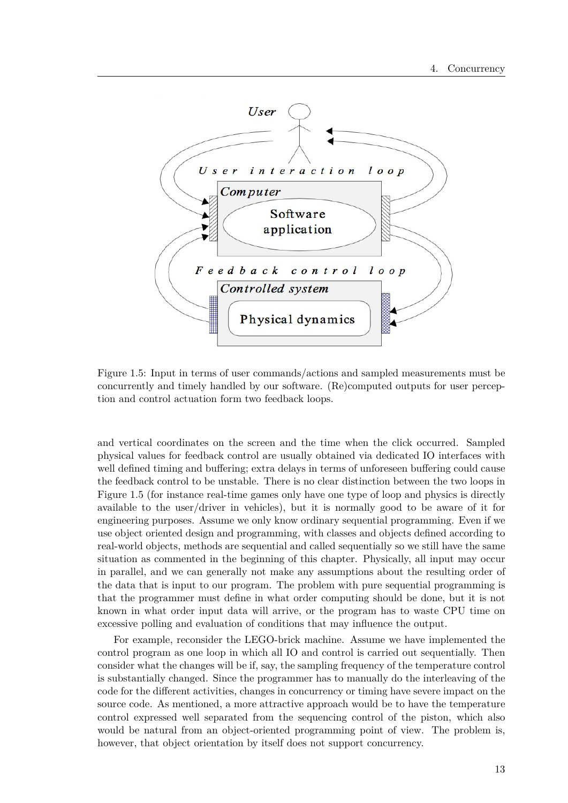

Figure 1.5: Input in terms of user commands/actions and sampled measurements must be concurrently and timely handled by our software. (Re)computed outputs for user perception and control actuation form two feedback loops.

and vertical coordinates on the screen and the time when the click occurred. Sampled physical values for feedback control are usually obtained via dedicated IO interfaces with well defined timing and buffering; extra delays in terms of unforeseen buffering could cause the feedback control to be unstable. There is no clear distinction between the two loops in Figure 1.5 (for instance real-time games only have one type of loop and physics is directly available to the user/driver in vehicles), but it is normally good to be aware of it for engineering purposes. Assume we only know ordinary sequential programming. Even if we use object oriented design and programming, with classes and objects defined according to real-world objects, methods are sequential and called sequentially so we still have the same situation as commented in the beginning of this chapter. Physically, all input may occur in parallel, and we can generally not make any assumptions about the resulting order of the data that is input to our program. The problem with pure sequential programming is that the programmer must define in what order computing should be done, but it is not known in what order input data will arrive, or the program has to waste CPU time on excessive polling and evaluation of conditions that may influence the output.

For example, reconsider the LEGO-brick machine. Assume we have implemented the control program as one loop in which all IO and control is carried out sequentially. Then consider what the changes will be if, say, the sampling frequency of the temperature control is substantially changed. Since the programmer has to manually do the interleaving of the code for the different activities, changes in concurrency or timing have severe impact on the source code. As mentioned, a more attractive approach would be to have the temperature control expressed well separated from the sequencing control of the piston, which also would be natural from an object-oriented programming point of view. The problem is, however, that object orientation by itself does not support concurrency.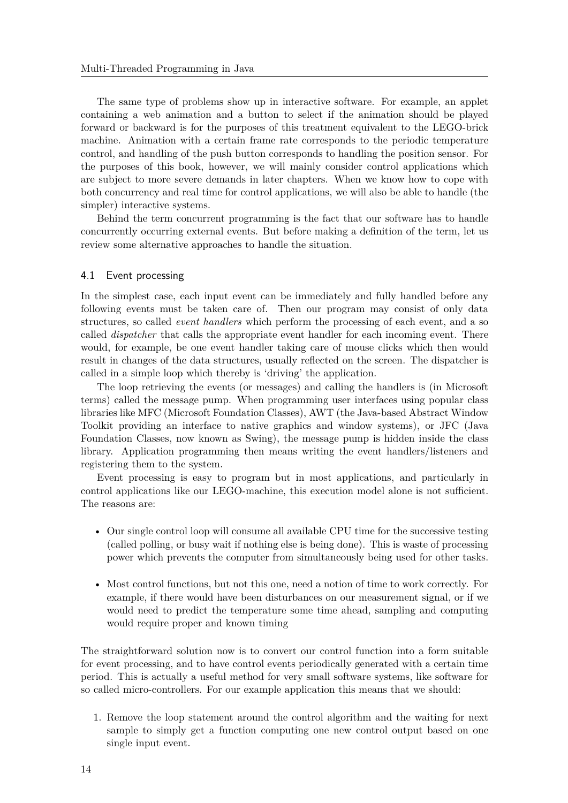The same type of problems show up in interactive software. For example, an applet containing a web animation and a button to select if the animation should be played forward or backward is for the purposes of this treatment equivalent to the LEGO-brick machine. Animation with a certain frame rate corresponds to the periodic temperature control, and handling of the push button corresponds to handling the position sensor. For the purposes of this book, however, we will mainly consider control applications which are subject to more severe demands in later chapters. When we know how to cope with both concurrency and real time for control applications, we will also be able to handle (the simpler) interactive systems.

Behind the term concurrent programming is the fact that our software has to handle concurrently occurring external events. But before making a definition of the term, let us review some alternative approaches to handle the situation.

### 4.1 Event processing

In the simplest case, each input event can be immediately and fully handled before any following events must be taken care of. Then our program may consist of only data structures, so called *event handlers* which perform the processing of each event, and a so called *dispatcher* that calls the appropriate event handler for each incoming event. There would, for example, be one event handler taking care of mouse clicks which then would result in changes of the data structures, usually reflected on the screen. The dispatcher is called in a simple loop which thereby is 'driving' the application.

The loop retrieving the events (or messages) and calling the handlers is (in Microsoft terms) called the message pump. When programming user interfaces using popular class libraries like MFC (Microsoft Foundation Classes), AWT (the Java-based Abstract Window Toolkit providing an interface to native graphics and window systems), or JFC (Java Foundation Classes, now known as Swing), the message pump is hidden inside the class library. Application programming then means writing the event handlers/listeners and registering them to the system.

Event processing is easy to program but in most applications, and particularly in control applications like our LEGO-machine, this execution model alone is not sufficient. The reasons are:

- Our single control loop will consume all available CPU time for the successive testing (called polling, or busy wait if nothing else is being done). This is waste of processing power which prevents the computer from simultaneously being used for other tasks.
- Most control functions, but not this one, need a notion of time to work correctly. For example, if there would have been disturbances on our measurement signal, or if we would need to predict the temperature some time ahead, sampling and computing would require proper and known timing

The straightforward solution now is to convert our control function into a form suitable for event processing, and to have control events periodically generated with a certain time period. This is actually a useful method for very small software systems, like software for so called micro-controllers. For our example application this means that we should:

1. Remove the loop statement around the control algorithm and the waiting for next sample to simply get a function computing one new control output based on one single input event.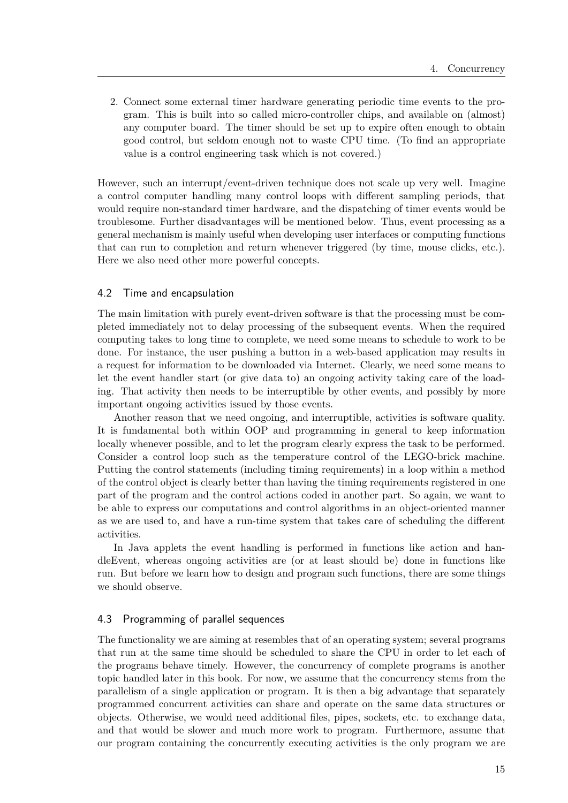2. Connect some external timer hardware generating periodic time events to the program. This is built into so called micro-controller chips, and available on (almost) any computer board. The timer should be set up to expire often enough to obtain good control, but seldom enough not to waste CPU time. (To find an appropriate value is a control engineering task which is not covered.)

However, such an interrupt/event-driven technique does not scale up very well. Imagine a control computer handling many control loops with different sampling periods, that would require non-standard timer hardware, and the dispatching of timer events would be troublesome. Further disadvantages will be mentioned below. Thus, event processing as a general mechanism is mainly useful when developing user interfaces or computing functions that can run to completion and return whenever triggered (by time, mouse clicks, etc.). Here we also need other more powerful concepts.

#### 4.2 Time and encapsulation

The main limitation with purely event-driven software is that the processing must be completed immediately not to delay processing of the subsequent events. When the required computing takes to long time to complete, we need some means to schedule to work to be done. For instance, the user pushing a button in a web-based application may results in a request for information to be downloaded via Internet. Clearly, we need some means to let the event handler start (or give data to) an ongoing activity taking care of the loading. That activity then needs to be interruptible by other events, and possibly by more important ongoing activities issued by those events.

Another reason that we need ongoing, and interruptible, activities is software quality. It is fundamental both within OOP and programming in general to keep information locally whenever possible, and to let the program clearly express the task to be performed. Consider a control loop such as the temperature control of the LEGO-brick machine. Putting the control statements (including timing requirements) in a loop within a method of the control object is clearly better than having the timing requirements registered in one part of the program and the control actions coded in another part. So again, we want to be able to express our computations and control algorithms in an object-oriented manner as we are used to, and have a run-time system that takes care of scheduling the different activities.

In Java applets the event handling is performed in functions like action and handleEvent, whereas ongoing activities are (or at least should be) done in functions like run. But before we learn how to design and program such functions, there are some things we should observe.

#### 4.3 Programming of parallel sequences

The functionality we are aiming at resembles that of an operating system; several programs that run at the same time should be scheduled to share the CPU in order to let each of the programs behave timely. However, the concurrency of complete programs is another topic handled later in this book. For now, we assume that the concurrency stems from the parallelism of a single application or program. It is then a big advantage that separately programmed concurrent activities can share and operate on the same data structures or objects. Otherwise, we would need additional files, pipes, sockets, etc. to exchange data, and that would be slower and much more work to program. Furthermore, assume that our program containing the concurrently executing activities is the only program we are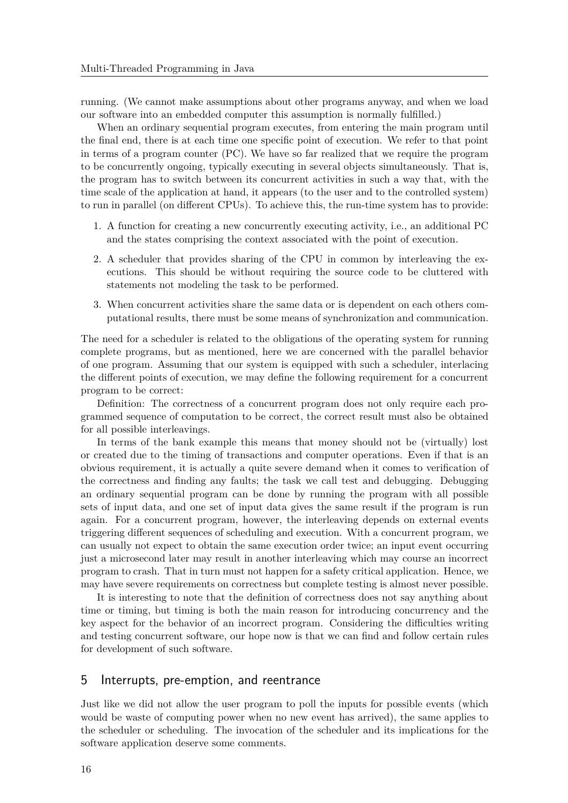running. (We cannot make assumptions about other programs anyway, and when we load our software into an embedded computer this assumption is normally fulfilled.)

When an ordinary sequential program executes, from entering the main program until the final end, there is at each time one specific point of execution. We refer to that point in terms of a program counter (PC). We have so far realized that we require the program to be concurrently ongoing, typically executing in several objects simultaneously. That is, the program has to switch between its concurrent activities in such a way that, with the time scale of the application at hand, it appears (to the user and to the controlled system) to run in parallel (on different CPUs). To achieve this, the run-time system has to provide:

- 1. A function for creating a new concurrently executing activity, i.e., an additional PC and the states comprising the context associated with the point of execution.
- 2. A scheduler that provides sharing of the CPU in common by interleaving the executions. This should be without requiring the source code to be cluttered with statements not modeling the task to be performed.
- 3. When concurrent activities share the same data or is dependent on each others computational results, there must be some means of synchronization and communication.

The need for a scheduler is related to the obligations of the operating system for running complete programs, but as mentioned, here we are concerned with the parallel behavior of one program. Assuming that our system is equipped with such a scheduler, interlacing the different points of execution, we may define the following requirement for a concurrent program to be correct:

Definition: The correctness of a concurrent program does not only require each programmed sequence of computation to be correct, the correct result must also be obtained for all possible interleavings.

In terms of the bank example this means that money should not be (virtually) lost or created due to the timing of transactions and computer operations. Even if that is an obvious requirement, it is actually a quite severe demand when it comes to verification of the correctness and finding any faults; the task we call test and debugging. Debugging an ordinary sequential program can be done by running the program with all possible sets of input data, and one set of input data gives the same result if the program is run again. For a concurrent program, however, the interleaving depends on external events triggering different sequences of scheduling and execution. With a concurrent program, we can usually not expect to obtain the same execution order twice; an input event occurring just a microsecond later may result in another interleaving which may course an incorrect program to crash. That in turn must not happen for a safety critical application. Hence, we may have severe requirements on correctness but complete testing is almost never possible.

It is interesting to note that the definition of correctness does not say anything about time or timing, but timing is both the main reason for introducing concurrency and the key aspect for the behavior of an incorrect program. Considering the difficulties writing and testing concurrent software, our hope now is that we can find and follow certain rules for development of such software.

### 5 Interrupts, pre-emption, and reentrance

Just like we did not allow the user program to poll the inputs for possible events (which would be waste of computing power when no new event has arrived), the same applies to the scheduler or scheduling. The invocation of the scheduler and its implications for the software application deserve some comments.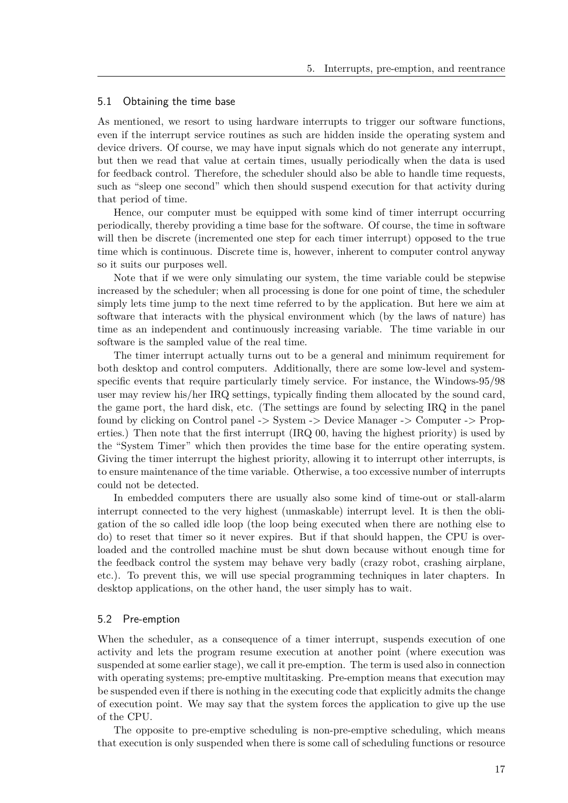#### 5.1 Obtaining the time base

As mentioned, we resort to using hardware interrupts to trigger our software functions, even if the interrupt service routines as such are hidden inside the operating system and device drivers. Of course, we may have input signals which do not generate any interrupt, but then we read that value at certain times, usually periodically when the data is used for feedback control. Therefore, the scheduler should also be able to handle time requests, such as "sleep one second" which then should suspend execution for that activity during that period of time.

Hence, our computer must be equipped with some kind of timer interrupt occurring periodically, thereby providing a time base for the software. Of course, the time in software will then be discrete (incremented one step for each timer interrupt) opposed to the true time which is continuous. Discrete time is, however, inherent to computer control anyway so it suits our purposes well.

Note that if we were only simulating our system, the time variable could be stepwise increased by the scheduler; when all processing is done for one point of time, the scheduler simply lets time jump to the next time referred to by the application. But here we aim at software that interacts with the physical environment which (by the laws of nature) has time as an independent and continuously increasing variable. The time variable in our software is the sampled value of the real time.

The timer interrupt actually turns out to be a general and minimum requirement for both desktop and control computers. Additionally, there are some low-level and systemspecific events that require particularly timely service. For instance, the Windows-95/98 user may review his/her IRQ settings, typically finding them allocated by the sound card, the game port, the hard disk, etc. (The settings are found by selecting IRQ in the panel found by clicking on Control panel -> System -> Device Manager -> Computer -> Properties.) Then note that the first interrupt (IRQ 00, having the highest priority) is used by the "System Timer" which then provides the time base for the entire operating system. Giving the timer interrupt the highest priority, allowing it to interrupt other interrupts, is to ensure maintenance of the time variable. Otherwise, a too excessive number of interrupts could not be detected.

In embedded computers there are usually also some kind of time-out or stall-alarm interrupt connected to the very highest (unmaskable) interrupt level. It is then the obligation of the so called idle loop (the loop being executed when there are nothing else to do) to reset that timer so it never expires. But if that should happen, the CPU is overloaded and the controlled machine must be shut down because without enough time for the feedback control the system may behave very badly (crazy robot, crashing airplane, etc.). To prevent this, we will use special programming techniques in later chapters. In desktop applications, on the other hand, the user simply has to wait.

#### 5.2 Pre-emption

When the scheduler, as a consequence of a timer interrupt, suspends execution of one activity and lets the program resume execution at another point (where execution was suspended at some earlier stage), we call it pre-emption. The term is used also in connection with operating systems; pre-emptive multitasking. Pre-emption means that execution may be suspended even if there is nothing in the executing code that explicitly admits the change of execution point. We may say that the system forces the application to give up the use of the CPU.

The opposite to pre-emptive scheduling is non-pre-emptive scheduling, which means that execution is only suspended when there is some call of scheduling functions or resource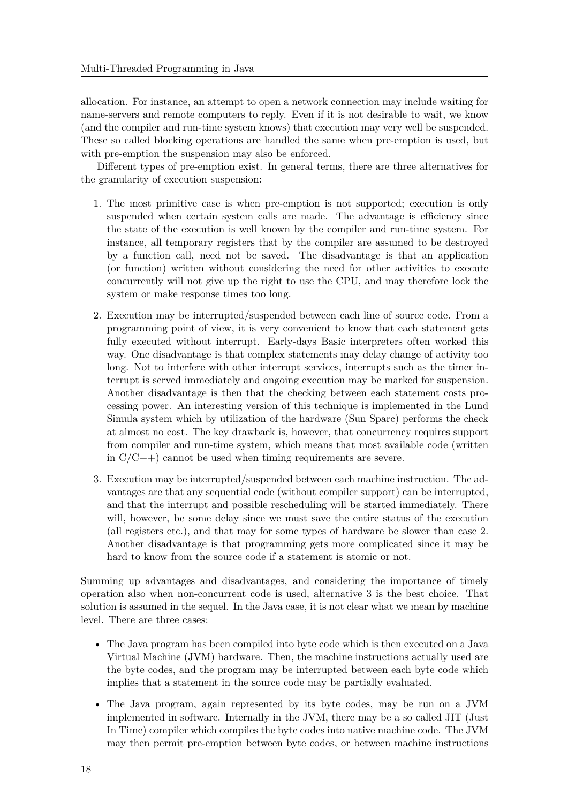allocation. For instance, an attempt to open a network connection may include waiting for name-servers and remote computers to reply. Even if it is not desirable to wait, we know (and the compiler and run-time system knows) that execution may very well be suspended. These so called blocking operations are handled the same when pre-emption is used, but with pre-emption the suspension may also be enforced.

Different types of pre-emption exist. In general terms, there are three alternatives for the granularity of execution suspension:

- 1. The most primitive case is when pre-emption is not supported; execution is only suspended when certain system calls are made. The advantage is efficiency since the state of the execution is well known by the compiler and run-time system. For instance, all temporary registers that by the compiler are assumed to be destroyed by a function call, need not be saved. The disadvantage is that an application (or function) written without considering the need for other activities to execute concurrently will not give up the right to use the CPU, and may therefore lock the system or make response times too long.
- 2. Execution may be interrupted/suspended between each line of source code. From a programming point of view, it is very convenient to know that each statement gets fully executed without interrupt. Early-days Basic interpreters often worked this way. One disadvantage is that complex statements may delay change of activity too long. Not to interfere with other interrupt services, interrupts such as the timer interrupt is served immediately and ongoing execution may be marked for suspension. Another disadvantage is then that the checking between each statement costs processing power. An interesting version of this technique is implemented in the Lund Simula system which by utilization of the hardware (Sun Sparc) performs the check at almost no cost. The key drawback is, however, that concurrency requires support from compiler and run-time system, which means that most available code (written in  $C/C++$ ) cannot be used when timing requirements are severe.
- 3. Execution may be interrupted/suspended between each machine instruction. The advantages are that any sequential code (without compiler support) can be interrupted, and that the interrupt and possible rescheduling will be started immediately. There will, however, be some delay since we must save the entire status of the execution (all registers etc.), and that may for some types of hardware be slower than case 2. Another disadvantage is that programming gets more complicated since it may be hard to know from the source code if a statement is atomic or not.

Summing up advantages and disadvantages, and considering the importance of timely operation also when non-concurrent code is used, alternative 3 is the best choice. That solution is assumed in the sequel. In the Java case, it is not clear what we mean by machine level. There are three cases:

- The Java program has been compiled into byte code which is then executed on a Java Virtual Machine (JVM) hardware. Then, the machine instructions actually used are the byte codes, and the program may be interrupted between each byte code which implies that a statement in the source code may be partially evaluated.
- The Java program, again represented by its byte codes, may be run on a JVM implemented in software. Internally in the JVM, there may be a so called JIT (Just In Time) compiler which compiles the byte codes into native machine code. The JVM may then permit pre-emption between byte codes, or between machine instructions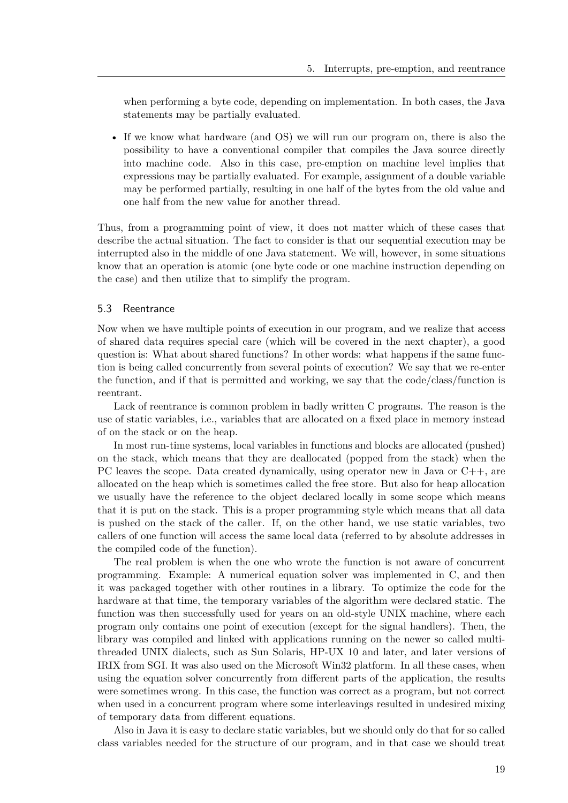when performing a byte code, depending on implementation. In both cases, the Java statements may be partially evaluated.

• If we know what hardware (and OS) we will run our program on, there is also the possibility to have a conventional compiler that compiles the Java source directly into machine code. Also in this case, pre-emption on machine level implies that expressions may be partially evaluated. For example, assignment of a double variable may be performed partially, resulting in one half of the bytes from the old value and one half from the new value for another thread.

Thus, from a programming point of view, it does not matter which of these cases that describe the actual situation. The fact to consider is that our sequential execution may be interrupted also in the middle of one Java statement. We will, however, in some situations know that an operation is atomic (one byte code or one machine instruction depending on the case) and then utilize that to simplify the program.

## 5.3 Reentrance

Now when we have multiple points of execution in our program, and we realize that access of shared data requires special care (which will be covered in the next chapter), a good question is: What about shared functions? In other words: what happens if the same function is being called concurrently from several points of execution? We say that we re-enter the function, and if that is permitted and working, we say that the code/class/function is reentrant.

Lack of reentrance is common problem in badly written C programs. The reason is the use of static variables, i.e., variables that are allocated on a fixed place in memory instead of on the stack or on the heap.

In most run-time systems, local variables in functions and blocks are allocated (pushed) on the stack, which means that they are deallocated (popped from the stack) when the PC leaves the scope. Data created dynamically, using operator new in Java or C++, are allocated on the heap which is sometimes called the free store. But also for heap allocation we usually have the reference to the object declared locally in some scope which means that it is put on the stack. This is a proper programming style which means that all data is pushed on the stack of the caller. If, on the other hand, we use static variables, two callers of one function will access the same local data (referred to by absolute addresses in the compiled code of the function).

The real problem is when the one who wrote the function is not aware of concurrent programming. Example: A numerical equation solver was implemented in C, and then it was packaged together with other routines in a library. To optimize the code for the hardware at that time, the temporary variables of the algorithm were declared static. The function was then successfully used for years on an old-style UNIX machine, where each program only contains one point of execution (except for the signal handlers). Then, the library was compiled and linked with applications running on the newer so called multithreaded UNIX dialects, such as Sun Solaris, HP-UX 10 and later, and later versions of IRIX from SGI. It was also used on the Microsoft Win32 platform. In all these cases, when using the equation solver concurrently from different parts of the application, the results were sometimes wrong. In this case, the function was correct as a program, but not correct when used in a concurrent program where some interleavings resulted in undesired mixing of temporary data from different equations.

Also in Java it is easy to declare static variables, but we should only do that for so called class variables needed for the structure of our program, and in that case we should treat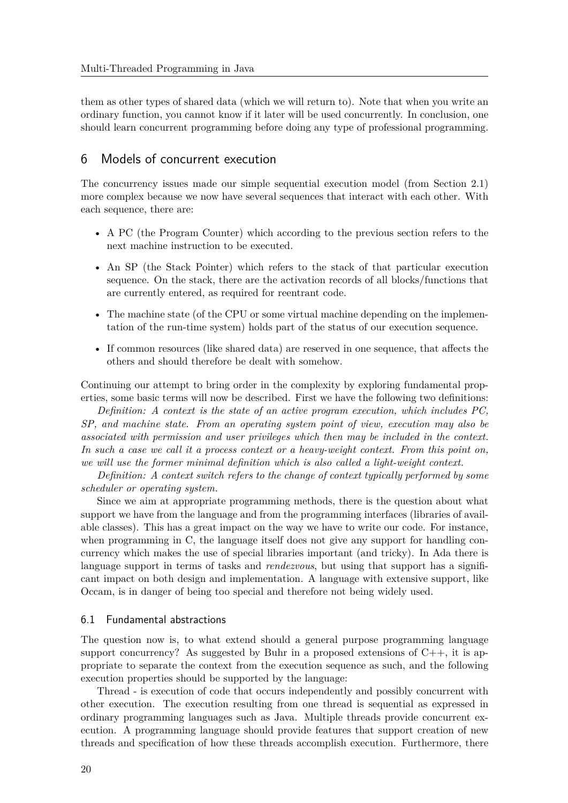them as other types of shared data (which we will return to). Note that when you write an ordinary function, you cannot know if it later will be used concurrently. In conclusion, one should learn concurrent programming before doing any type of professional programming.

# 6 Models of concurrent execution

The concurrency issues made our simple sequential execution model (from Section 2.1) more complex because we now have several sequences that interact with each other. With each sequence, there are:

- A PC (the Program Counter) which according to the previous section refers to the next machine instruction to be executed.
- An SP (the Stack Pointer) which refers to the stack of that particular execution sequence. On the stack, there are the activation records of all blocks/functions that are currently entered, as required for reentrant code.
- The machine state (of the CPU or some virtual machine depending on the implementation of the run-time system) holds part of the status of our execution sequence.
- If common resources (like shared data) are reserved in one sequence, that affects the others and should therefore be dealt with somehow.

Continuing our attempt to bring order in the complexity by exploring fundamental properties, some basic terms will now be described. First we have the following two definitions:

*Definition: A context is the state of an active program execution, which includes PC, SP, and machine state. From an operating system point of view, execution may also be associated with permission and user privileges which then may be included in the context. In such a case we call it a process context or a heavy-weight context. From this point on, we will use the former minimal definition which is also called a light-weight context.*

*Definition: A context switch refers to the change of context typically performed by some scheduler or operating system.*

Since we aim at appropriate programming methods, there is the question about what support we have from the language and from the programming interfaces (libraries of available classes). This has a great impact on the way we have to write our code. For instance, when programming in C, the language itself does not give any support for handling concurrency which makes the use of special libraries important (and tricky). In Ada there is language support in terms of tasks and *rendezvous*, but using that support has a significant impact on both design and implementation. A language with extensive support, like Occam, is in danger of being too special and therefore not being widely used.

# 6.1 Fundamental abstractions

The question now is, to what extend should a general purpose programming language support concurrency? As suggested by Buhr in a proposed extensions of  $C_{++}$ , it is appropriate to separate the context from the execution sequence as such, and the following execution properties should be supported by the language:

Thread - is execution of code that occurs independently and possibly concurrent with other execution. The execution resulting from one thread is sequential as expressed in ordinary programming languages such as Java. Multiple threads provide concurrent execution. A programming language should provide features that support creation of new threads and specification of how these threads accomplish execution. Furthermore, there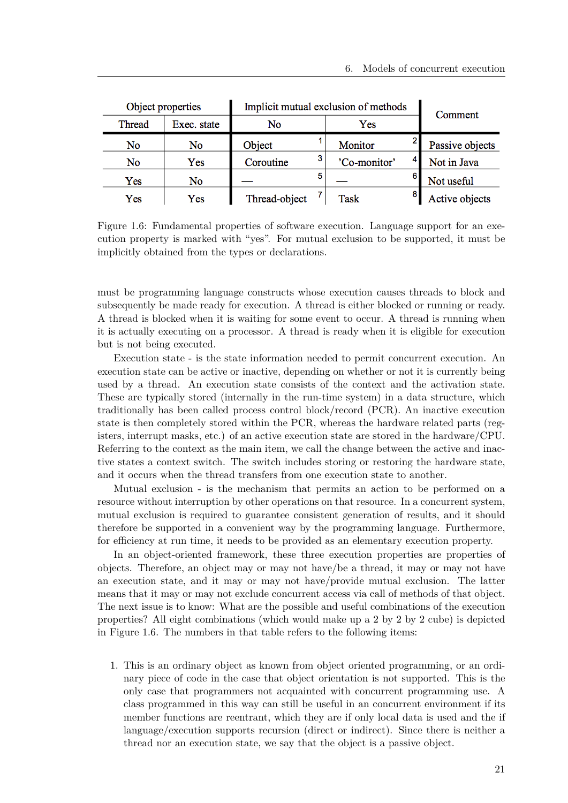|        | Object properties | Implicit mutual exclusion of methods |  |              |  | Comment         |  |
|--------|-------------------|--------------------------------------|--|--------------|--|-----------------|--|
| Thread | Exec. state       | No                                   |  | Yes          |  |                 |  |
| No     | No                | Object                               |  | Monitor      |  | Passive objects |  |
| No     | Yes               | Coroutine                            |  | 'Co-monitor' |  | Not in Java     |  |
| Yes    | No                |                                      |  |              |  | Not useful      |  |
| Yes    | Yes               | Thread-object                        |  | Task         |  | Active objects  |  |

Figure 1.6: Fundamental properties of software execution. Language support for an execution property is marked with "yes". For mutual exclusion to be supported, it must be implicitly obtained from the types or declarations.

must be programming language constructs whose execution causes threads to block and subsequently be made ready for execution. A thread is either blocked or running or ready. A thread is blocked when it is waiting for some event to occur. A thread is running when it is actually executing on a processor. A thread is ready when it is eligible for execution but is not being executed.

Execution state - is the state information needed to permit concurrent execution. An execution state can be active or inactive, depending on whether or not it is currently being used by a thread. An execution state consists of the context and the activation state. These are typically stored (internally in the run-time system) in a data structure, which traditionally has been called process control block/record (PCR). An inactive execution state is then completely stored within the PCR, whereas the hardware related parts (registers, interrupt masks, etc.) of an active execution state are stored in the hardware/CPU. Referring to the context as the main item, we call the change between the active and inactive states a context switch. The switch includes storing or restoring the hardware state, and it occurs when the thread transfers from one execution state to another.

Mutual exclusion - is the mechanism that permits an action to be performed on a resource without interruption by other operations on that resource. In a concurrent system, mutual exclusion is required to guarantee consistent generation of results, and it should therefore be supported in a convenient way by the programming language. Furthermore, for efficiency at run time, it needs to be provided as an elementary execution property.

In an object-oriented framework, these three execution properties are properties of objects. Therefore, an object may or may not have/be a thread, it may or may not have an execution state, and it may or may not have/provide mutual exclusion. The latter means that it may or may not exclude concurrent access via call of methods of that object. The next issue is to know: What are the possible and useful combinations of the execution properties? All eight combinations (which would make up a 2 by 2 by 2 cube) is depicted in Figure 1.6. The numbers in that table refers to the following items:

1. This is an ordinary object as known from object oriented programming, or an ordinary piece of code in the case that object orientation is not supported. This is the only case that programmers not acquainted with concurrent programming use. A class programmed in this way can still be useful in an concurrent environment if its member functions are reentrant, which they are if only local data is used and the if language/execution supports recursion (direct or indirect). Since there is neither a thread nor an execution state, we say that the object is a passive object.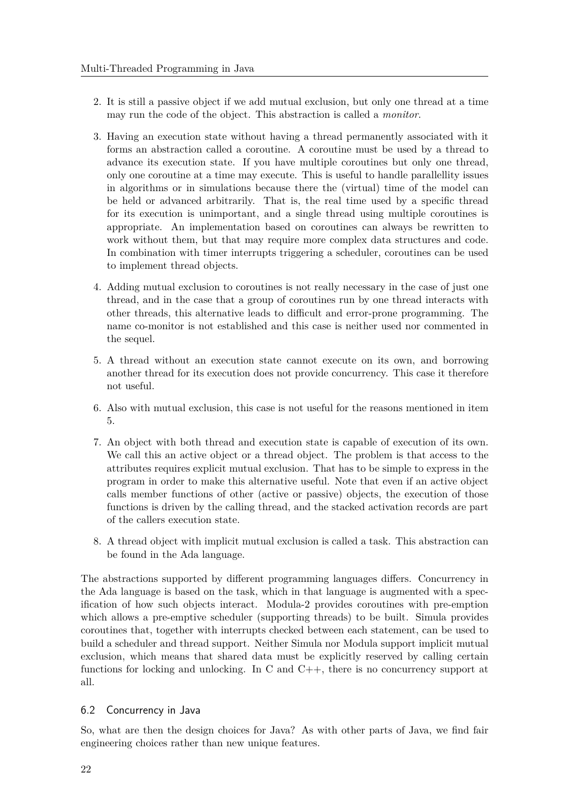- 2. It is still a passive object if we add mutual exclusion, but only one thread at a time may run the code of the object. This abstraction is called a *monitor*.
- 3. Having an execution state without having a thread permanently associated with it forms an abstraction called a coroutine. A coroutine must be used by a thread to advance its execution state. If you have multiple coroutines but only one thread, only one coroutine at a time may execute. This is useful to handle parallellity issues in algorithms or in simulations because there the (virtual) time of the model can be held or advanced arbitrarily. That is, the real time used by a specific thread for its execution is unimportant, and a single thread using multiple coroutines is appropriate. An implementation based on coroutines can always be rewritten to work without them, but that may require more complex data structures and code. In combination with timer interrupts triggering a scheduler, coroutines can be used to implement thread objects.
- 4. Adding mutual exclusion to coroutines is not really necessary in the case of just one thread, and in the case that a group of coroutines run by one thread interacts with other threads, this alternative leads to difficult and error-prone programming. The name co-monitor is not established and this case is neither used nor commented in the sequel.
- 5. A thread without an execution state cannot execute on its own, and borrowing another thread for its execution does not provide concurrency. This case it therefore not useful.
- 6. Also with mutual exclusion, this case is not useful for the reasons mentioned in item 5.
- 7. An object with both thread and execution state is capable of execution of its own. We call this an active object or a thread object. The problem is that access to the attributes requires explicit mutual exclusion. That has to be simple to express in the program in order to make this alternative useful. Note that even if an active object calls member functions of other (active or passive) objects, the execution of those functions is driven by the calling thread, and the stacked activation records are part of the callers execution state.
- 8. A thread object with implicit mutual exclusion is called a task. This abstraction can be found in the Ada language.

The abstractions supported by different programming languages differs. Concurrency in the Ada language is based on the task, which in that language is augmented with a specification of how such objects interact. Modula-2 provides coroutines with pre-emption which allows a pre-emptive scheduler (supporting threads) to be built. Simula provides coroutines that, together with interrupts checked between each statement, can be used to build a scheduler and thread support. Neither Simula nor Modula support implicit mutual exclusion, which means that shared data must be explicitly reserved by calling certain functions for locking and unlocking. In C and  $C_{++}$ , there is no concurrency support at all.

# 6.2 Concurrency in Java

So, what are then the design choices for Java? As with other parts of Java, we find fair engineering choices rather than new unique features.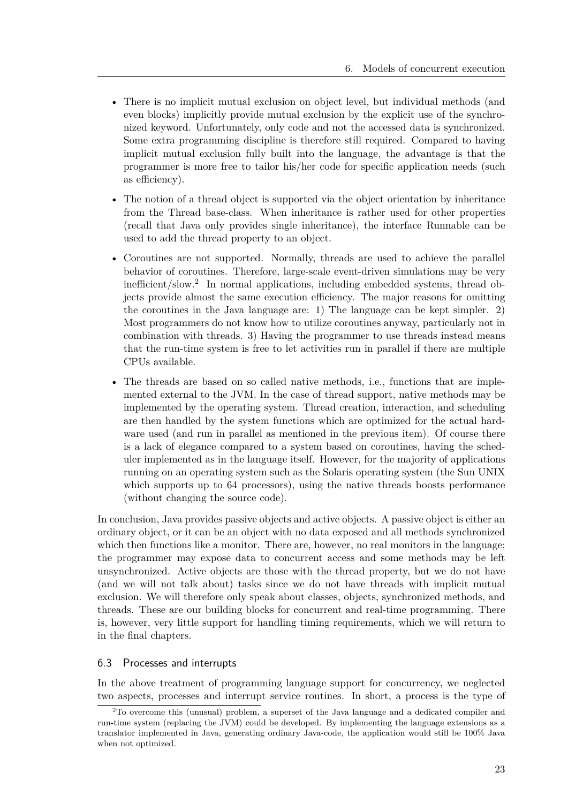- There is no implicit mutual exclusion on object level, but individual methods (and even blocks) implicitly provide mutual exclusion by the explicit use of the synchronized keyword. Unfortunately, only code and not the accessed data is synchronized. Some extra programming discipline is therefore still required. Compared to having implicit mutual exclusion fully built into the language, the advantage is that the programmer is more free to tailor his/her code for specific application needs (such as efficiency).
- The notion of a thread object is supported via the object orientation by inheritance from the Thread base-class. When inheritance is rather used for other properties (recall that Java only provides single inheritance), the interface Runnable can be used to add the thread property to an object.
- Coroutines are not supported. Normally, threads are used to achieve the parallel behavior of coroutines. Therefore, large-scale event-driven simulations may be very inefficient/slow.<sup>2</sup> In normal applications, including embedded systems, thread objects provide almost the same execution efficiency. The major reasons for omitting the coroutines in the Java language are: 1) The language can be kept simpler. 2) Most programmers do not know how to utilize coroutines anyway, particularly not in combination with threads. 3) Having the programmer to use threads instead means that the run-time system is free to let activities run in parallel if there are multiple CPUs available.
- The threads are based on so called native methods, i.e., functions that are implemented external to the JVM. In the case of thread support, native methods may be implemented by the operating system. Thread creation, interaction, and scheduling are then handled by the system functions which are optimized for the actual hardware used (and run in parallel as mentioned in the previous item). Of course there is a lack of elegance compared to a system based on coroutines, having the scheduler implemented as in the language itself. However, for the majority of applications running on an operating system such as the Solaris operating system (the Sun UNIX which supports up to 64 processors), using the native threads boosts performance (without changing the source code).

In conclusion, Java provides passive objects and active objects. A passive object is either an ordinary object, or it can be an object with no data exposed and all methods synchronized which then functions like a monitor. There are, however, no real monitors in the language; the programmer may expose data to concurrent access and some methods may be left unsynchronized. Active objects are those with the thread property, but we do not have (and we will not talk about) tasks since we do not have threads with implicit mutual exclusion. We will therefore only speak about classes, objects, synchronized methods, and threads. These are our building blocks for concurrent and real-time programming. There is, however, very little support for handling timing requirements, which we will return to in the final chapters.

# 6.3 Processes and interrupts

In the above treatment of programming language support for concurrency, we neglected two aspects, processes and interrupt service routines. In short, a process is the type of

<sup>2</sup>To overcome this (unusual) problem, a superset of the Java language and a dedicated compiler and run-time system (replacing the JVM) could be developed. By implementing the language extensions as a translator implemented in Java, generating ordinary Java-code, the application would still be 100% Java when not optimized.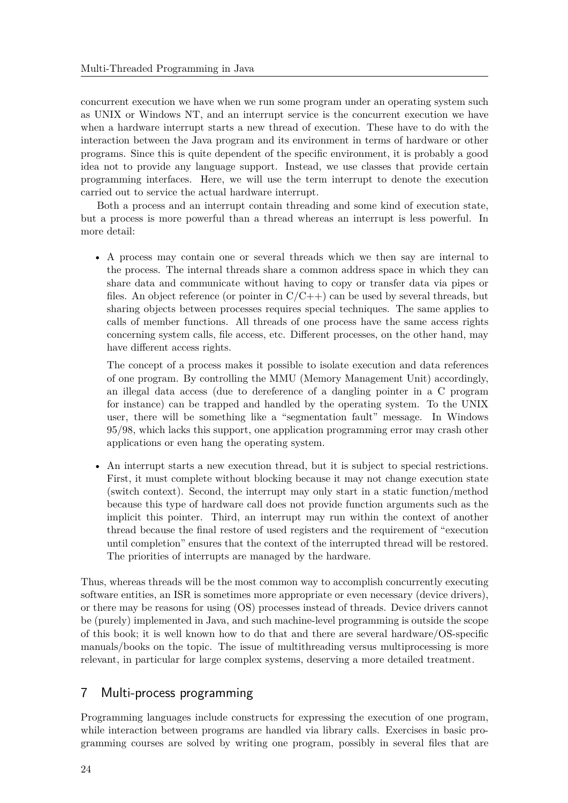concurrent execution we have when we run some program under an operating system such as UNIX or Windows NT, and an interrupt service is the concurrent execution we have when a hardware interrupt starts a new thread of execution. These have to do with the interaction between the Java program and its environment in terms of hardware or other programs. Since this is quite dependent of the specific environment, it is probably a good idea not to provide any language support. Instead, we use classes that provide certain programming interfaces. Here, we will use the term interrupt to denote the execution carried out to service the actual hardware interrupt.

Both a process and an interrupt contain threading and some kind of execution state, but a process is more powerful than a thread whereas an interrupt is less powerful. In more detail:

• A process may contain one or several threads which we then say are internal to the process. The internal threads share a common address space in which they can share data and communicate without having to copy or transfer data via pipes or files. An object reference (or pointer in  $C/C++$ ) can be used by several threads, but sharing objects between processes requires special techniques. The same applies to calls of member functions. All threads of one process have the same access rights concerning system calls, file access, etc. Different processes, on the other hand, may have different access rights.

The concept of a process makes it possible to isolate execution and data references of one program. By controlling the MMU (Memory Management Unit) accordingly, an illegal data access (due to dereference of a dangling pointer in a C program for instance) can be trapped and handled by the operating system. To the UNIX user, there will be something like a "segmentation fault" message. In Windows 95/98, which lacks this support, one application programming error may crash other applications or even hang the operating system.

• An interrupt starts a new execution thread, but it is subject to special restrictions. First, it must complete without blocking because it may not change execution state (switch context). Second, the interrupt may only start in a static function/method because this type of hardware call does not provide function arguments such as the implicit this pointer. Third, an interrupt may run within the context of another thread because the final restore of used registers and the requirement of "execution until completion" ensures that the context of the interrupted thread will be restored. The priorities of interrupts are managed by the hardware.

Thus, whereas threads will be the most common way to accomplish concurrently executing software entities, an ISR is sometimes more appropriate or even necessary (device drivers), or there may be reasons for using (OS) processes instead of threads. Device drivers cannot be (purely) implemented in Java, and such machine-level programming is outside the scope of this book; it is well known how to do that and there are several hardware/OS-specific manuals/books on the topic. The issue of multithreading versus multiprocessing is more relevant, in particular for large complex systems, deserving a more detailed treatment.

# 7 Multi-process programming

Programming languages include constructs for expressing the execution of one program, while interaction between programs are handled via library calls. Exercises in basic programming courses are solved by writing one program, possibly in several files that are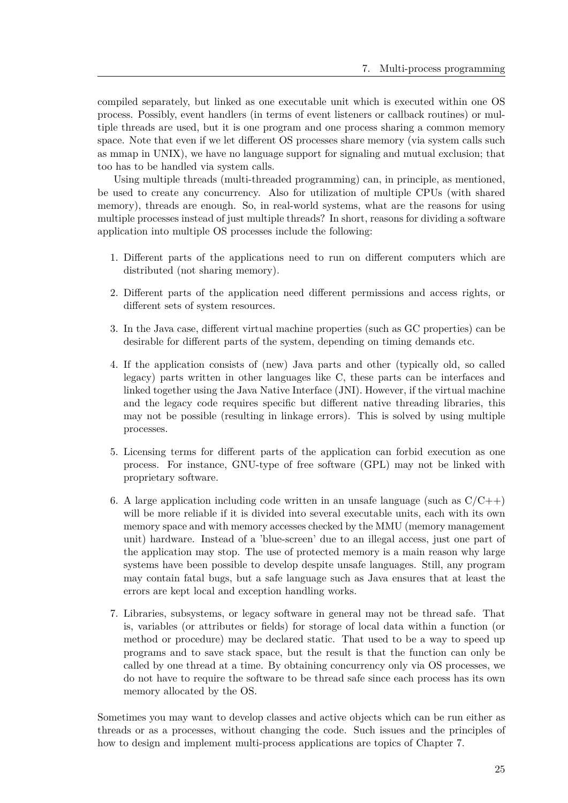compiled separately, but linked as one executable unit which is executed within one OS process. Possibly, event handlers (in terms of event listeners or callback routines) or multiple threads are used, but it is one program and one process sharing a common memory space. Note that even if we let different OS processes share memory (via system calls such as mmap in UNIX), we have no language support for signaling and mutual exclusion; that too has to be handled via system calls.

Using multiple threads (multi-threaded programming) can, in principle, as mentioned, be used to create any concurrency. Also for utilization of multiple CPUs (with shared memory), threads are enough. So, in real-world systems, what are the reasons for using multiple processes instead of just multiple threads? In short, reasons for dividing a software application into multiple OS processes include the following:

- 1. Different parts of the applications need to run on different computers which are distributed (not sharing memory).
- 2. Different parts of the application need different permissions and access rights, or different sets of system resources.
- 3. In the Java case, different virtual machine properties (such as GC properties) can be desirable for different parts of the system, depending on timing demands etc.
- 4. If the application consists of (new) Java parts and other (typically old, so called legacy) parts written in other languages like C, these parts can be interfaces and linked together using the Java Native Interface (JNI). However, if the virtual machine and the legacy code requires specific but different native threading libraries, this may not be possible (resulting in linkage errors). This is solved by using multiple processes.
- 5. Licensing terms for different parts of the application can forbid execution as one process. For instance, GNU-type of free software (GPL) may not be linked with proprietary software.
- 6. A large application including code written in an unsafe language (such as  $C/C++$ ) will be more reliable if it is divided into several executable units, each with its own memory space and with memory accesses checked by the MMU (memory management unit) hardware. Instead of a 'blue-screen' due to an illegal access, just one part of the application may stop. The use of protected memory is a main reason why large systems have been possible to develop despite unsafe languages. Still, any program may contain fatal bugs, but a safe language such as Java ensures that at least the errors are kept local and exception handling works.
- 7. Libraries, subsystems, or legacy software in general may not be thread safe. That is, variables (or attributes or fields) for storage of local data within a function (or method or procedure) may be declared static. That used to be a way to speed up programs and to save stack space, but the result is that the function can only be called by one thread at a time. By obtaining concurrency only via OS processes, we do not have to require the software to be thread safe since each process has its own memory allocated by the OS.

Sometimes you may want to develop classes and active objects which can be run either as threads or as a processes, without changing the code. Such issues and the principles of how to design and implement multi-process applications are topics of Chapter 7.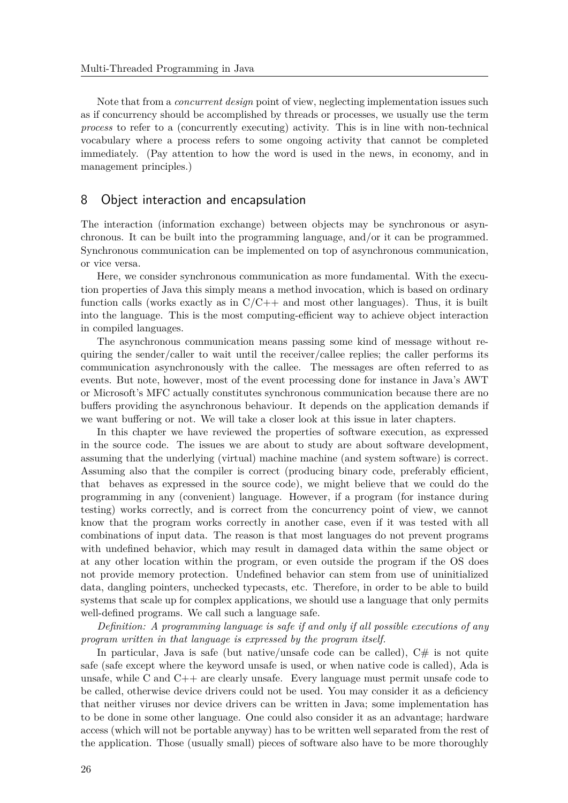Note that from a *concurrent design* point of view, neglecting implementation issues such as if concurrency should be accomplished by threads or processes, we usually use the term *process* to refer to a (concurrently executing) activity. This is in line with non-technical vocabulary where a process refers to some ongoing activity that cannot be completed immediately. (Pay attention to how the word is used in the news, in economy, and in management principles.)

# 8 Object interaction and encapsulation

The interaction (information exchange) between objects may be synchronous or asynchronous. It can be built into the programming language, and/or it can be programmed. Synchronous communication can be implemented on top of asynchronous communication, or vice versa.

Here, we consider synchronous communication as more fundamental. With the execution properties of Java this simply means a method invocation, which is based on ordinary function calls (works exactly as in  $C/C++$  and most other languages). Thus, it is built into the language. This is the most computing-efficient way to achieve object interaction in compiled languages.

The asynchronous communication means passing some kind of message without requiring the sender/caller to wait until the receiver/callee replies; the caller performs its communication asynchronously with the callee. The messages are often referred to as events. But note, however, most of the event processing done for instance in Java's AWT or Microsoft's MFC actually constitutes synchronous communication because there are no buffers providing the asynchronous behaviour. It depends on the application demands if we want buffering or not. We will take a closer look at this issue in later chapters.

In this chapter we have reviewed the properties of software execution, as expressed in the source code. The issues we are about to study are about software development, assuming that the underlying (virtual) machine machine (and system software) is correct. Assuming also that the compiler is correct (producing binary code, preferably efficient, that behaves as expressed in the source code), we might believe that we could do the programming in any (convenient) language. However, if a program (for instance during testing) works correctly, and is correct from the concurrency point of view, we cannot know that the program works correctly in another case, even if it was tested with all combinations of input data. The reason is that most languages do not prevent programs with undefined behavior, which may result in damaged data within the same object or at any other location within the program, or even outside the program if the OS does not provide memory protection. Undefined behavior can stem from use of uninitialized data, dangling pointers, unchecked typecasts, etc. Therefore, in order to be able to build systems that scale up for complex applications, we should use a language that only permits well-defined programs. We call such a language safe.

*Definition: A programming language is safe if and only if all possible executions of any program written in that language is expressed by the program itself.*

In particular, Java is safe (but native/unsafe code can be called),  $C#$  is not quite safe (safe except where the keyword unsafe is used, or when native code is called), Ada is unsafe, while C and C++ are clearly unsafe. Every language must permit unsafe code to be called, otherwise device drivers could not be used. You may consider it as a deficiency that neither viruses nor device drivers can be written in Java; some implementation has to be done in some other language. One could also consider it as an advantage; hardware access (which will not be portable anyway) has to be written well separated from the rest of the application. Those (usually small) pieces of software also have to be more thoroughly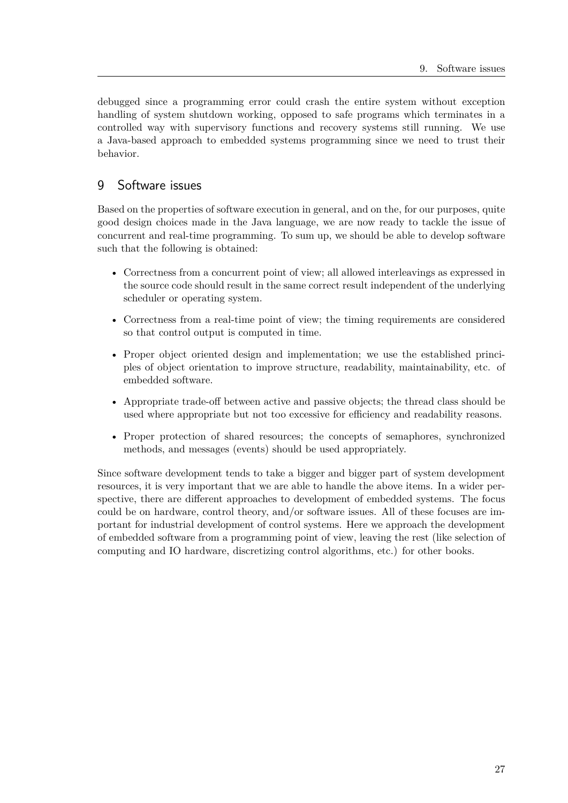debugged since a programming error could crash the entire system without exception handling of system shutdown working, opposed to safe programs which terminates in a controlled way with supervisory functions and recovery systems still running. We use a Java-based approach to embedded systems programming since we need to trust their behavior.

# 9 Software issues

Based on the properties of software execution in general, and on the, for our purposes, quite good design choices made in the Java language, we are now ready to tackle the issue of concurrent and real-time programming. To sum up, we should be able to develop software such that the following is obtained:

- Correctness from a concurrent point of view; all allowed interleavings as expressed in the source code should result in the same correct result independent of the underlying scheduler or operating system.
- Correctness from a real-time point of view; the timing requirements are considered so that control output is computed in time.
- Proper object oriented design and implementation; we use the established principles of object orientation to improve structure, readability, maintainability, etc. of embedded software.
- Appropriate trade-off between active and passive objects; the thread class should be used where appropriate but not too excessive for efficiency and readability reasons.
- Proper protection of shared resources; the concepts of semaphores, synchronized methods, and messages (events) should be used appropriately.

Since software development tends to take a bigger and bigger part of system development resources, it is very important that we are able to handle the above items. In a wider perspective, there are different approaches to development of embedded systems. The focus could be on hardware, control theory, and/or software issues. All of these focuses are important for industrial development of control systems. Here we approach the development of embedded software from a programming point of view, leaving the rest (like selection of computing and IO hardware, discretizing control algorithms, etc.) for other books.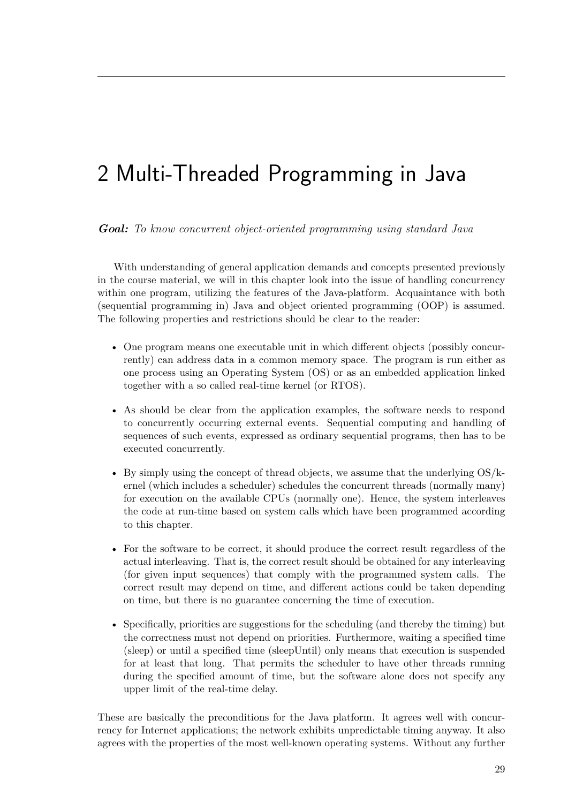# 2 Multi-Threaded Programming in Java

# *Goal: To know concurrent object-oriented programming using standard Java*

With understanding of general application demands and concepts presented previously in the course material, we will in this chapter look into the issue of handling concurrency within one program, utilizing the features of the Java-platform. Acquaintance with both (sequential programming in) Java and object oriented programming (OOP) is assumed. The following properties and restrictions should be clear to the reader:

- One program means one executable unit in which different objects (possibly concurrently) can address data in a common memory space. The program is run either as one process using an Operating System (OS) or as an embedded application linked together with a so called real-time kernel (or RTOS).
- As should be clear from the application examples, the software needs to respond to concurrently occurring external events. Sequential computing and handling of sequences of such events, expressed as ordinary sequential programs, then has to be executed concurrently.
- By simply using the concept of thread objects, we assume that the underlying OS/kernel (which includes a scheduler) schedules the concurrent threads (normally many) for execution on the available CPUs (normally one). Hence, the system interleaves the code at run-time based on system calls which have been programmed according to this chapter.
- For the software to be correct, it should produce the correct result regardless of the actual interleaving. That is, the correct result should be obtained for any interleaving (for given input sequences) that comply with the programmed system calls. The correct result may depend on time, and different actions could be taken depending on time, but there is no guarantee concerning the time of execution.
- Specifically, priorities are suggestions for the scheduling (and thereby the timing) but the correctness must not depend on priorities. Furthermore, waiting a specified time (sleep) or until a specified time (sleepUntil) only means that execution is suspended for at least that long. That permits the scheduler to have other threads running during the specified amount of time, but the software alone does not specify any upper limit of the real-time delay.

These are basically the preconditions for the Java platform. It agrees well with concurrency for Internet applications; the network exhibits unpredictable timing anyway. It also agrees with the properties of the most well-known operating systems. Without any further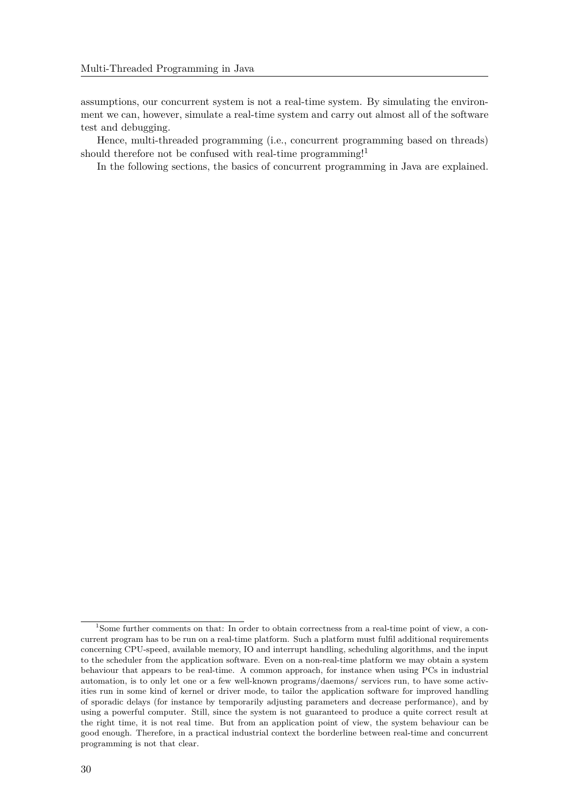assumptions, our concurrent system is not a real-time system. By simulating the environment we can, however, simulate a real-time system and carry out almost all of the software test and debugging.

Hence, multi-threaded programming (i.e., concurrent programming based on threads) should therefore not be confused with real-time programming!<sup>1</sup>

In the following sections, the basics of concurrent programming in Java are explained.

<sup>&</sup>lt;sup>1</sup>Some further comments on that: In order to obtain correctness from a real-time point of view, a concurrent program has to be run on a real-time platform. Such a platform must fulfil additional requirements concerning CPU-speed, available memory, IO and interrupt handling, scheduling algorithms, and the input to the scheduler from the application software. Even on a non-real-time platform we may obtain a system behaviour that appears to be real-time. A common approach, for instance when using PCs in industrial automation, is to only let one or a few well-known programs/daemons/ services run, to have some activities run in some kind of kernel or driver mode, to tailor the application software for improved handling of sporadic delays (for instance by temporarily adjusting parameters and decrease performance), and by using a powerful computer. Still, since the system is not guaranteed to produce a quite correct result at the right time, it is not real time. But from an application point of view, the system behaviour can be good enough. Therefore, in a practical industrial context the borderline between real-time and concurrent programming is not that clear.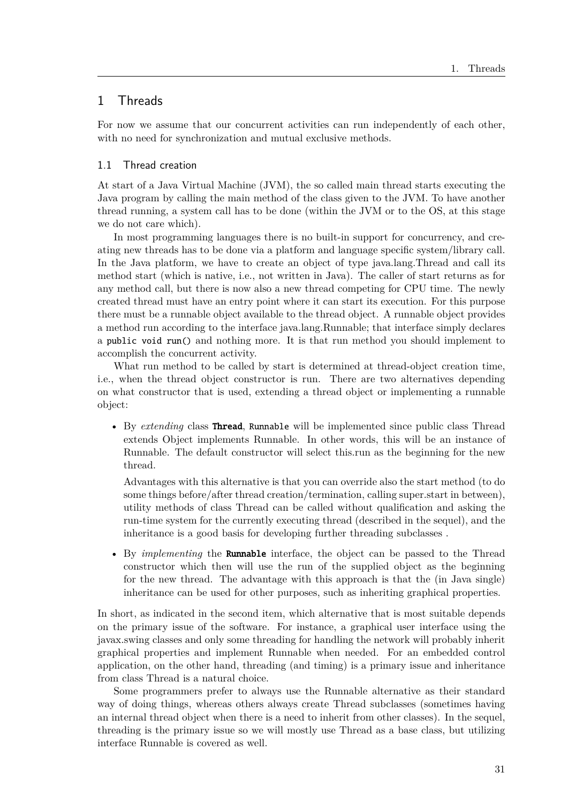# 1 Threads

For now we assume that our concurrent activities can run independently of each other, with no need for synchronization and mutual exclusive methods.

### 1.1 Thread creation

At start of a Java Virtual Machine (JVM), the so called main thread starts executing the Java program by calling the main method of the class given to the JVM. To have another thread running, a system call has to be done (within the JVM or to the OS, at this stage we do not care which).

In most programming languages there is no built-in support for concurrency, and creating new threads has to be done via a platform and language specific system/library call. In the Java platform, we have to create an object of type java.lang.Thread and call its method start (which is native, i.e., not written in Java). The caller of start returns as for any method call, but there is now also a new thread competing for CPU time. The newly created thread must have an entry point where it can start its execution. For this purpose there must be a runnable object available to the thread object. A runnable object provides a method run according to the interface java.lang.Runnable; that interface simply declares a public void run() and nothing more. It is that run method you should implement to accomplish the concurrent activity.

What run method to be called by start is determined at thread-object creation time, i.e., when the thread object constructor is run. There are two alternatives depending on what constructor that is used, extending a thread object or implementing a runnable object:

• By *extending* class Thread, Runnable will be implemented since public class Thread extends Object implements Runnable. In other words, this will be an instance of Runnable. The default constructor will select this.run as the beginning for the new thread.

Advantages with this alternative is that you can override also the start method (to do some things before/after thread creation/termination, calling super.start in between), utility methods of class Thread can be called without qualification and asking the run-time system for the currently executing thread (described in the sequel), and the inheritance is a good basis for developing further threading subclasses .

• By *implementing* the Runnable interface, the object can be passed to the Thread constructor which then will use the run of the supplied object as the beginning for the new thread. The advantage with this approach is that the (in Java single) inheritance can be used for other purposes, such as inheriting graphical properties.

In short, as indicated in the second item, which alternative that is most suitable depends on the primary issue of the software. For instance, a graphical user interface using the javax.swing classes and only some threading for handling the network will probably inherit graphical properties and implement Runnable when needed. For an embedded control application, on the other hand, threading (and timing) is a primary issue and inheritance from class Thread is a natural choice.

Some programmers prefer to always use the Runnable alternative as their standard way of doing things, whereas others always create Thread subclasses (sometimes having an internal thread object when there is a need to inherit from other classes). In the sequel, threading is the primary issue so we will mostly use Thread as a base class, but utilizing interface Runnable is covered as well.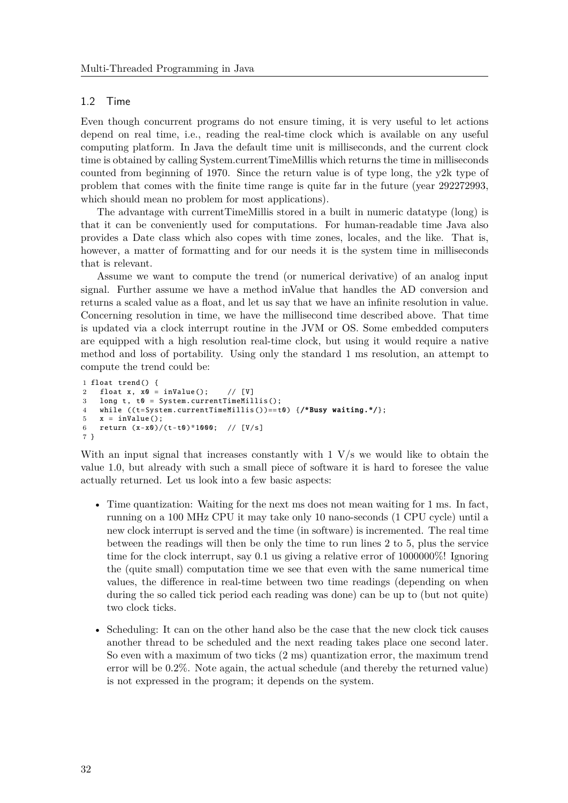# 1.2 Time

Even though concurrent programs do not ensure timing, it is very useful to let actions depend on real time, i.e., reading the real-time clock which is available on any useful computing platform. In Java the default time unit is milliseconds, and the current clock time is obtained by calling System.currentTimeMillis which returns the time in milliseconds counted from beginning of 1970. Since the return value is of type long, the y2k type of problem that comes with the finite time range is quite far in the future (year 292272993, which should mean no problem for most applications).

The advantage with currentTimeMillis stored in a built in numeric datatype (long) is that it can be conveniently used for computations. For human-readable time Java also provides a Date class which also copes with time zones, locales, and the like. That is, however, a matter of formatting and for our needs it is the system time in milliseconds that is relevant.

Assume we want to compute the trend (or numerical derivative) of an analog input signal. Further assume we have a method inValue that handles the AD conversion and returns a scaled value as a float, and let us say that we have an infinite resolution in value. Concerning resolution in time, we have the millisecond time described above. That time is updated via a clock interrupt routine in the JVM or OS. Some embedded computers are equipped with a high resolution real-time clock, but using it would require a native method and loss of portability. Using only the standard 1 ms resolution, an attempt to compute the trend could be:

```
1 float trend () {
2 float x, x0 = inValue(); // [V]
3 long t, t0 = System. currentTimeMillis ();
4 while ((t=System.currentTimeMillis())==t0) {/*Busy waiting.*/};
5 \times = \text{inValue}();
6 return (x-x0)/(t-t0) * 1000; // [V/s]
7 }
```
With an input signal that increases constantly with  $1 \text{ V/s}$  we would like to obtain the value 1.0, but already with such a small piece of software it is hard to foresee the value actually returned. Let us look into a few basic aspects:

- Time quantization: Waiting for the next ms does not mean waiting for 1 ms. In fact, running on a 100 MHz CPU it may take only 10 nano-seconds (1 CPU cycle) until a new clock interrupt is served and the time (in software) is incremented. The real time between the readings will then be only the time to run lines 2 to 5, plus the service time for the clock interrupt, say 0.1 us giving a relative error of 1000000%! Ignoring the (quite small) computation time we see that even with the same numerical time values, the difference in real-time between two time readings (depending on when during the so called tick period each reading was done) can be up to (but not quite) two clock ticks.
- Scheduling: It can on the other hand also be the case that the new clock tick causes another thread to be scheduled and the next reading takes place one second later. So even with a maximum of two ticks (2 ms) quantization error, the maximum trend error will be 0.2%. Note again, the actual schedule (and thereby the returned value) is not expressed in the program; it depends on the system.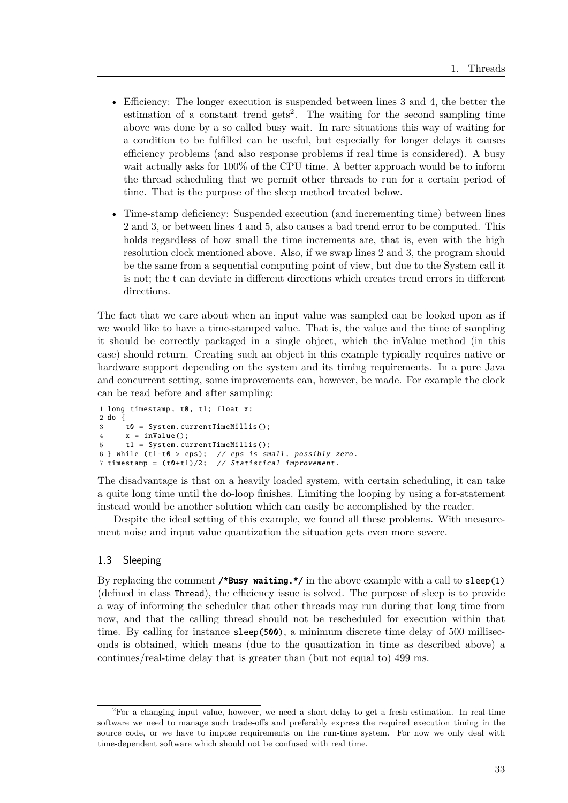- Efficiency: The longer execution is suspended between lines 3 and 4, the better the estimation of a constant trend gets<sup>2</sup>. The waiting for the second sampling time above was done by a so called busy wait. In rare situations this way of waiting for a condition to be fulfilled can be useful, but especially for longer delays it causes efficiency problems (and also response problems if real time is considered). A busy wait actually asks for 100% of the CPU time. A better approach would be to inform the thread scheduling that we permit other threads to run for a certain period of time. That is the purpose of the sleep method treated below.
- Time-stamp deficiency: Suspended execution (and incrementing time) between lines 2 and 3, or between lines 4 and 5, also causes a bad trend error to be computed. This holds regardless of how small the time increments are, that is, even with the high resolution clock mentioned above. Also, if we swap lines 2 and 3, the program should be the same from a sequential computing point of view, but due to the System call it is not; the t can deviate in different directions which creates trend errors in different directions.

The fact that we care about when an input value was sampled can be looked upon as if we would like to have a time-stamped value. That is, the value and the time of sampling it should be correctly packaged in a single object, which the inValue method (in this case) should return. Creating such an object in this example typically requires native or hardware support depending on the system and its timing requirements. In a pure Java and concurrent setting, some improvements can, however, be made. For example the clock can be read before and after sampling:

```
1 long timestamp, t0, t1; float x;
2 do {
3 t0 = System. currentTimeMillis ();
4 \times = inValue();
5 t1 = System. currentTimeMillis ();
6 } while (t1-t0 > eps); // eps is small, possibly zero.
7 timestamp = (t0+t1)/2; // Statistical improvement.
```
The disadvantage is that on a heavily loaded system, with certain scheduling, it can take a quite long time until the do-loop finishes. Limiting the looping by using a for-statement instead would be another solution which can easily be accomplished by the reader.

Despite the ideal setting of this example, we found all these problems. With measurement noise and input value quantization the situation gets even more severe.

### 1.3 Sleeping

By replacing the comment **/\*Busy waiting.\*/** in the above example with a call to sleep(1) (defined in class Thread), the efficiency issue is solved. The purpose of sleep is to provide a way of informing the scheduler that other threads may run during that long time from now, and that the calling thread should not be rescheduled for execution within that time. By calling for instance sleep(500), a minimum discrete time delay of 500 milliseconds is obtained, which means (due to the quantization in time as described above) a continues/real-time delay that is greater than (but not equal to) 499 ms.

<sup>&</sup>lt;sup>2</sup>For a changing input value, however, we need a short delay to get a fresh estimation. In real-time software we need to manage such trade-offs and preferably express the required execution timing in the source code, or we have to impose requirements on the run-time system. For now we only deal with time-dependent software which should not be confused with real time.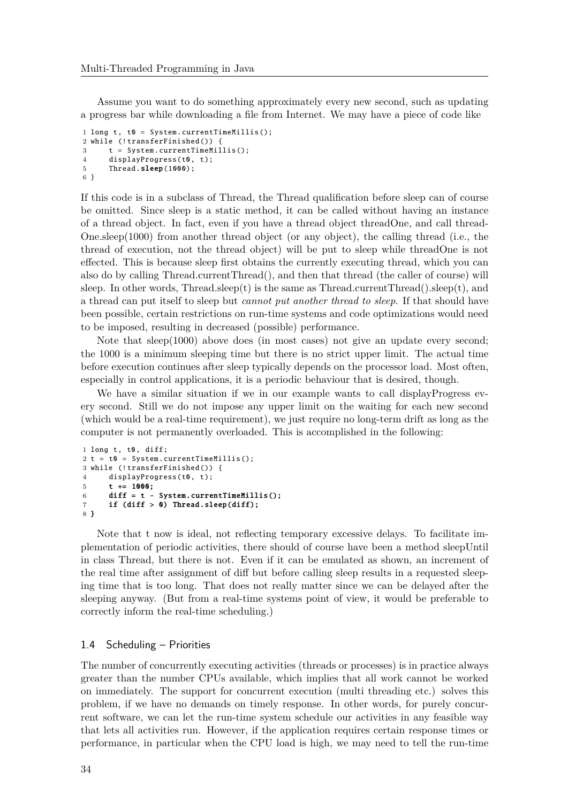Assume you want to do something approximately every new second, such as updating a progress bar while downloading a file from Internet. We may have a piece of code like

```
1 long t, t0 = System. currentTimeMillis():
2 while (!transferFinished()) {
3 t = System. currentTimeMillis ();
4 displayProgress(t0, t);
5 Thread.sleep(1000);
6 }
```
If this code is in a subclass of Thread, the Thread qualification before sleep can of course be omitted. Since sleep is a static method, it can be called without having an instance of a thread object. In fact, even if you have a thread object threadOne, and call thread-One.sleep(1000) from another thread object (or any object), the calling thread (i.e., the thread of execution, not the thread object) will be put to sleep while threadOne is not effected. This is because sleep first obtains the currently executing thread, which you can also do by calling Thread.currentThread(), and then that thread (the caller of course) will sleep. In other words, Thread.sleep(t) is the same as Thread.currentThread().sleep(t), and a thread can put itself to sleep but *cannot put another thread to sleep*. If that should have been possible, certain restrictions on run-time systems and code optimizations would need to be imposed, resulting in decreased (possible) performance.

Note that sleep(1000) above does (in most cases) not give an update every second; the 1000 is a minimum sleeping time but there is no strict upper limit. The actual time before execution continues after sleep typically depends on the processor load. Most often, especially in control applications, it is a periodic behaviour that is desired, though.

We have a similar situation if we in our example wants to call displayProgress every second. Still we do not impose any upper limit on the waiting for each new second (which would be a real-time requirement), we just require no long-term drift as long as the computer is not permanently overloaded. This is accomplished in the following:

```
1 long t, t0, diff;
2 t = t0 = System.currentTimeMillis():
3 while (! transferFinished ()) {
4 displayProgress(t0, t);
5 t += 1000;
6 diff = t - System.currentTimeMillis();
7 if (diff > 0) Thread.sleep(diff);
8 }
```
Note that t now is ideal, not reflecting temporary excessive delays. To facilitate implementation of periodic activities, there should of course have been a method sleepUntil in class Thread, but there is not. Even if it can be emulated as shown, an increment of the real time after assignment of diff but before calling sleep results in a requested sleeping time that is too long. That does not really matter since we can be delayed after the sleeping anyway. (But from a real-time systems point of view, it would be preferable to correctly inform the real-time scheduling.)

#### 1.4 Scheduling – Priorities

The number of concurrently executing activities (threads or processes) is in practice always greater than the number CPUs available, which implies that all work cannot be worked on immediately. The support for concurrent execution (multi threading etc.) solves this problem, if we have no demands on timely response. In other words, for purely concurrent software, we can let the run-time system schedule our activities in any feasible way that lets all activities run. However, if the application requires certain response times or performance, in particular when the CPU load is high, we may need to tell the run-time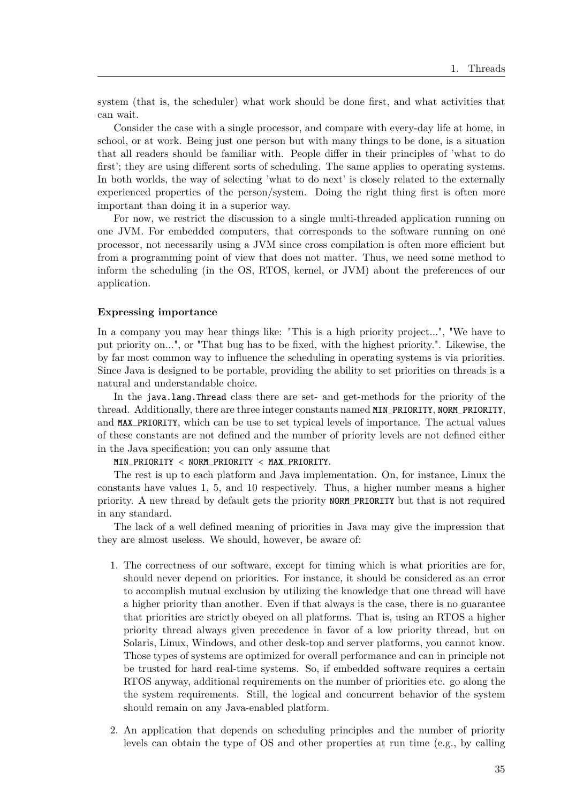system (that is, the scheduler) what work should be done first, and what activities that can wait.

Consider the case with a single processor, and compare with every-day life at home, in school, or at work. Being just one person but with many things to be done, is a situation that all readers should be familiar with. People differ in their principles of 'what to do first'; they are using different sorts of scheduling. The same applies to operating systems. In both worlds, the way of selecting 'what to do next' is closely related to the externally experienced properties of the person/system. Doing the right thing first is often more important than doing it in a superior way.

For now, we restrict the discussion to a single multi-threaded application running on one JVM. For embedded computers, that corresponds to the software running on one processor, not necessarily using a JVM since cross compilation is often more efficient but from a programming point of view that does not matter. Thus, we need some method to inform the scheduling (in the OS, RTOS, kernel, or JVM) about the preferences of our application.

#### **Expressing importance**

In a company you may hear things like: "This is a high priority project...", "We have to put priority on...", or "That bug has to be fixed, with the highest priority.". Likewise, the by far most common way to influence the scheduling in operating systems is via priorities. Since Java is designed to be portable, providing the ability to set priorities on threads is a natural and understandable choice.

In the java.lang.Thread class there are set- and get-methods for the priority of the thread. Additionally, there are three integer constants named MIN\_PRIORITY, NORM\_PRIORITY, and MAX\_PRIORITY, which can be use to set typical levels of importance. The actual values of these constants are not defined and the number of priority levels are not defined either in the Java specification; you can only assume that

MIN\_PRIORITY < NORM\_PRIORITY < MAX\_PRIORITY.

The rest is up to each platform and Java implementation. On, for instance, Linux the constants have values 1, 5, and 10 respectively. Thus, a higher number means a higher priority. A new thread by default gets the priority NORM\_PRIORITY but that is not required in any standard.

The lack of a well defined meaning of priorities in Java may give the impression that they are almost useless. We should, however, be aware of:

- 1. The correctness of our software, except for timing which is what priorities are for, should never depend on priorities. For instance, it should be considered as an error to accomplish mutual exclusion by utilizing the knowledge that one thread will have a higher priority than another. Even if that always is the case, there is no guarantee that priorities are strictly obeyed on all platforms. That is, using an RTOS a higher priority thread always given precedence in favor of a low priority thread, but on Solaris, Linux, Windows, and other desk-top and server platforms, you cannot know. Those types of systems are optimized for overall performance and can in principle not be trusted for hard real-time systems. So, if embedded software requires a certain RTOS anyway, additional requirements on the number of priorities etc. go along the the system requirements. Still, the logical and concurrent behavior of the system should remain on any Java-enabled platform.
- 2. An application that depends on scheduling principles and the number of priority levels can obtain the type of OS and other properties at run time (e.g., by calling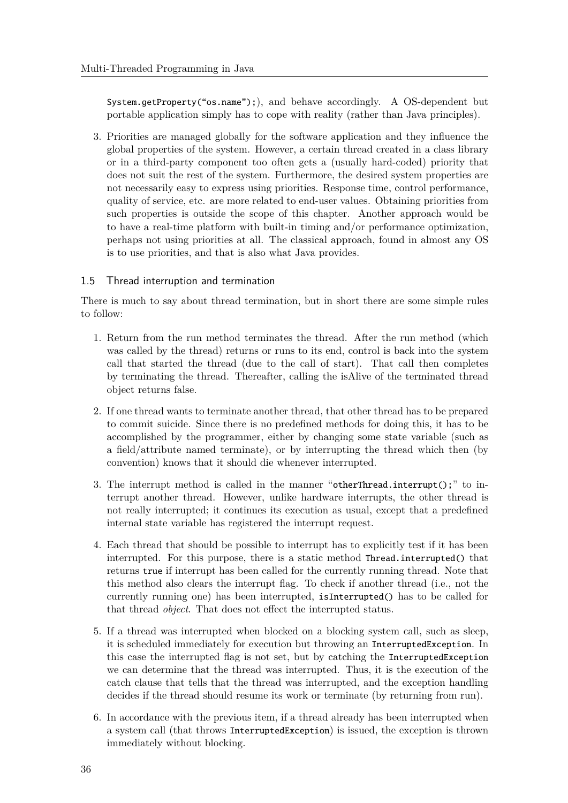System.getProperty("os.name");), and behave accordingly. A OS-dependent but portable application simply has to cope with reality (rather than Java principles).

3. Priorities are managed globally for the software application and they influence the global properties of the system. However, a certain thread created in a class library or in a third-party component too often gets a (usually hard-coded) priority that does not suit the rest of the system. Furthermore, the desired system properties are not necessarily easy to express using priorities. Response time, control performance, quality of service, etc. are more related to end-user values. Obtaining priorities from such properties is outside the scope of this chapter. Another approach would be to have a real-time platform with built-in timing and/or performance optimization, perhaps not using priorities at all. The classical approach, found in almost any OS is to use priorities, and that is also what Java provides.

# 1.5 Thread interruption and termination

There is much to say about thread termination, but in short there are some simple rules to follow:

- 1. Return from the run method terminates the thread. After the run method (which was called by the thread) returns or runs to its end, control is back into the system call that started the thread (due to the call of start). That call then completes by terminating the thread. Thereafter, calling the isAlive of the terminated thread object returns false.
- 2. If one thread wants to terminate another thread, that other thread has to be prepared to commit suicide. Since there is no predefined methods for doing this, it has to be accomplished by the programmer, either by changing some state variable (such as a field/attribute named terminate), or by interrupting the thread which then (by convention) knows that it should die whenever interrupted.
- 3. The interrupt method is called in the manner "otherThread.interrupt();" to interrupt another thread. However, unlike hardware interrupts, the other thread is not really interrupted; it continues its execution as usual, except that a predefined internal state variable has registered the interrupt request.
- 4. Each thread that should be possible to interrupt has to explicitly test if it has been interrupted. For this purpose, there is a static method Thread.interrupted() that returns true if interrupt has been called for the currently running thread. Note that this method also clears the interrupt flag. To check if another thread (i.e., not the currently running one) has been interrupted, isInterrupted() has to be called for that thread *object*. That does not effect the interrupted status.
- 5. If a thread was interrupted when blocked on a blocking system call, such as sleep, it is scheduled immediately for execution but throwing an InterruptedException. In this case the interrupted flag is not set, but by catching the InterruptedException we can determine that the thread was interrupted. Thus, it is the execution of the catch clause that tells that the thread was interrupted, and the exception handling decides if the thread should resume its work or terminate (by returning from run).
- 6. In accordance with the previous item, if a thread already has been interrupted when a system call (that throws InterruptedException) is issued, the exception is thrown immediately without blocking.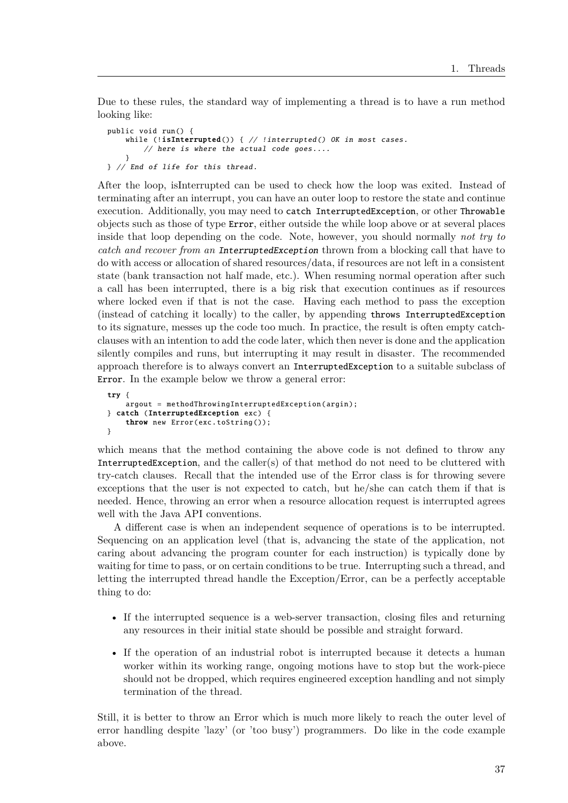Due to these rules, the standard way of implementing a thread is to have a run method looking like:

```
public void run () {
    while (!isInterrupted()) { // !interrupted() OK in most cases.
        // here is where the actual code goes....
    }
} // End of life for this thread.
```
After the loop, isInterrupted can be used to check how the loop was exited. Instead of terminating after an interrupt, you can have an outer loop to restore the state and continue execution. Additionally, you may need to catch InterruptedException, or other Throwable objects such as those of type Error, either outside the while loop above or at several places inside that loop depending on the code. Note, however, you should normally *not try to catch and recover from an* InterruptedException thrown from a blocking call that have to do with access or allocation of shared resources/data, if resources are not left in a consistent state (bank transaction not half made, etc.). When resuming normal operation after such a call has been interrupted, there is a big risk that execution continues as if resources where locked even if that is not the case. Having each method to pass the exception (instead of catching it locally) to the caller, by appending throws InterruptedException to its signature, messes up the code too much. In practice, the result is often empty catchclauses with an intention to add the code later, which then never is done and the application silently compiles and runs, but interrupting it may result in disaster. The recommended approach therefore is to always convert an InterruptedException to a suitable subclass of Error. In the example below we throw a general error:

```
try {
    argout = methodThrowingInterruptedException (argin );
} catch (InterruptedException exc) {
    throw new Error(exc.toString());
}
```
which means that the method containing the above code is not defined to throw any InterruptedException, and the caller(s) of that method do not need to be cluttered with try-catch clauses. Recall that the intended use of the Error class is for throwing severe exceptions that the user is not expected to catch, but he/she can catch them if that is needed. Hence, throwing an error when a resource allocation request is interrupted agrees well with the Java API conventions.

A different case is when an independent sequence of operations is to be interrupted. Sequencing on an application level (that is, advancing the state of the application, not caring about advancing the program counter for each instruction) is typically done by waiting for time to pass, or on certain conditions to be true. Interrupting such a thread, and letting the interrupted thread handle the Exception/Error, can be a perfectly acceptable thing to do:

- If the interrupted sequence is a web-server transaction, closing files and returning any resources in their initial state should be possible and straight forward.
- If the operation of an industrial robot is interrupted because it detects a human worker within its working range, ongoing motions have to stop but the work-piece should not be dropped, which requires engineered exception handling and not simply termination of the thread.

Still, it is better to throw an Error which is much more likely to reach the outer level of error handling despite 'lazy' (or 'too busy') programmers. Do like in the code example above.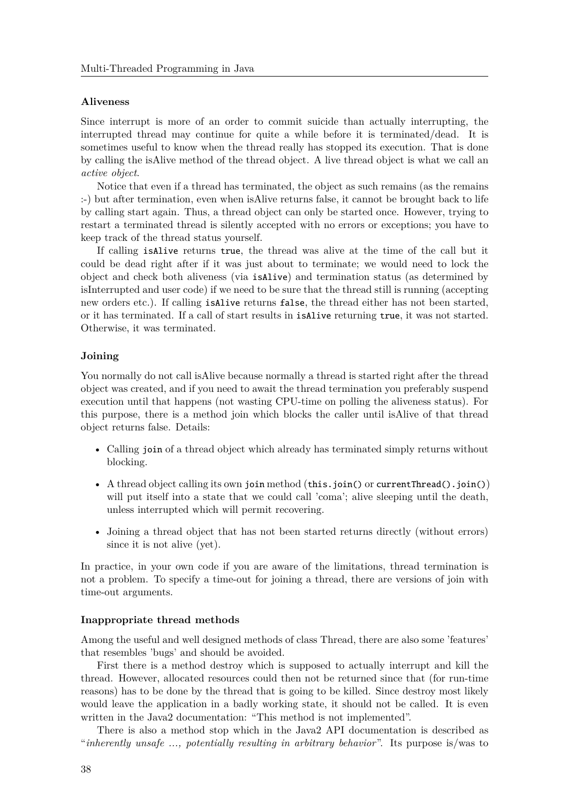### **Aliveness**

Since interrupt is more of an order to commit suicide than actually interrupting, the interrupted thread may continue for quite a while before it is terminated/dead. It is sometimes useful to know when the thread really has stopped its execution. That is done by calling the isAlive method of the thread object. A live thread object is what we call an *active object*.

Notice that even if a thread has terminated, the object as such remains (as the remains :-) but after termination, even when isAlive returns false, it cannot be brought back to life by calling start again. Thus, a thread object can only be started once. However, trying to restart a terminated thread is silently accepted with no errors or exceptions; you have to keep track of the thread status yourself.

If calling isAlive returns true, the thread was alive at the time of the call but it could be dead right after if it was just about to terminate; we would need to lock the object and check both aliveness (via isAlive) and termination status (as determined by isInterrupted and user code) if we need to be sure that the thread still is running (accepting new orders etc.). If calling isAlive returns false, the thread either has not been started, or it has terminated. If a call of start results in isAlive returning true, it was not started. Otherwise, it was terminated.

# **Joining**

You normally do not call isAlive because normally a thread is started right after the thread object was created, and if you need to await the thread termination you preferably suspend execution until that happens (not wasting CPU-time on polling the aliveness status). For this purpose, there is a method join which blocks the caller until isAlive of that thread object returns false. Details:

- Calling join of a thread object which already has terminated simply returns without blocking.
- A thread object calling its own join method (this.join() or currentThread().join()) will put itself into a state that we could call 'coma'; alive sleeping until the death, unless interrupted which will permit recovering.
- Joining a thread object that has not been started returns directly (without errors) since it is not alive (yet).

In practice, in your own code if you are aware of the limitations, thread termination is not a problem. To specify a time-out for joining a thread, there are versions of join with time-out arguments.

# **Inappropriate thread methods**

Among the useful and well designed methods of class Thread, there are also some 'features' that resembles 'bugs' and should be avoided.

First there is a method destroy which is supposed to actually interrupt and kill the thread. However, allocated resources could then not be returned since that (for run-time reasons) has to be done by the thread that is going to be killed. Since destroy most likely would leave the application in a badly working state, it should not be called. It is even written in the Java2 documentation: "This method is not implemented".

There is also a method stop which in the Java2 API documentation is described as "*inherently unsafe ..., potentially resulting in arbitrary behavior*". Its purpose is/was to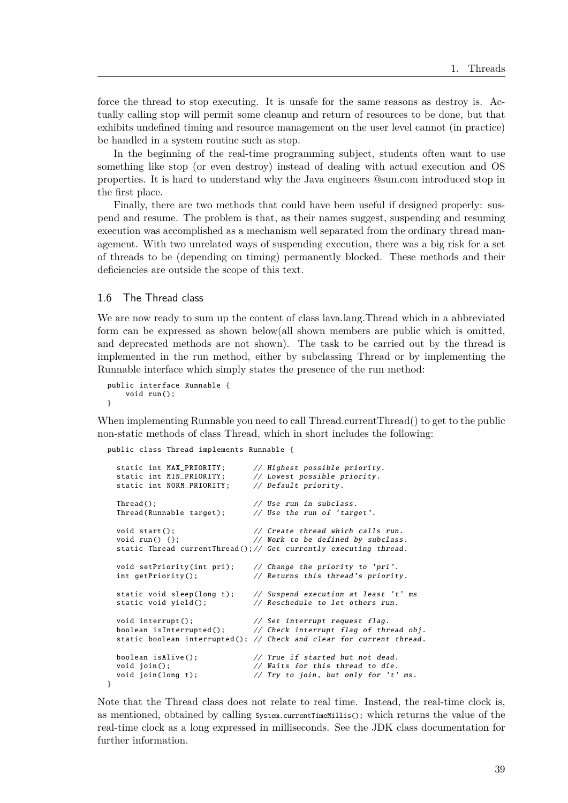force the thread to stop executing. It is unsafe for the same reasons as destroy is. Actually calling stop will permit some cleanup and return of resources to be done, but that exhibits undefined timing and resource management on the user level cannot (in practice) be handled in a system routine such as stop.

In the beginning of the real-time programming subject, students often want to use something like stop (or even destroy) instead of dealing with actual execution and OS properties. It is hard to understand why the Java engineers @sun.com introduced stop in the first place.

Finally, there are two methods that could have been useful if designed properly: suspend and resume. The problem is that, as their names suggest, suspending and resuming execution was accomplished as a mechanism well separated from the ordinary thread management. With two unrelated ways of suspending execution, there was a big risk for a set of threads to be (depending on timing) permanently blocked. These methods and their deficiencies are outside the scope of this text.

#### 1.6 The Thread class

We are now ready to sum up the content of class lava.lang.Thread which in a abbreviated form can be expressed as shown below(all shown members are public which is omitted, and deprecated methods are not shown). The task to be carried out by the thread is implemented in the run method, either by subclassing Thread or by implementing the Runnable interface which simply states the presence of the run method:

```
public interface Runnable {
    void run ();
}
```
}

When implementing Runnable you need to call Thread.currentThread() to get to the public non-static methods of class Thread, which in short includes the following:

public class Thread implements Runnable {

```
static int MAX_PRIORITY; // Highest possible priority.
static int MIN_PRIORITY; // Lowest possible priority.
static int NORM_PRIORITY; // Default priority.
Thread (): Thread (): Thread (): \frac{1}{2} and \frac{1}{2} are \frac{1}{2} and \frac{1}{2} are \frac{1}{2} and \frac{1}{2} are \frac{1}{2} are \frac{1}{2} and \frac{1}{2} are \frac{1}{2} are \frac{1}{2} are \frac{1}{2} are \frac{1}{2} are \frac{1}{2Thread(Runnable target); // Use the run of 'target'.
void start (); \frac{1}{2} // Create thread which calls run.
void run() \{\}; \qquad // Work to be defined by subclass.
static Thread currentThread();// Get currently executing thread.
void setPriority(int pri); // Change the priority to 'pri'.
int getPriority(); \frac{1}{2} // Returns this thread's priority.
static void sleep(long t); // Suspend execution at least 't' ms
static void yield(); \frac{1}{2} Reschedule to let others run.
void interrupt(); \frac{1}{2} // Set interrupt request flag.
boolean isInterrupted (); // Check interrupt flag of thread obj.
static boolean interrupted(); // Check and clear for current thread.
boolean isAlive(); // True if started but not dead.void join(); \frac{1}{2} // Waits for this thread to die.
void join(long t); \frac{1}{2} // Try to join, but only for 't' ms.
```
Note that the Thread class does not relate to real time. Instead, the real-time clock is, as mentioned, obtained by calling  $s$ ystem.currentTimeMillis(); which returns the value of the real-time clock as a long expressed in milliseconds. See the JDK class documentation for further information.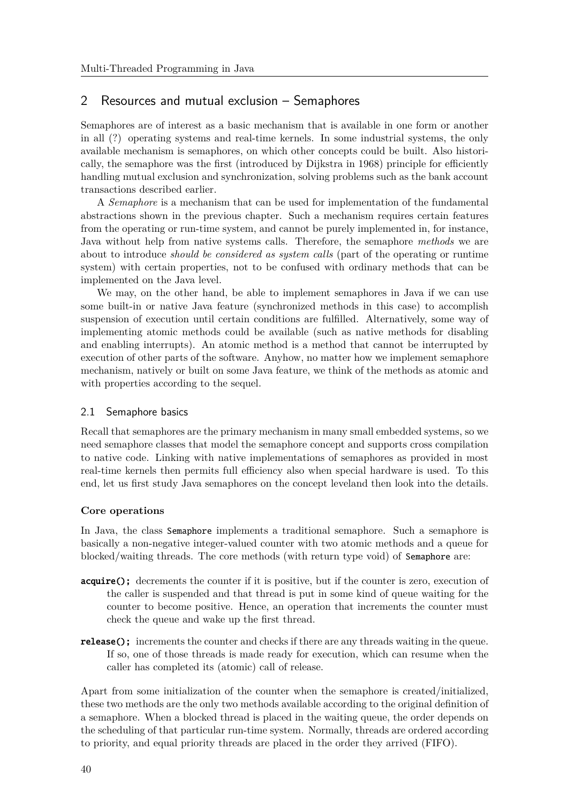# 2 Resources and mutual exclusion – Semaphores

Semaphores are of interest as a basic mechanism that is available in one form or another in all (?) operating systems and real-time kernels. In some industrial systems, the only available mechanism is semaphores, on which other concepts could be built. Also historically, the semaphore was the first (introduced by Dijkstra in 1968) principle for efficiently handling mutual exclusion and synchronization, solving problems such as the bank account transactions described earlier.

A *Semaphore* is a mechanism that can be used for implementation of the fundamental abstractions shown in the previous chapter. Such a mechanism requires certain features from the operating or run-time system, and cannot be purely implemented in, for instance, Java without help from native systems calls. Therefore, the semaphore *methods* we are about to introduce *should be considered as system calls* (part of the operating or runtime system) with certain properties, not to be confused with ordinary methods that can be implemented on the Java level.

We may, on the other hand, be able to implement semaphores in Java if we can use some built-in or native Java feature (synchronized methods in this case) to accomplish suspension of execution until certain conditions are fulfilled. Alternatively, some way of implementing atomic methods could be available (such as native methods for disabling and enabling interrupts). An atomic method is a method that cannot be interrupted by execution of other parts of the software. Anyhow, no matter how we implement semaphore mechanism, natively or built on some Java feature, we think of the methods as atomic and with properties according to the sequel.

# 2.1 Semaphore basics

Recall that semaphores are the primary mechanism in many small embedded systems, so we need semaphore classes that model the semaphore concept and supports cross compilation to native code. Linking with native implementations of semaphores as provided in most real-time kernels then permits full efficiency also when special hardware is used. To this end, let us first study Java semaphores on the concept leveland then look into the details.

#### **Core operations**

In Java, the class Semaphore implements a traditional semaphore. Such a semaphore is basically a non-negative integer-valued counter with two atomic methods and a queue for blocked/waiting threads. The core methods (with return type void) of Semaphore are:

- acquire(); decrements the counter if it is positive, but if the counter is zero, execution of the caller is suspended and that thread is put in some kind of queue waiting for the counter to become positive. Hence, an operation that increments the counter must check the queue and wake up the first thread.
- release(); increments the counter and checks if there are any threads waiting in the queue. If so, one of those threads is made ready for execution, which can resume when the caller has completed its (atomic) call of release.

Apart from some initialization of the counter when the semaphore is created/initialized, these two methods are the only two methods available according to the original definition of a semaphore. When a blocked thread is placed in the waiting queue, the order depends on the scheduling of that particular run-time system. Normally, threads are ordered according to priority, and equal priority threads are placed in the order they arrived (FIFO).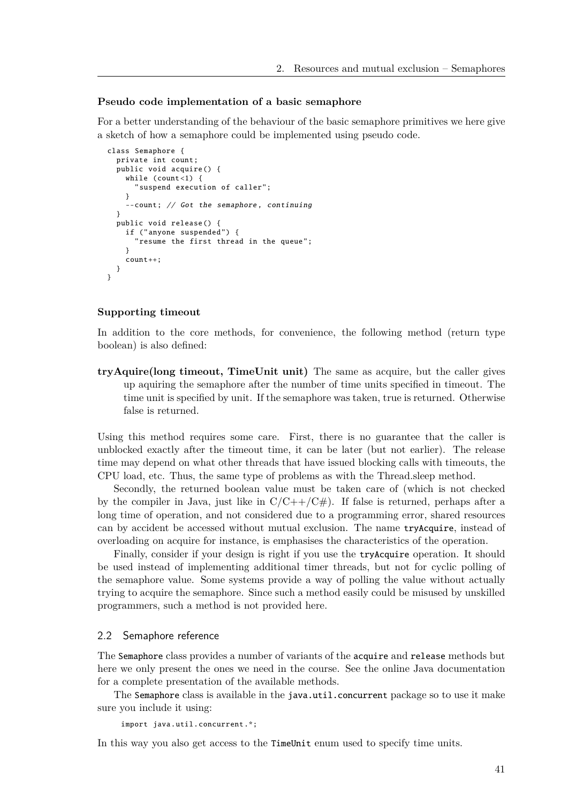#### **Pseudo code implementation of a basic semaphore**

For a better understanding of the behaviour of the basic semaphore primitives we here give a sketch of how a semaphore could be implemented using pseudo code.

```
class Semaphore {
  private int count;
  public void acquire () {
    while (count <1) {
       suspend execution of caller";
    }
    --count; // Got the semaphore , continuing
  }
  public void release () {
    if ("anyone suspended") {
       "resume the first thread in the queue";
    }
    count++:
  }
}
```
#### **Supporting timeout**

In addition to the core methods, for convenience, the following method (return type boolean) is also defined:

**tryAquire(long timeout, TimeUnit unit)** The same as acquire, but the caller gives up aquiring the semaphore after the number of time units specified in timeout. The time unit is specified by unit. If the semaphore was taken, true is returned. Otherwise false is returned.

Using this method requires some care. First, there is no guarantee that the caller is unblocked exactly after the timeout time, it can be later (but not earlier). The release time may depend on what other threads that have issued blocking calls with timeouts, the CPU load, etc. Thus, the same type of problems as with the Thread.sleep method.

Secondly, the returned boolean value must be taken care of (which is not checked by the compiler in Java, just like in  $C/C++/C#$ ). If false is returned, perhaps after a long time of operation, and not considered due to a programming error, shared resources can by accident be accessed without mutual exclusion. The name tryAcquire, instead of overloading on acquire for instance, is emphasises the characteristics of the operation.

Finally, consider if your design is right if you use the tryAcquire operation. It should be used instead of implementing additional timer threads, but not for cyclic polling of the semaphore value. Some systems provide a way of polling the value without actually trying to acquire the semaphore. Since such a method easily could be misused by unskilled programmers, such a method is not provided here.

#### 2.2 Semaphore reference

The Semaphore class provides a number of variants of the acquire and release methods but here we only present the ones we need in the course. See the online Java documentation for a complete presentation of the available methods.

The Semaphore class is available in the java.util.concurrent package so to use it make sure you include it using:

```
import java.util. concurrent .*;
```
In this way you also get access to the TimeUnit enum used to specify time units.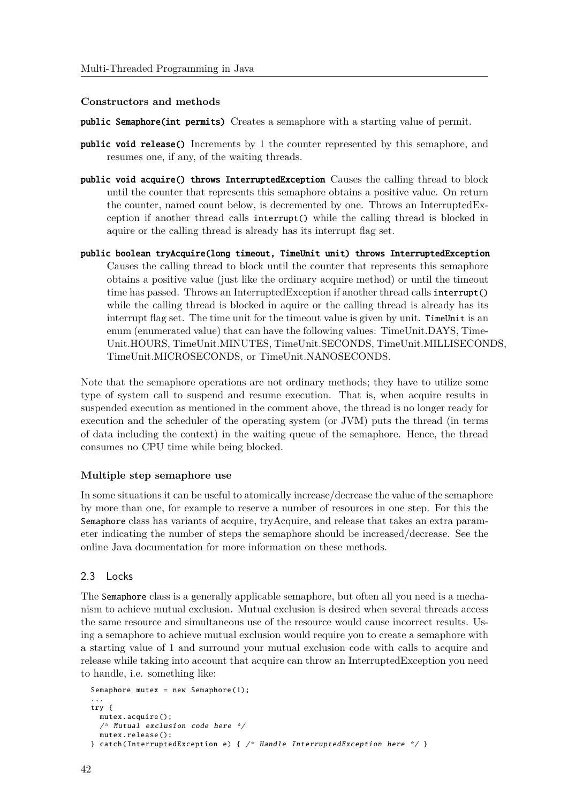#### **Constructors and methods**

- public Semaphore(int permits) Creates a semaphore with a starting value of permit.
- public void release() Increments by 1 the counter represented by this semaphore, and resumes one, if any, of the waiting threads.
- public void acquire() throws InterruptedException Causes the calling thread to block until the counter that represents this semaphore obtains a positive value. On return the counter, named count below, is decremented by one. Throws an InterruptedException if another thread calls interrupt() while the calling thread is blocked in aquire or the calling thread is already has its interrupt flag set.
- public boolean tryAcquire(long timeout, TimeUnit unit) throws InterruptedException Causes the calling thread to block until the counter that represents this semaphore obtains a positive value (just like the ordinary acquire method) or until the timeout time has passed. Throws an InterruptedException if another thread calls interrupt() while the calling thread is blocked in aquire or the calling thread is already has its interrupt flag set. The time unit for the timeout value is given by unit. TimeUnit is an enum (enumerated value) that can have the following values: TimeUnit.DAYS, Time-Unit.HOURS, TimeUnit.MINUTES, TimeUnit.SECONDS, TimeUnit.MILLISECONDS, TimeUnit.MICROSECONDS, or TimeUnit.NANOSECONDS.

Note that the semaphore operations are not ordinary methods; they have to utilize some type of system call to suspend and resume execution. That is, when acquire results in suspended execution as mentioned in the comment above, the thread is no longer ready for execution and the scheduler of the operating system (or JVM) puts the thread (in terms of data including the context) in the waiting queue of the semaphore. Hence, the thread consumes no CPU time while being blocked.

#### **Multiple step semaphore use**

In some situations it can be useful to atomically increase/decrease the value of the semaphore by more than one, for example to reserve a number of resources in one step. For this the Semaphore class has variants of acquire, tryAcquire, and release that takes an extra parameter indicating the number of steps the semaphore should be increased/decrease. See the online Java documentation for more information on these methods.

# 2.3 Locks

The Semaphore class is a generally applicable semaphore, but often all you need is a mechanism to achieve mutual exclusion. Mutual exclusion is desired when several threads access the same resource and simultaneous use of the resource would cause incorrect results. Using a semaphore to achieve mutual exclusion would require you to create a semaphore with a starting value of 1 and surround your mutual exclusion code with calls to acquire and release while taking into account that acquire can throw an InterruptedException you need to handle, i.e. something like:

```
Semaphore mutex = new Semaphore (1);
...
try {
 mutes.acquire():
 /* Mutual exclusion code here */
 mutex.release ();
} catch( InterruptedException e) { /* Handle InterruptedException here */ }
```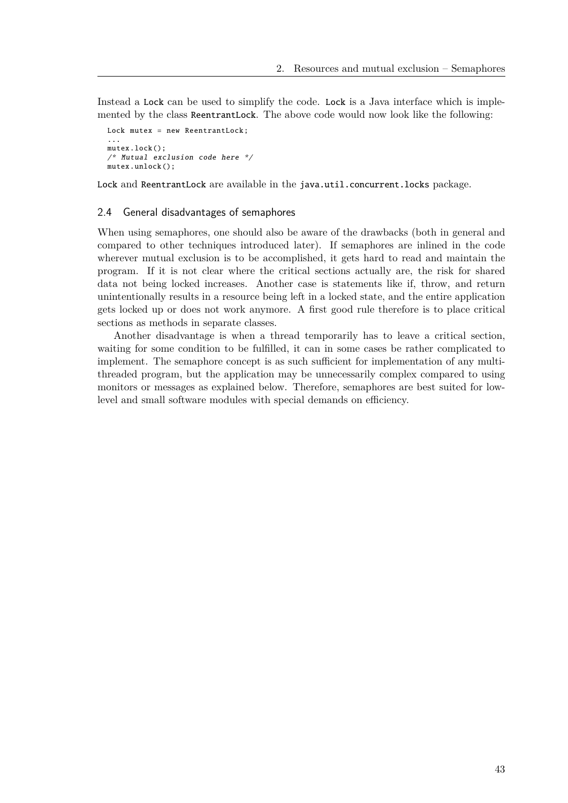Instead a Lock can be used to simplify the code. Lock is a Java interface which is implemented by the class ReentrantLock. The above code would now look like the following:

```
Lock mutex = new ReentrantLock;
...
mutes.lock():
/* Mutual exclusion code here */
mutex.unlock():
```
Lock and ReentrantLock are available in the java.util.concurrent.locks package.

#### 2.4 General disadvantages of semaphores

When using semaphores, one should also be aware of the drawbacks (both in general and compared to other techniques introduced later). If semaphores are inlined in the code wherever mutual exclusion is to be accomplished, it gets hard to read and maintain the program. If it is not clear where the critical sections actually are, the risk for shared data not being locked increases. Another case is statements like if, throw, and return unintentionally results in a resource being left in a locked state, and the entire application gets locked up or does not work anymore. A first good rule therefore is to place critical sections as methods in separate classes.

Another disadvantage is when a thread temporarily has to leave a critical section, waiting for some condition to be fulfilled, it can in some cases be rather complicated to implement. The semaphore concept is as such sufficient for implementation of any multithreaded program, but the application may be unnecessarily complex compared to using monitors or messages as explained below. Therefore, semaphores are best suited for lowlevel and small software modules with special demands on efficiency.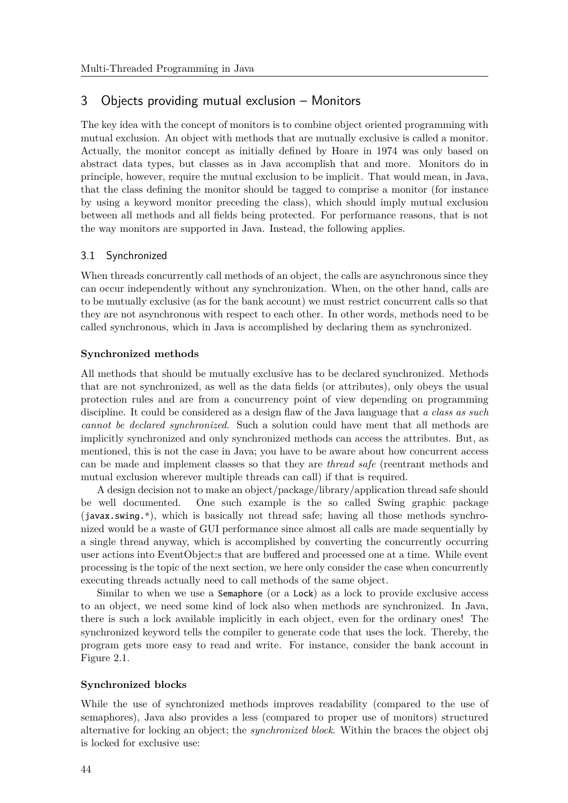# 3 Objects providing mutual exclusion – Monitors

The key idea with the concept of monitors is to combine object oriented programming with mutual exclusion. An object with methods that are mutually exclusive is called a monitor. Actually, the monitor concept as initially defined by Hoare in 1974 was only based on abstract data types, but classes as in Java accomplish that and more. Monitors do in principle, however, require the mutual exclusion to be implicit. That would mean, in Java, that the class defining the monitor should be tagged to comprise a monitor (for instance by using a keyword monitor preceding the class), which should imply mutual exclusion between all methods and all fields being protected. For performance reasons, that is not the way monitors are supported in Java. Instead, the following applies.

# 3.1 Synchronized

When threads concurrently call methods of an object, the calls are asynchronous since they can occur independently without any synchronization. When, on the other hand, calls are to be mutually exclusive (as for the bank account) we must restrict concurrent calls so that they are not asynchronous with respect to each other. In other words, methods need to be called synchronous, which in Java is accomplished by declaring them as synchronized.

# **Synchronized methods**

All methods that should be mutually exclusive has to be declared synchronized. Methods that are not synchronized, as well as the data fields (or attributes), only obeys the usual protection rules and are from a concurrency point of view depending on programming discipline. It could be considered as a design flaw of the Java language that *a class as such cannot be declared synchronized*. Such a solution could have ment that all methods are implicitly synchronized and only synchronized methods can access the attributes. But, as mentioned, this is not the case in Java; you have to be aware about how concurrent access can be made and implement classes so that they are *thread safe* (reentrant methods and mutual exclusion wherever multiple threads can call) if that is required.

A design decision not to make an object/package/library/application thread safe should be well documented. One such example is the so called Swing graphic package (javax.swing.\*), which is basically not thread safe; having all those methods synchronized would be a waste of GUI performance since almost all calls are made sequentially by a single thread anyway, which is accomplished by converting the concurrently occurring user actions into EventObject:s that are buffered and processed one at a time. While event processing is the topic of the next section, we here only consider the case when concurrently executing threads actually need to call methods of the same object.

Similar to when we use a Semaphore (or a Lock) as a lock to provide exclusive access to an object, we need some kind of lock also when methods are synchronized. In Java, there is such a lock available implicitly in each object, even for the ordinary ones! The synchronized keyword tells the compiler to generate code that uses the lock. Thereby, the program gets more easy to read and write. For instance, consider the bank account in Figure 2.1.

# **Synchronized blocks**

While the use of synchronized methods improves readability (compared to the use of semaphores), Java also provides a less (compared to proper use of monitors) structured alternative for locking an object; the *synchronized block*. Within the braces the object obj is locked for exclusive use: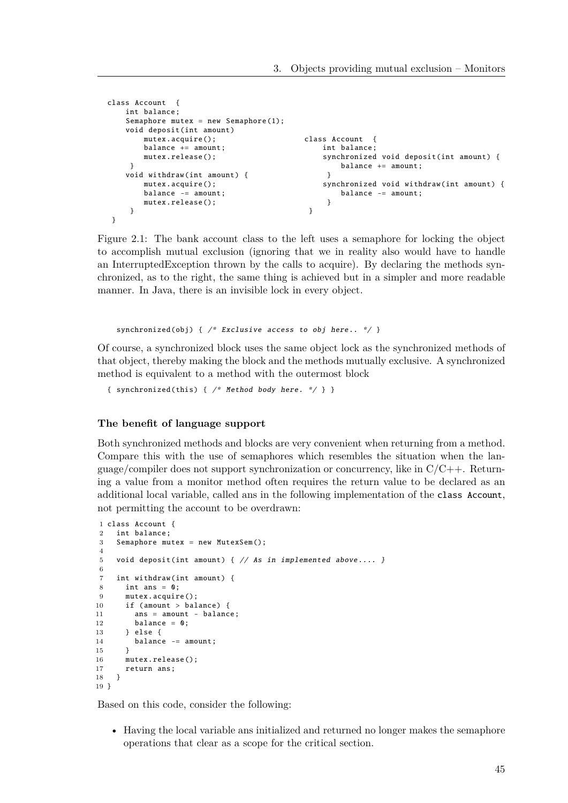```
class Account {
    int balance;
    Semaphore mutex = new Semaphore (1);
    void deposit(int amount)
        mutex.acquire ();
        balance += amount:
        mutex.release ();
     }
    void withdraw (int amount) {
        mutex.acquire ();
        balance -= amount;
        mutex.release ();
     }
 }
                                             class Account {
                                                 int balance;
                                                 synchronized void deposit(int amount) {
                                                     balance += amount;
                                                  }
                                                 synchronized void withdraw(int amount) {
                                                      balance -= amount;
                                                  }
                                              }
```
Figure 2.1: The bank account class to the left uses a semaphore for locking the object to accomplish mutual exclusion (ignoring that we in reality also would have to handle an InterruptedException thrown by the calls to acquire). By declaring the methods synchronized, as to the right, the same thing is achieved but in a simpler and more readable manner. In Java, there is an invisible lock in every object.

synchronized (obj) {  $/*$  Exclusive access to obj here..  $*/$  }

Of course, a synchronized block uses the same object lock as the synchronized methods of that object, thereby making the block and the methods mutually exclusive. A synchronized method is equivalent to a method with the outermost block

```
{ synchronized (this) { /* Method body here. */ } }
```
#### **The benefit of language support**

Both synchronized methods and blocks are very convenient when returning from a method. Compare this with the use of semaphores which resembles the situation when the language/compiler does not support synchronization or concurrency, like in  $C/C++$ . Returning a value from a monitor method often requires the return value to be declared as an additional local variable, called ans in the following implementation of the class Account, not permitting the account to be overdrawn:

```
1 class Account {
2 int balance;
3 Semaphore mutex = new MutexSem():
4
5 void deposit(int amount) { // As in implemented above .... }
6
7 int withdraw(int amount) {
8 int ans = 0:
9 mutex.acquire ();
10 if (amount > balance) {
11 ans = amount = halance;
12 balance = 0:
13 } else {
14 balance -= amount;
15 }
16 mutex.release();
17 return ans;
18 }
10<sup>1</sup>
```
Based on this code, consider the following:

• Having the local variable ans initialized and returned no longer makes the semaphore operations that clear as a scope for the critical section.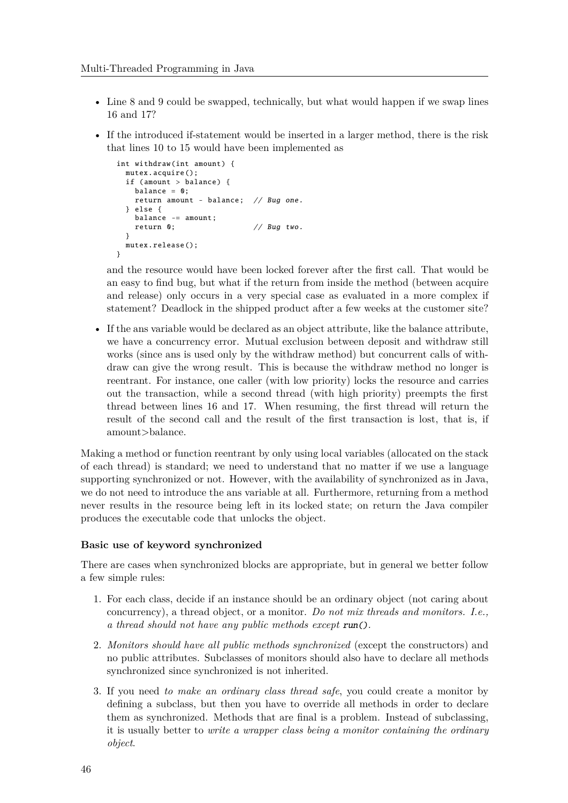- Line 8 and 9 could be swapped, technically, but what would happen if we swap lines 16 and 17?
- If the introduced if-statement would be inserted in a larger method, there is the risk that lines 10 to 15 would have been implemented as

```
int withdraw(int amount) {
 mutex.acquire ();
 if (amount > balance) {
   balance = 0:
   return amount - balance; // Bug one.
 } else {
   balance - amount:
   return 0; // Bug two.
 }
 mutex.release ();
}
```
and the resource would have been locked forever after the first call. That would be an easy to find bug, but what if the return from inside the method (between acquire and release) only occurs in a very special case as evaluated in a more complex if statement? Deadlock in the shipped product after a few weeks at the customer site?

• If the ans variable would be declared as an object attribute, like the balance attribute, we have a concurrency error. Mutual exclusion between deposit and withdraw still works (since ans is used only by the withdraw method) but concurrent calls of withdraw can give the wrong result. This is because the withdraw method no longer is reentrant. For instance, one caller (with low priority) locks the resource and carries out the transaction, while a second thread (with high priority) preempts the first thread between lines 16 and 17. When resuming, the first thread will return the result of the second call and the result of the first transaction is lost, that is, if amount>balance.

Making a method or function reentrant by only using local variables (allocated on the stack of each thread) is standard; we need to understand that no matter if we use a language supporting synchronized or not. However, with the availability of synchronized as in Java, we do not need to introduce the ans variable at all. Furthermore, returning from a method never results in the resource being left in its locked state; on return the Java compiler produces the executable code that unlocks the object.

#### **Basic use of keyword synchronized**

There are cases when synchronized blocks are appropriate, but in general we better follow a few simple rules:

- 1. For each class, decide if an instance should be an ordinary object (not caring about concurrency), a thread object, or a monitor. *Do not mix threads and monitors. I.e., a thread should not have any public methods except* run()*.*
- 2. *Monitors should have all public methods synchronized* (except the constructors) and no public attributes. Subclasses of monitors should also have to declare all methods synchronized since synchronized is not inherited.
- 3. If you need *to make an ordinary class thread safe*, you could create a monitor by defining a subclass, but then you have to override all methods in order to declare them as synchronized. Methods that are final is a problem. Instead of subclassing, it is usually better to *write a wrapper class being a monitor containing the ordinary object*.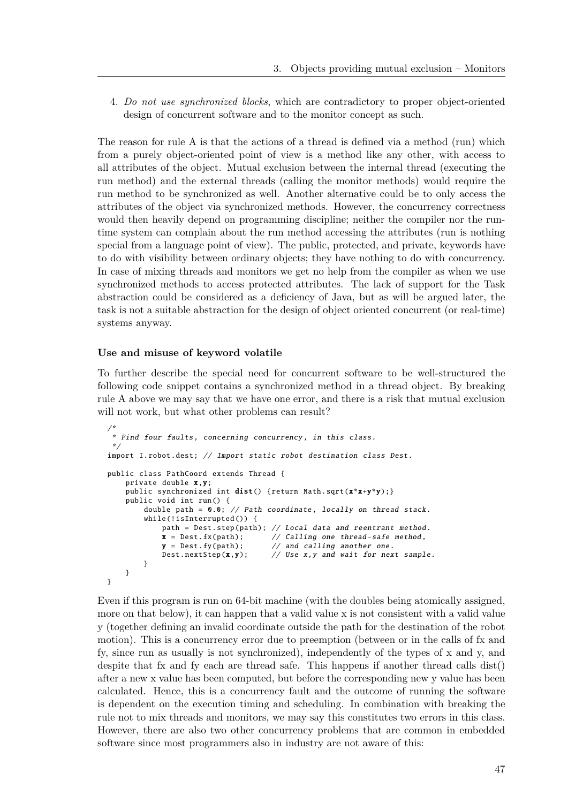4. *Do not use synchronized blocks*, which are contradictory to proper object-oriented design of concurrent software and to the monitor concept as such.

The reason for rule A is that the actions of a thread is defined via a method (run) which from a purely object-oriented point of view is a method like any other, with access to all attributes of the object. Mutual exclusion between the internal thread (executing the run method) and the external threads (calling the monitor methods) would require the run method to be synchronized as well. Another alternative could be to only access the attributes of the object via synchronized methods. However, the concurrency correctness would then heavily depend on programming discipline; neither the compiler nor the runtime system can complain about the run method accessing the attributes (run is nothing special from a language point of view). The public, protected, and private, keywords have to do with visibility between ordinary objects; they have nothing to do with concurrency. In case of mixing threads and monitors we get no help from the compiler as when we use synchronized methods to access protected attributes. The lack of support for the Task abstraction could be considered as a deficiency of Java, but as will be argued later, the task is not a suitable abstraction for the design of object oriented concurrent (or real-time) systems anyway.

#### **Use and misuse of keyword volatile**

To further describe the special need for concurrent software to be well-structured the following code snippet contains a synchronized method in a thread object. By breaking rule A above we may say that we have one error, and there is a risk that mutual exclusion will not work, but what other problems can result?

```
/*
 * Find four faults , concerning concurrency , in this class.
 */
import I.robot.dest; // Import static robot destination class Dest.
public class PathCoord extends Thread {
    private double x,y;
    public synchronized int dist() {return Math.sqrt(x*x+y*y);}
    public void int run () {
        double path = 0.0; // Path coordinate, locally on thread stack.
        while(!isInterrupted()) {
            path = Dest.step(path); // Local data and reentrant method.
            x = \text{Dest.fx(path)}; // Calling one thread-safe method,
            y = \text{Dest.fy(path)}; // and calling another one.
            Dest. nextStep(x,y); // Use x, y and wait for next sample.
        }
    }
}
```
Even if this program is run on 64-bit machine (with the doubles being atomically assigned, more on that below), it can happen that a valid value x is not consistent with a valid value y (together defining an invalid coordinate outside the path for the destination of the robot motion). This is a concurrency error due to preemption (between or in the calls of fx and fy, since run as usually is not synchronized), independently of the types of x and y, and despite that fx and fy each are thread safe. This happens if another thread calls dist() after a new x value has been computed, but before the corresponding new y value has been calculated. Hence, this is a concurrency fault and the outcome of running the software is dependent on the execution timing and scheduling. In combination with breaking the rule not to mix threads and monitors, we may say this constitutes two errors in this class. However, there are also two other concurrency problems that are common in embedded software since most programmers also in industry are not aware of this: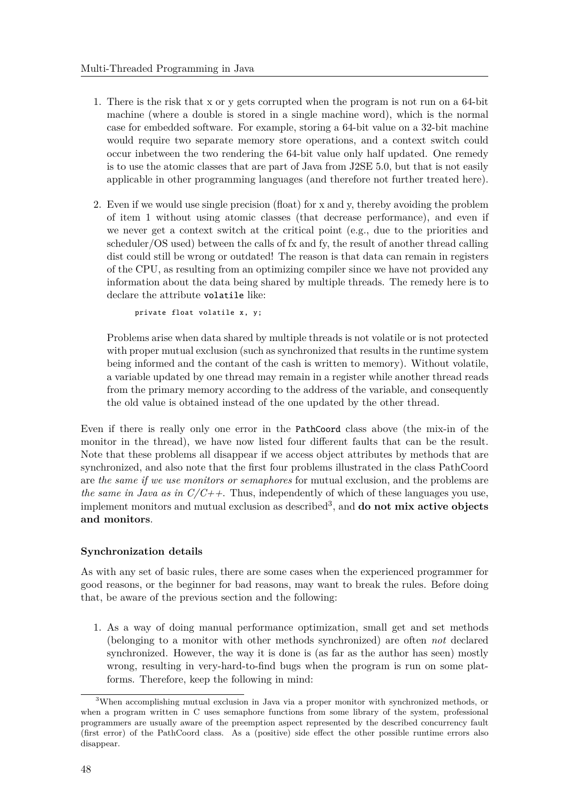- 1. There is the risk that x or y gets corrupted when the program is not run on a 64-bit machine (where a double is stored in a single machine word), which is the normal case for embedded software. For example, storing a 64-bit value on a 32-bit machine would require two separate memory store operations, and a context switch could occur inbetween the two rendering the 64-bit value only half updated. One remedy is to use the atomic classes that are part of Java from J2SE 5.0, but that is not easily applicable in other programming languages (and therefore not further treated here).
- 2. Even if we would use single precision (float) for x and y, thereby avoiding the problem of item 1 without using atomic classes (that decrease performance), and even if we never get a context switch at the critical point (e.g., due to the priorities and scheduler/OS used) between the calls of fx and fy, the result of another thread calling dist could still be wrong or outdated! The reason is that data can remain in registers of the CPU, as resulting from an optimizing compiler since we have not provided any information about the data being shared by multiple threads. The remedy here is to declare the attribute volatile like:

private float volatile x, y;

Problems arise when data shared by multiple threads is not volatile or is not protected with proper mutual exclusion (such as synchronized that results in the runtime system being informed and the contant of the cash is written to memory). Without volatile, a variable updated by one thread may remain in a register while another thread reads from the primary memory according to the address of the variable, and consequently the old value is obtained instead of the one updated by the other thread.

Even if there is really only one error in the PathCoord class above (the mix-in of the monitor in the thread), we have now listed four different faults that can be the result. Note that these problems all disappear if we access object attributes by methods that are synchronized, and also note that the first four problems illustrated in the class PathCoord are *the same if we use monitors or semaphores* for mutual exclusion, and the problems are *the same in Java as in C/C++*. Thus, independently of which of these languages you use, implement monitors and mutual exclusion as described<sup>3</sup> , and **do not mix active objects and monitors**.

# **Synchronization details**

As with any set of basic rules, there are some cases when the experienced programmer for good reasons, or the beginner for bad reasons, may want to break the rules. Before doing that, be aware of the previous section and the following:

1. As a way of doing manual performance optimization, small get and set methods (belonging to a monitor with other methods synchronized) are often *not* declared synchronized. However, the way it is done is (as far as the author has seen) mostly wrong, resulting in very-hard-to-find bugs when the program is run on some platforms. Therefore, keep the following in mind:

<sup>&</sup>lt;sup>3</sup>When accomplishing mutual exclusion in Java via a proper monitor with synchronized methods, or when a program written in C uses semaphore functions from some library of the system, professional programmers are usually aware of the preemption aspect represented by the described concurrency fault (first error) of the PathCoord class. As a (positive) side effect the other possible runtime errors also disappear.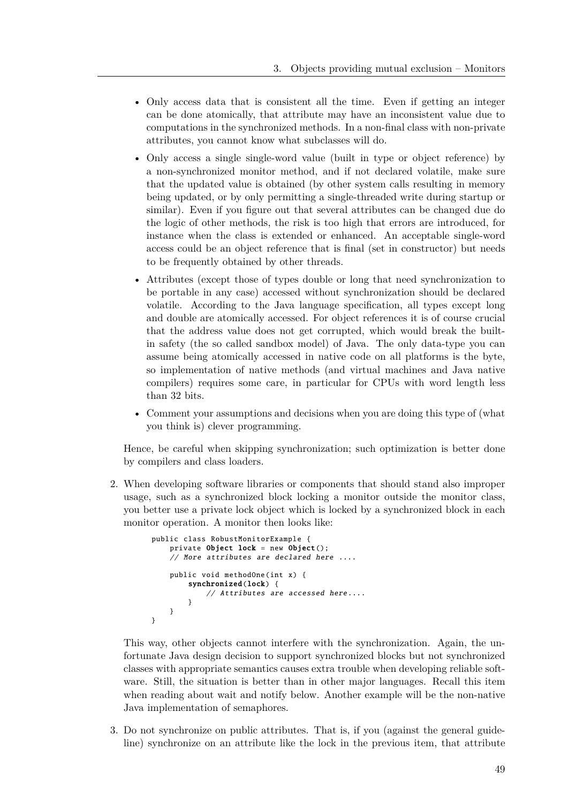- Only access data that is consistent all the time. Even if getting an integer can be done atomically, that attribute may have an inconsistent value due to computations in the synchronized methods. In a non-final class with non-private attributes, you cannot know what subclasses will do.
- Only access a single single-word value (built in type or object reference) by a non-synchronized monitor method, and if not declared volatile, make sure that the updated value is obtained (by other system calls resulting in memory being updated, or by only permitting a single-threaded write during startup or similar). Even if you figure out that several attributes can be changed due do the logic of other methods, the risk is too high that errors are introduced, for instance when the class is extended or enhanced. An acceptable single-word access could be an object reference that is final (set in constructor) but needs to be frequently obtained by other threads.
- Attributes (except those of types double or long that need synchronization to be portable in any case) accessed without synchronization should be declared volatile. According to the Java language specification, all types except long and double are atomically accessed. For object references it is of course crucial that the address value does not get corrupted, which would break the builtin safety (the so called sandbox model) of Java. The only data-type you can assume being atomically accessed in native code on all platforms is the byte, so implementation of native methods (and virtual machines and Java native compilers) requires some care, in particular for CPUs with word length less than 32 bits.
- Comment your assumptions and decisions when you are doing this type of (what you think is) clever programming.

Hence, be careful when skipping synchronization; such optimization is better done by compilers and class loaders.

2. When developing software libraries or components that should stand also improper usage, such as a synchronized block locking a monitor outside the monitor class, you better use a private lock object which is locked by a synchronized block in each monitor operation. A monitor then looks like:

```
public class RobustMonitorExample {
   private Object lock = new Object();
   // More attributes are declared here ....
    public void methodOne (int x) {
        synchronized(lock) {
            // Attributes are accessed here....
        }
   }
}
```
This way, other objects cannot interfere with the synchronization. Again, the unfortunate Java design decision to support synchronized blocks but not synchronized classes with appropriate semantics causes extra trouble when developing reliable software. Still, the situation is better than in other major languages. Recall this item when reading about wait and notify below. Another example will be the non-native Java implementation of semaphores.

3. Do not synchronize on public attributes. That is, if you (against the general guideline) synchronize on an attribute like the lock in the previous item, that attribute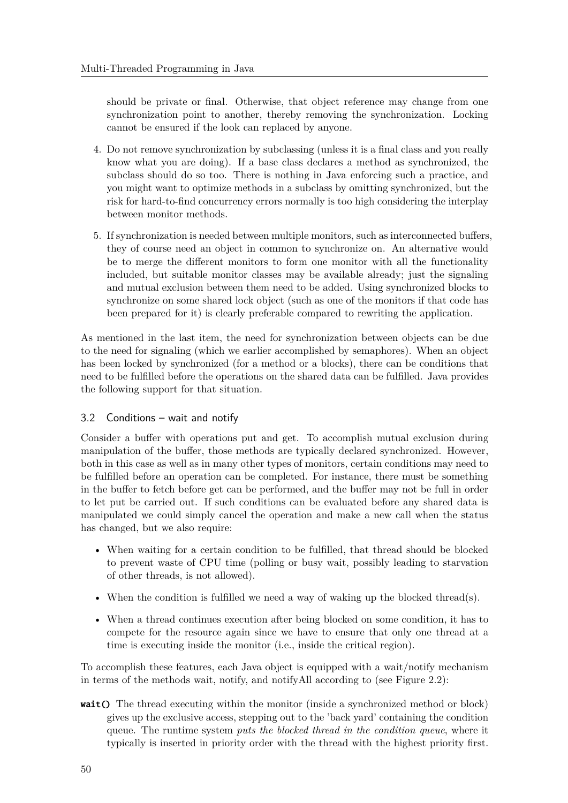should be private or final. Otherwise, that object reference may change from one synchronization point to another, thereby removing the synchronization. Locking cannot be ensured if the look can replaced by anyone.

- 4. Do not remove synchronization by subclassing (unless it is a final class and you really know what you are doing). If a base class declares a method as synchronized, the subclass should do so too. There is nothing in Java enforcing such a practice, and you might want to optimize methods in a subclass by omitting synchronized, but the risk for hard-to-find concurrency errors normally is too high considering the interplay between monitor methods.
- 5. If synchronization is needed between multiple monitors, such as interconnected buffers, they of course need an object in common to synchronize on. An alternative would be to merge the different monitors to form one monitor with all the functionality included, but suitable monitor classes may be available already; just the signaling and mutual exclusion between them need to be added. Using synchronized blocks to synchronize on some shared lock object (such as one of the monitors if that code has been prepared for it) is clearly preferable compared to rewriting the application.

As mentioned in the last item, the need for synchronization between objects can be due to the need for signaling (which we earlier accomplished by semaphores). When an object has been locked by synchronized (for a method or a blocks), there can be conditions that need to be fulfilled before the operations on the shared data can be fulfilled. Java provides the following support for that situation.

# 3.2 Conditions – wait and notify

Consider a buffer with operations put and get. To accomplish mutual exclusion during manipulation of the buffer, those methods are typically declared synchronized. However, both in this case as well as in many other types of monitors, certain conditions may need to be fulfilled before an operation can be completed. For instance, there must be something in the buffer to fetch before get can be performed, and the buffer may not be full in order to let put be carried out. If such conditions can be evaluated before any shared data is manipulated we could simply cancel the operation and make a new call when the status has changed, but we also require:

- When waiting for a certain condition to be fulfilled, that thread should be blocked to prevent waste of CPU time (polling or busy wait, possibly leading to starvation of other threads, is not allowed).
- When the condition is fulfilled we need a way of waking up the blocked thread(s).
- When a thread continues execution after being blocked on some condition, it has to compete for the resource again since we have to ensure that only one thread at a time is executing inside the monitor (i.e., inside the critical region).

To accomplish these features, each Java object is equipped with a wait/notify mechanism in terms of the methods wait, notify, and notifyAll according to (see Figure 2.2):

wait() The thread executing within the monitor (inside a synchronized method or block) gives up the exclusive access, stepping out to the 'back yard' containing the condition queue. The runtime system *puts the blocked thread in the condition queue*, where it typically is inserted in priority order with the thread with the highest priority first.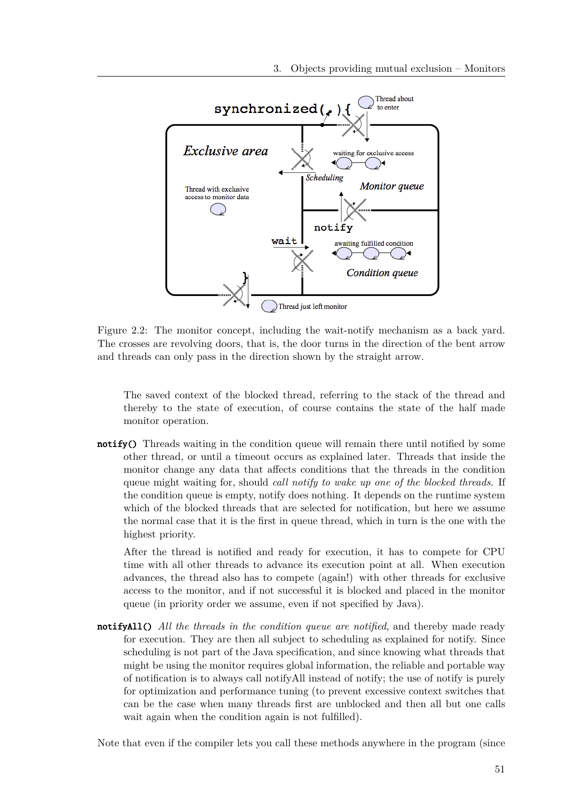

Figure 2.2: The monitor concept, including the wait-notify mechanism as a back yard. The crosses are revolving doors, that is, the door turns in the direction of the bent arrow and threads can only pass in the direction shown by the straight arrow.

The saved context of the blocked thread, referring to the stack of the thread and thereby to the state of execution, of course contains the state of the half made monitor operation.

notify() Threads waiting in the condition queue will remain there until notified by some other thread, or until a timeout occurs as explained later. Threads that inside the monitor change any data that affects conditions that the threads in the condition queue might waiting for, should *call notify to wake up one of the blocked threads*. If the condition queue is empty, notify does nothing. It depends on the runtime system which of the blocked threads that are selected for notification, but here we assume the normal case that it is the first in queue thread, which in turn is the one with the highest priority.

After the thread is notified and ready for execution, it has to compete for CPU time with all other threads to advance its execution point at all. When execution advances, the thread also has to compete (again!) with other threads for exclusive access to the monitor, and if not successful it is blocked and placed in the monitor queue (in priority order we assume, even if not specified by Java).

notifyAll() *All the threads in the condition queue are notified*, and thereby made ready for execution. They are then all subject to scheduling as explained for notify. Since scheduling is not part of the Java specification, and since knowing what threads that might be using the monitor requires global information, the reliable and portable way of notification is to always call notifyAll instead of notify; the use of notify is purely for optimization and performance tuning (to prevent excessive context switches that can be the case when many threads first are unblocked and then all but one calls wait again when the condition again is not fulfilled).

Note that even if the compiler lets you call these methods anywhere in the program (since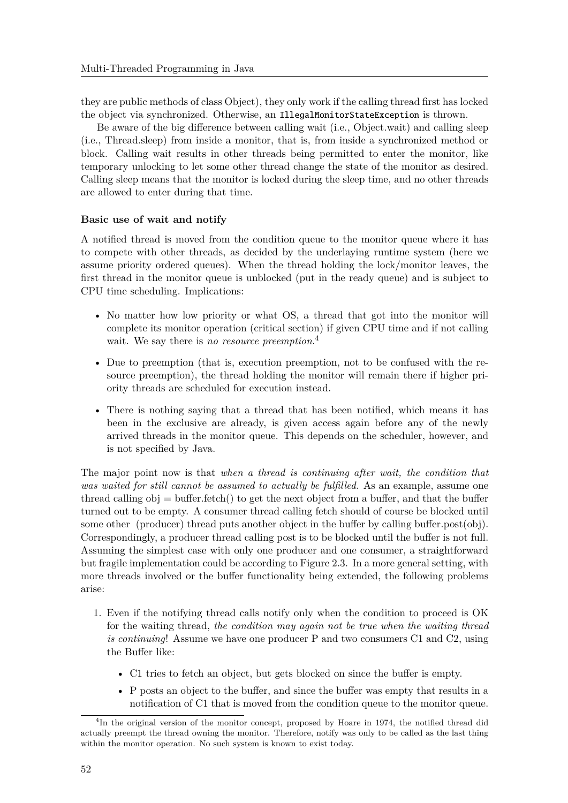they are public methods of class Object), they only work if the calling thread first has locked the object via synchronized. Otherwise, an IllegalMonitorStateException is thrown.

Be aware of the big difference between calling wait (i.e., Object.wait) and calling sleep (i.e., Thread.sleep) from inside a monitor, that is, from inside a synchronized method or block. Calling wait results in other threads being permitted to enter the monitor, like temporary unlocking to let some other thread change the state of the monitor as desired. Calling sleep means that the monitor is locked during the sleep time, and no other threads are allowed to enter during that time.

### **Basic use of wait and notify**

A notified thread is moved from the condition queue to the monitor queue where it has to compete with other threads, as decided by the underlaying runtime system (here we assume priority ordered queues). When the thread holding the lock/monitor leaves, the first thread in the monitor queue is unblocked (put in the ready queue) and is subject to CPU time scheduling. Implications:

- No matter how low priority or what OS, a thread that got into the monitor will complete its monitor operation (critical section) if given CPU time and if not calling wait. We say there is *no resource preemption*. 4
- Due to preemption (that is, execution preemption, not to be confused with the resource preemption), the thread holding the monitor will remain there if higher priority threads are scheduled for execution instead.
- There is nothing saying that a thread that has been notified, which means it has been in the exclusive are already, is given access again before any of the newly arrived threads in the monitor queue. This depends on the scheduler, however, and is not specified by Java.

The major point now is that *when a thread is continuing after wait, the condition that was waited for still cannot be assumed to actually be fulfilled*. As an example, assume one thread calling  $obj = buffer.fetch()$  to get the next object from a buffer, and that the buffer turned out to be empty. A consumer thread calling fetch should of course be blocked until some other (producer) thread puts another object in the buffer by calling buffer.post(obj). Correspondingly, a producer thread calling post is to be blocked until the buffer is not full. Assuming the simplest case with only one producer and one consumer, a straightforward but fragile implementation could be according to Figure 2.3. In a more general setting, with more threads involved or the buffer functionality being extended, the following problems arise:

- 1. Even if the notifying thread calls notify only when the condition to proceed is OK for the waiting thread, *the condition may again not be true when the waiting thread is continuing*! Assume we have one producer P and two consumers C1 and C2, using the Buffer like:
	- C1 tries to fetch an object, but gets blocked on since the buffer is empty.
	- P posts an object to the buffer, and since the buffer was empty that results in a notification of C1 that is moved from the condition queue to the monitor queue.

<sup>&</sup>lt;sup>4</sup>In the original version of the monitor concept, proposed by Hoare in 1974, the notified thread did actually preempt the thread owning the monitor. Therefore, notify was only to be called as the last thing within the monitor operation. No such system is known to exist today.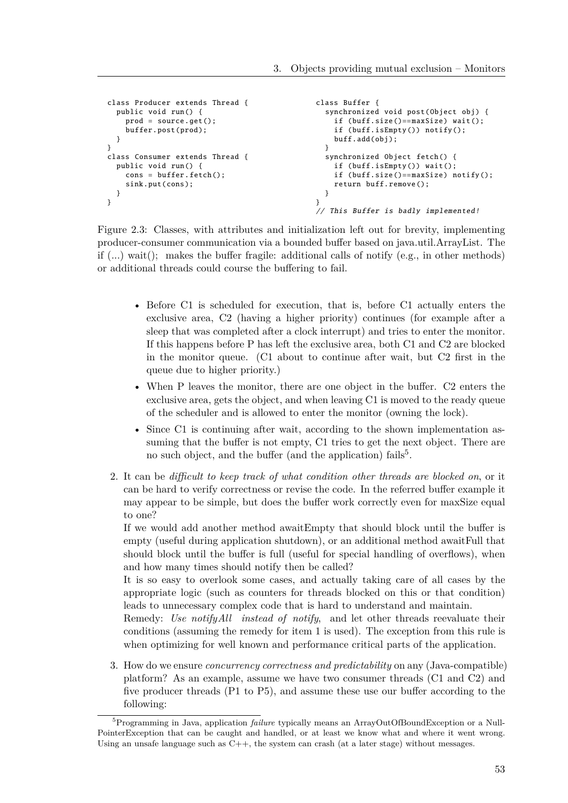```
class Producer extends Thread {
  public void run () {
    prod = source.get ();
    buffer.post(prod);
  }
}
class Consumer extends Thread {
  public void run () {
    cons = \text{buffer} fetch();
    sink.put(cons);
  }
}
                                                   class Buffer {
                                                     synchronized void post(Object obj) {
                                                       if (buff.size ()== maxSize) wait ();
                                                       if (buff.isEmpty ()) notify ();
                                                       buff.add(obj);
                                                     \mathfrak{r}synchronized Object fetch () {
                                                       if (buff.isEmpty ()) wait ();
                                                       if (buff.size ()== maxSize) notify ();
                                                       return buff.remove ();
                                                     }
                                                   }
                                                   // This Buffer is badly implemented !
```
Figure 2.3: Classes, with attributes and initialization left out for brevity, implementing producer-consumer communication via a bounded buffer based on java.util.ArrayList. The if  $(...)$  wait(); makes the buffer fragile: additional calls of notify (e.g., in other methods) or additional threads could course the buffering to fail.

- Before C1 is scheduled for execution, that is, before C1 actually enters the exclusive area, C2 (having a higher priority) continues (for example after a sleep that was completed after a clock interrupt) and tries to enter the monitor. If this happens before P has left the exclusive area, both C1 and C2 are blocked in the monitor queue. (C1 about to continue after wait, but C2 first in the queue due to higher priority.)
- When P leaves the monitor, there are one object in the buffer. C2 enters the exclusive area, gets the object, and when leaving C1 is moved to the ready queue of the scheduler and is allowed to enter the monitor (owning the lock).
- Since C1 is continuing after wait, according to the shown implementation assuming that the buffer is not empty, C1 tries to get the next object. There are no such object, and the buffer (and the application) fails<sup>5</sup>.
- 2. It can be *difficult to keep track of what condition other threads are blocked on*, or it can be hard to verify correctness or revise the code. In the referred buffer example it may appear to be simple, but does the buffer work correctly even for maxSize equal to one?

If we would add another method awaitEmpty that should block until the buffer is empty (useful during application shutdown), or an additional method awaitFull that should block until the buffer is full (useful for special handling of overflows), when and how many times should notify then be called?

It is so easy to overlook some cases, and actually taking care of all cases by the appropriate logic (such as counters for threads blocked on this or that condition) leads to unnecessary complex code that is hard to understand and maintain.

Remedy: *Use notifyAll instead of notify*, and let other threads reevaluate their conditions (assuming the remedy for item 1 is used). The exception from this rule is when optimizing for well known and performance critical parts of the application.

3. How do we ensure *concurrency correctness and predictability* on any (Java-compatible) platform? As an example, assume we have two consumer threads (C1 and C2) and five producer threads (P1 to P5), and assume these use our buffer according to the following:

<sup>5</sup>Programming in Java, application *failure* typically means an ArrayOutOfBoundException or a Null-PointerException that can be caught and handled, or at least we know what and where it went wrong. Using an unsafe language such as  $C_{++}$ , the system can crash (at a later stage) without messages.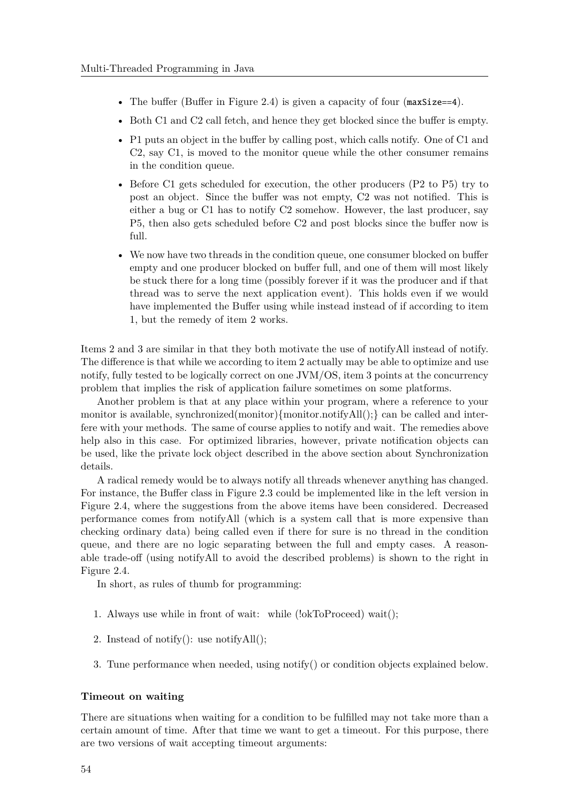- The buffer (Buffer in Figure 2.4) is given a capacity of four ( $maxSize == 4$ ).
- Both C1 and C2 call fetch, and hence they get blocked since the buffer is empty.
- P1 puts an object in the buffer by calling post, which calls notify. One of C1 and C2, say C1, is moved to the monitor queue while the other consumer remains in the condition queue.
- Before C1 gets scheduled for execution, the other producers (P2 to P5) try to post an object. Since the buffer was not empty, C2 was not notified. This is either a bug or C1 has to notify C2 somehow. However, the last producer, say P5, then also gets scheduled before C2 and post blocks since the buffer now is full.
- We now have two threads in the condition queue, one consumer blocked on buffer empty and one producer blocked on buffer full, and one of them will most likely be stuck there for a long time (possibly forever if it was the producer and if that thread was to serve the next application event). This holds even if we would have implemented the Buffer using while instead instead of if according to item 1, but the remedy of item 2 works.

Items 2 and 3 are similar in that they both motivate the use of notifyAll instead of notify. The difference is that while we according to item 2 actually may be able to optimize and use notify, fully tested to be logically correct on one JVM/OS, item 3 points at the concurrency problem that implies the risk of application failure sometimes on some platforms.

Another problem is that at any place within your program, where a reference to your monitor is available, synchronized(monitor){monitor.notifyAll();} can be called and interfere with your methods. The same of course applies to notify and wait. The remedies above help also in this case. For optimized libraries, however, private notification objects can be used, like the private lock object described in the above section about Synchronization details.

A radical remedy would be to always notify all threads whenever anything has changed. For instance, the Buffer class in Figure 2.3 could be implemented like in the left version in Figure 2.4, where the suggestions from the above items have been considered. Decreased performance comes from notifyAll (which is a system call that is more expensive than checking ordinary data) being called even if there for sure is no thread in the condition queue, and there are no logic separating between the full and empty cases. A reasonable trade-off (using notifyAll to avoid the described problems) is shown to the right in Figure 2.4.

In short, as rules of thumb for programming:

- 1. Always use while in front of wait: while (!okToProceed) wait();
- 2. Instead of notify(): use notifyAll();
- 3. Tune performance when needed, using notify() or condition objects explained below.

#### **Timeout on waiting**

There are situations when waiting for a condition to be fulfilled may not take more than a certain amount of time. After that time we want to get a timeout. For this purpose, there are two versions of wait accepting timeout arguments: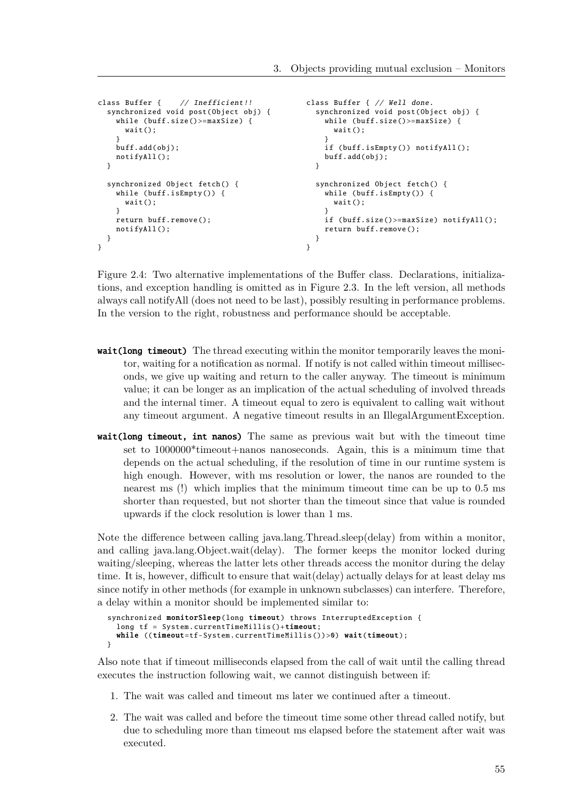```
class Buffer { // Inefficient !!
  synchronized void post(Object obj) {
    while (buff.size()>=maxSize) {
      wait();
    }
    buff.add(obj );
    notifyAll ();
  }
  synchronized Object fetch () {
    while (buff.isEmpty ()) {
      wait();
    }
    return buff.remove ();
    notifyAll ();
  }
}
                                                 class Buffer { // Well done.
                                                   synchronized void post(Object obj) {
                                                     while (buff.size()>=maxSize) {
                                                       wait();
                                                     }
                                                     if (buff.isEmpty ()) notifyAll ();
                                                     buff.add(obj );
                                                  }
                                                   synchronized Object fetch () {
                                                     while (buff.isEmpty()) {
                                                       wait();
                                                     }
                                                     if (buff.size ()>= maxSize) notifyAll ();
                                                     return buff.remove ();
                                                  }
                                                }
```
Figure 2.4: Two alternative implementations of the Buffer class. Declarations, initializations, and exception handling is omitted as in Figure 2.3. In the left version, all methods always call notifyAll (does not need to be last), possibly resulting in performance problems. In the version to the right, robustness and performance should be acceptable.

- wait(long timeout) The thread executing within the monitor temporarily leaves the monitor, waiting for a notification as normal. If notify is not called within timeout milliseconds, we give up waiting and return to the caller anyway. The timeout is minimum value; it can be longer as an implication of the actual scheduling of involved threads and the internal timer. A timeout equal to zero is equivalent to calling wait without any timeout argument. A negative timeout results in an IllegalArgumentException.
- wait(long timeout, int nanos) The same as previous wait but with the timeout time set to 1000000\*timeout+nanos nanoseconds. Again, this is a minimum time that depends on the actual scheduling, if the resolution of time in our runtime system is high enough. However, with ms resolution or lower, the nanos are rounded to the nearest ms (!) which implies that the minimum timeout time can be up to 0.5 ms shorter than requested, but not shorter than the timeout since that value is rounded upwards if the clock resolution is lower than 1 ms.

Note the difference between calling java.lang.Thread.sleep(delay) from within a monitor, and calling java.lang.Object.wait(delay). The former keeps the monitor locked during waiting/sleeping, whereas the latter lets other threads access the monitor during the delay time. It is, however, difficult to ensure that wait(delay) actually delays for at least delay ms since notify in other methods (for example in unknown subclasses) can interfere. Therefore, a delay within a monitor should be implemented similar to:

```
synchronized monitorSleep(long timeout) throws InterruptedException {
  long tf = System.currentTimeMillis() + timeout;while ((timeout=tf-System.currentTimeMillis())>0) wait(timeout);
}
```
Also note that if timeout milliseconds elapsed from the call of wait until the calling thread executes the instruction following wait, we cannot distinguish between if:

- 1. The wait was called and timeout ms later we continued after a timeout.
- 2. The wait was called and before the timeout time some other thread called notify, but due to scheduling more than timeout ms elapsed before the statement after wait was executed.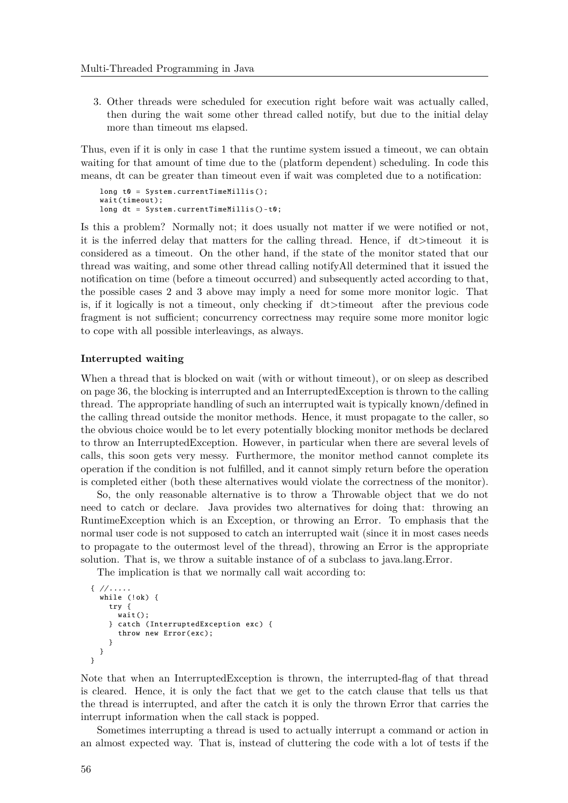3. Other threads were scheduled for execution right before wait was actually called, then during the wait some other thread called notify, but due to the initial delay more than timeout ms elapsed.

Thus, even if it is only in case 1 that the runtime system issued a timeout, we can obtain waiting for that amount of time due to the (platform dependent) scheduling. In code this means, dt can be greater than timeout even if wait was completed due to a notification:

```
long t0 = System.currentTimeMillis();
wait(timeout);
long dt = System. currentTimeMillis ()-t0;
```
Is this a problem? Normally not; it does usually not matter if we were notified or not, it is the inferred delay that matters for the calling thread. Hence, if dt>timeout it is considered as a timeout. On the other hand, if the state of the monitor stated that our thread was waiting, and some other thread calling notifyAll determined that it issued the notification on time (before a timeout occurred) and subsequently acted according to that, the possible cases 2 and 3 above may imply a need for some more monitor logic. That is, if it logically is not a timeout, only checking if dt>timeout after the previous code fragment is not sufficient; concurrency correctness may require some more monitor logic to cope with all possible interleavings, as always.

#### **Interrupted waiting**

When a thread that is blocked on wait (with or without timeout), or on sleep as described on page 36, the blocking is interrupted and an InterruptedException is thrown to the calling thread. The appropriate handling of such an interrupted wait is typically known/defined in the calling thread outside the monitor methods. Hence, it must propagate to the caller, so the obvious choice would be to let every potentially blocking monitor methods be declared to throw an InterruptedException. However, in particular when there are several levels of calls, this soon gets very messy. Furthermore, the monitor method cannot complete its operation if the condition is not fulfilled, and it cannot simply return before the operation is completed either (both these alternatives would violate the correctness of the monitor).

So, the only reasonable alternative is to throw a Throwable object that we do not need to catch or declare. Java provides two alternatives for doing that: throwing an RuntimeException which is an Exception, or throwing an Error. To emphasis that the normal user code is not supposed to catch an interrupted wait (since it in most cases needs to propagate to the outermost level of the thread), throwing an Error is the appropriate solution. That is, we throw a suitable instance of of a subclass to java.lang.Error.

The implication is that we normally call wait according to:

```
{ // .....
  while (!ok) {
    try {
      wait():
    } catch ( InterruptedException exc) {
      throw new Error(exc);
    }
 }
}
```
Note that when an InterruptedException is thrown, the interrupted-flag of that thread is cleared. Hence, it is only the fact that we get to the catch clause that tells us that the thread is interrupted, and after the catch it is only the thrown Error that carries the interrupt information when the call stack is popped.

Sometimes interrupting a thread is used to actually interrupt a command or action in an almost expected way. That is, instead of cluttering the code with a lot of tests if the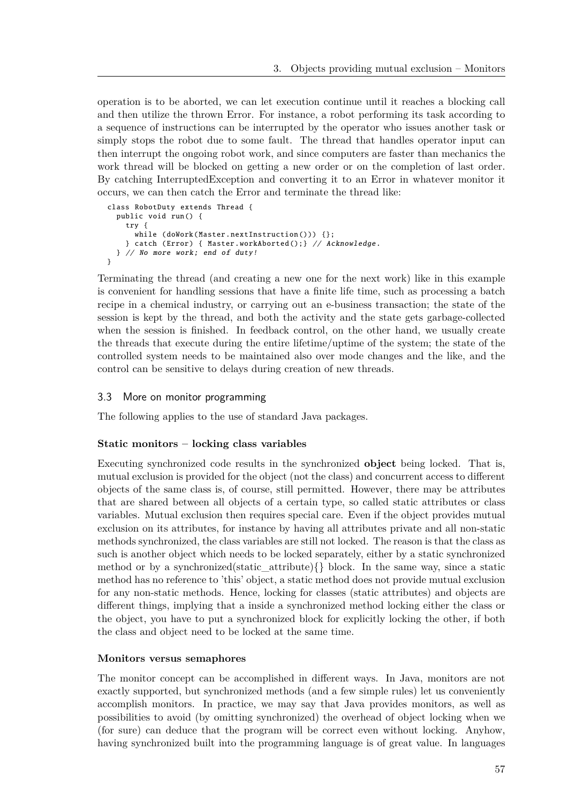operation is to be aborted, we can let execution continue until it reaches a blocking call and then utilize the thrown Error. For instance, a robot performing its task according to a sequence of instructions can be interrupted by the operator who issues another task or simply stops the robot due to some fault. The thread that handles operator input can then interrupt the ongoing robot work, and since computers are faster than mechanics the work thread will be blocked on getting a new order or on the completion of last order. By catching InterruptedException and converting it to an Error in whatever monitor it occurs, we can then catch the Error and terminate the thread like:

```
class RobotDuty extends Thread {
 public void run () {
    try {
      while (doWork(Master. nextInstruction ())) {};
    } catch (Error) { Master. workAborted ();} // Acknowledge .
 } // No more work; end of duty!
}
```
Terminating the thread (and creating a new one for the next work) like in this example is convenient for handling sessions that have a finite life time, such as processing a batch recipe in a chemical industry, or carrying out an e-business transaction; the state of the session is kept by the thread, and both the activity and the state gets garbage-collected when the session is finished. In feedback control, on the other hand, we usually create the threads that execute during the entire lifetime/uptime of the system; the state of the controlled system needs to be maintained also over mode changes and the like, and the control can be sensitive to delays during creation of new threads.

#### 3.3 More on monitor programming

The following applies to the use of standard Java packages.

#### **Static monitors – locking class variables**

Executing synchronized code results in the synchronized **object** being locked. That is, mutual exclusion is provided for the object (not the class) and concurrent access to different objects of the same class is, of course, still permitted. However, there may be attributes that are shared between all objects of a certain type, so called static attributes or class variables. Mutual exclusion then requires special care. Even if the object provides mutual exclusion on its attributes, for instance by having all attributes private and all non-static methods synchronized, the class variables are still not locked. The reason is that the class as such is another object which needs to be locked separately, either by a static synchronized method or by a synchronized(static\_attribute){} block. In the same way, since a static method has no reference to 'this' object, a static method does not provide mutual exclusion for any non-static methods. Hence, locking for classes (static attributes) and objects are different things, implying that a inside a synchronized method locking either the class or the object, you have to put a synchronized block for explicitly locking the other, if both the class and object need to be locked at the same time.

#### **Monitors versus semaphores**

The monitor concept can be accomplished in different ways. In Java, monitors are not exactly supported, but synchronized methods (and a few simple rules) let us conveniently accomplish monitors. In practice, we may say that Java provides monitors, as well as possibilities to avoid (by omitting synchronized) the overhead of object locking when we (for sure) can deduce that the program will be correct even without locking. Anyhow, having synchronized built into the programming language is of great value. In languages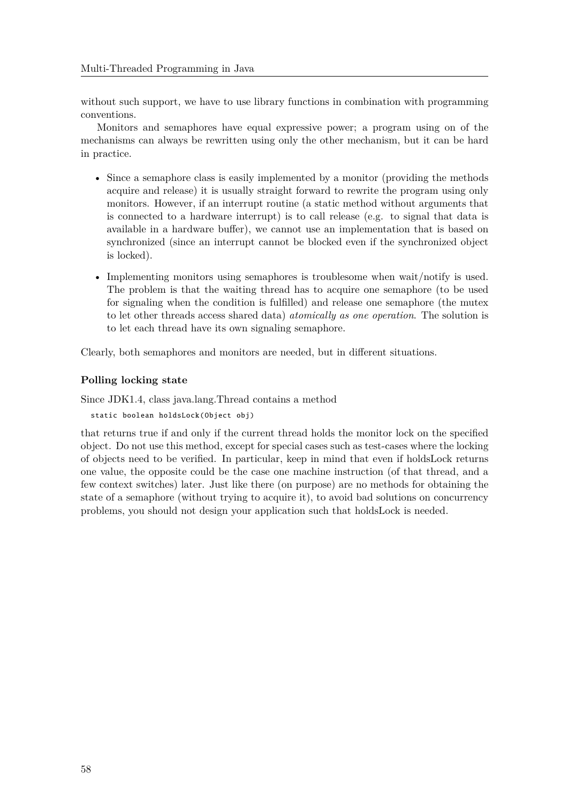without such support, we have to use library functions in combination with programming conventions.

Monitors and semaphores have equal expressive power; a program using on of the mechanisms can always be rewritten using only the other mechanism, but it can be hard in practice.

- Since a semaphore class is easily implemented by a monitor (providing the methods acquire and release) it is usually straight forward to rewrite the program using only monitors. However, if an interrupt routine (a static method without arguments that is connected to a hardware interrupt) is to call release (e.g. to signal that data is available in a hardware buffer), we cannot use an implementation that is based on synchronized (since an interrupt cannot be blocked even if the synchronized object is locked).
- Implementing monitors using semaphores is troublesome when wait/notify is used. The problem is that the waiting thread has to acquire one semaphore (to be used for signaling when the condition is fulfilled) and release one semaphore (the mutex to let other threads access shared data) *atomically as one operation*. The solution is to let each thread have its own signaling semaphore.

Clearly, both semaphores and monitors are needed, but in different situations.

# **Polling locking state**

Since JDK1.4, class java.lang.Thread contains a method

static boolean holdsLock (Object obj)

that returns true if and only if the current thread holds the monitor lock on the specified object. Do not use this method, except for special cases such as test-cases where the locking of objects need to be verified. In particular, keep in mind that even if holdsLock returns one value, the opposite could be the case one machine instruction (of that thread, and a few context switches) later. Just like there (on purpose) are no methods for obtaining the state of a semaphore (without trying to acquire it), to avoid bad solutions on concurrency problems, you should not design your application such that holdsLock is needed.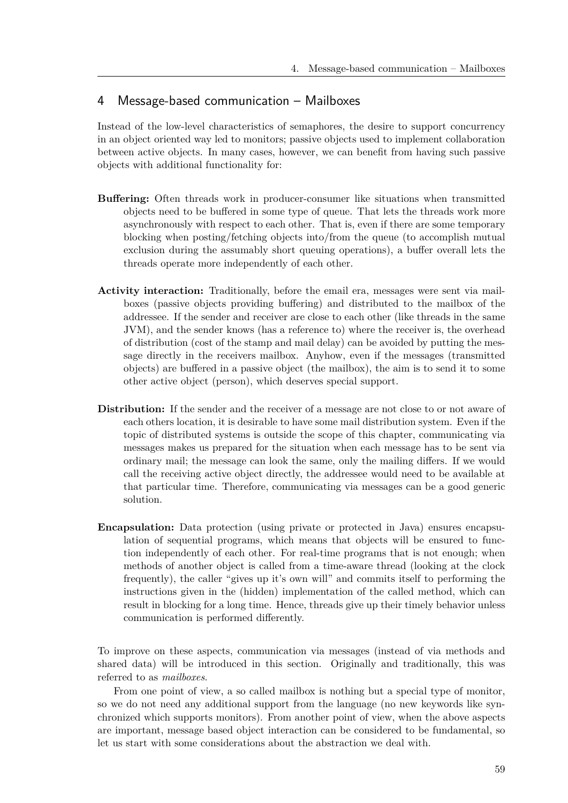# 4 Message-based communication – Mailboxes

Instead of the low-level characteristics of semaphores, the desire to support concurrency in an object oriented way led to monitors; passive objects used to implement collaboration between active objects. In many cases, however, we can benefit from having such passive objects with additional functionality for:

- **Buffering:** Often threads work in producer-consumer like situations when transmitted objects need to be buffered in some type of queue. That lets the threads work more asynchronously with respect to each other. That is, even if there are some temporary blocking when posting/fetching objects into/from the queue (to accomplish mutual exclusion during the assumably short queuing operations), a buffer overall lets the threads operate more independently of each other.
- **Activity interaction:** Traditionally, before the email era, messages were sent via mailboxes (passive objects providing buffering) and distributed to the mailbox of the addressee. If the sender and receiver are close to each other (like threads in the same JVM), and the sender knows (has a reference to) where the receiver is, the overhead of distribution (cost of the stamp and mail delay) can be avoided by putting the message directly in the receivers mailbox. Anyhow, even if the messages (transmitted objects) are buffered in a passive object (the mailbox), the aim is to send it to some other active object (person), which deserves special support.
- **Distribution:** If the sender and the receiver of a message are not close to or not aware of each others location, it is desirable to have some mail distribution system. Even if the topic of distributed systems is outside the scope of this chapter, communicating via messages makes us prepared for the situation when each message has to be sent via ordinary mail; the message can look the same, only the mailing differs. If we would call the receiving active object directly, the addressee would need to be available at that particular time. Therefore, communicating via messages can be a good generic solution.
- **Encapsulation:** Data protection (using private or protected in Java) ensures encapsulation of sequential programs, which means that objects will be ensured to function independently of each other. For real-time programs that is not enough; when methods of another object is called from a time-aware thread (looking at the clock frequently), the caller "gives up it's own will" and commits itself to performing the instructions given in the (hidden) implementation of the called method, which can result in blocking for a long time. Hence, threads give up their timely behavior unless communication is performed differently.

To improve on these aspects, communication via messages (instead of via methods and shared data) will be introduced in this section. Originally and traditionally, this was referred to as *mailboxes*.

From one point of view, a so called mailbox is nothing but a special type of monitor, so we do not need any additional support from the language (no new keywords like synchronized which supports monitors). From another point of view, when the above aspects are important, message based object interaction can be considered to be fundamental, so let us start with some considerations about the abstraction we deal with.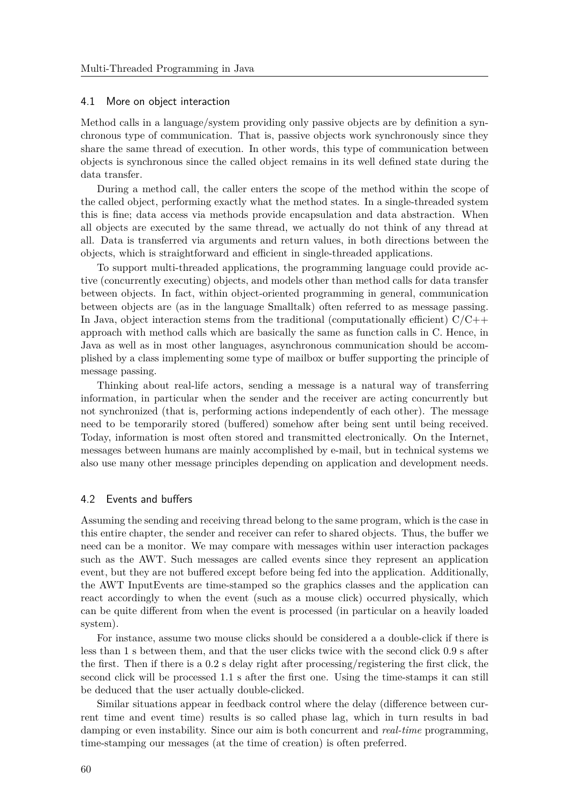#### 4.1 More on object interaction

Method calls in a language/system providing only passive objects are by definition a synchronous type of communication. That is, passive objects work synchronously since they share the same thread of execution. In other words, this type of communication between objects is synchronous since the called object remains in its well defined state during the data transfer.

During a method call, the caller enters the scope of the method within the scope of the called object, performing exactly what the method states. In a single-threaded system this is fine; data access via methods provide encapsulation and data abstraction. When all objects are executed by the same thread, we actually do not think of any thread at all. Data is transferred via arguments and return values, in both directions between the objects, which is straightforward and efficient in single-threaded applications.

To support multi-threaded applications, the programming language could provide active (concurrently executing) objects, and models other than method calls for data transfer between objects. In fact, within object-oriented programming in general, communication between objects are (as in the language Smalltalk) often referred to as message passing. In Java, object interaction stems from the traditional (computationally efficient)  $C/C++$ approach with method calls which are basically the same as function calls in C. Hence, in Java as well as in most other languages, asynchronous communication should be accomplished by a class implementing some type of mailbox or buffer supporting the principle of message passing.

Thinking about real-life actors, sending a message is a natural way of transferring information, in particular when the sender and the receiver are acting concurrently but not synchronized (that is, performing actions independently of each other). The message need to be temporarily stored (buffered) somehow after being sent until being received. Today, information is most often stored and transmitted electronically. On the Internet, messages between humans are mainly accomplished by e-mail, but in technical systems we also use many other message principles depending on application and development needs.

# 4.2 Events and buffers

Assuming the sending and receiving thread belong to the same program, which is the case in this entire chapter, the sender and receiver can refer to shared objects. Thus, the buffer we need can be a monitor. We may compare with messages within user interaction packages such as the AWT. Such messages are called events since they represent an application event, but they are not buffered except before being fed into the application. Additionally, the AWT InputEvents are time-stamped so the graphics classes and the application can react accordingly to when the event (such as a mouse click) occurred physically, which can be quite different from when the event is processed (in particular on a heavily loaded system).

For instance, assume two mouse clicks should be considered a a double-click if there is less than 1 s between them, and that the user clicks twice with the second click 0.9 s after the first. Then if there is a 0.2 s delay right after processing/registering the first click, the second click will be processed 1.1 s after the first one. Using the time-stamps it can still be deduced that the user actually double-clicked.

Similar situations appear in feedback control where the delay (difference between current time and event time) results is so called phase lag, which in turn results in bad damping or even instability. Since our aim is both concurrent and *real-time* programming, time-stamping our messages (at the time of creation) is often preferred.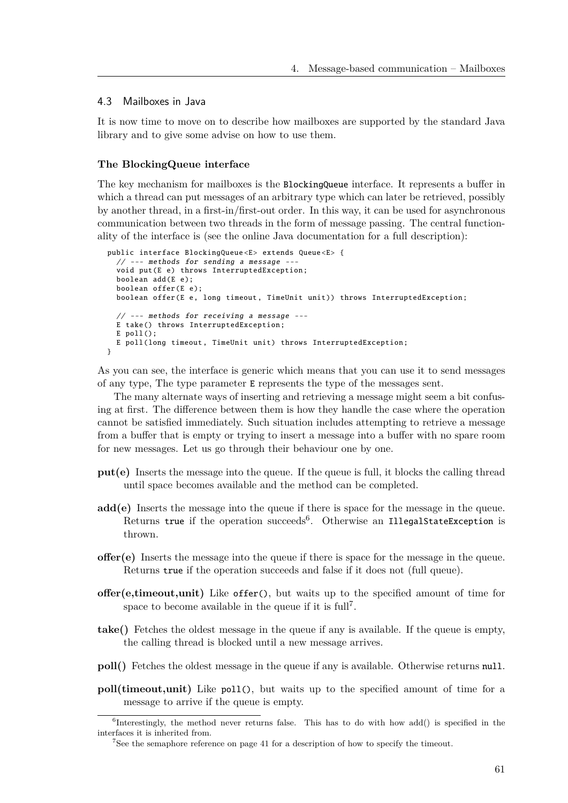#### 4.3 Mailboxes in Java

It is now time to move on to describe how mailboxes are supported by the standard Java library and to give some advise on how to use them.

#### **The BlockingQueue interface**

The key mechanism for mailboxes is the BlockingQueue interface. It represents a buffer in which a thread can put messages of an arbitrary type which can later be retrieved, possibly by another thread, in a first-in/first-out order. In this way, it can be used for asynchronous communication between two threads in the form of message passing. The central functionality of the interface is (see the online Java documentation for a full description):

```
public interface BlockingQueue <E> extends Queue <E> {
  // --- methods for sending a message ---
  void put(E e) throws InterruptedException ;
 boolean add(E e);
 boolean offer(E e);
 boolean offer(E e, long timeout, TimeUnit unit)) throws InterruptedException;
 // --- methods for receiving a message ---
 E take () throws InterruptedException ;
 E poll();
  E poll(long timeout , TimeUnit unit) throws InterruptedException ;
}
```
As you can see, the interface is generic which means that you can use it to send messages of any type, The type parameter E represents the type of the messages sent.

The many alternate ways of inserting and retrieving a message might seem a bit confusing at first. The difference between them is how they handle the case where the operation cannot be satisfied immediately. Such situation includes attempting to retrieve a message from a buffer that is empty or trying to insert a message into a buffer with no spare room for new messages. Let us go through their behaviour one by one.

- **put(e)** Inserts the message into the queue. If the queue is full, it blocks the calling thread until space becomes available and the method can be completed.
- **add(e)** Inserts the message into the queue if there is space for the message in the queue. Returns true if the operation succeeds<sup>6</sup>. Otherwise an IllegalStateException is thrown.
- **offer(e)** Inserts the message into the queue if there is space for the message in the queue. Returns true if the operation succeeds and false if it does not (full queue).
- **offer(e,timeout,unit)** Like offer(), but waits up to the specified amount of time for space to become available in the queue if it is  $\text{full}^7$ .
- **take()** Fetches the oldest message in the queue if any is available. If the queue is empty, the calling thread is blocked until a new message arrives.
- **poll()** Fetches the oldest message in the queue if any is available. Otherwise returns null.
- **poll(timeout,unit)** Like poll(), but waits up to the specified amount of time for a message to arrive if the queue is empty.

<sup>&</sup>lt;sup>6</sup>Interestingly, the method never returns false. This has to do with how add() is specified in the interfaces it is inherited from.

<sup>7</sup>See the semaphore reference on page 41 for a description of how to specify the timeout.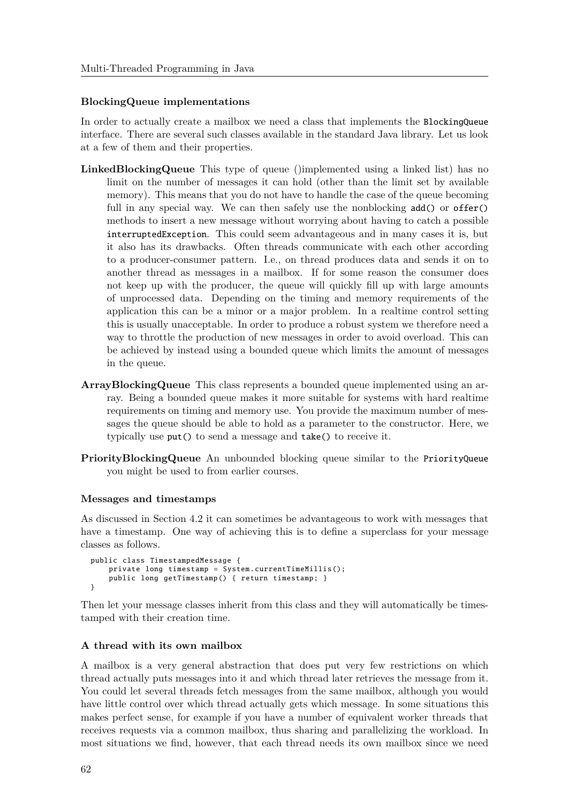### **BlockingQueue implementations**

In order to actually create a mailbox we need a class that implements the BlockingQueue interface. There are several such classes available in the standard Java library. Let us look at a few of them and their properties.

- **LinkedBlockingQueue** This type of queue ()implemented using a linked list) has no limit on the number of messages it can hold (other than the limit set by available memory). This means that you do not have to handle the case of the queue becoming full in any special way. We can then safely use the nonblocking add() or offer() methods to insert a new message without worrying about having to catch a possible interruptedException. This could seem advantageous and in many cases it is, but it also has its drawbacks. Often threads communicate with each other according to a producer-consumer pattern. I.e., on thread produces data and sends it on to another thread as messages in a mailbox. If for some reason the consumer does not keep up with the producer, the queue will quickly fill up with large amounts of unprocessed data. Depending on the timing and memory requirements of the application this can be a minor or a major problem. In a realtime control setting this is usually unacceptable. In order to produce a robust system we therefore need a way to throttle the production of new messages in order to avoid overload. This can be achieved by instead using a bounded queue which limits the amount of messages in the queue.
- **ArrayBlockingQueue** This class represents a bounded queue implemented using an array. Being a bounded queue makes it more suitable for systems with hard realtime requirements on timing and memory use. You provide the maximum number of messages the queue should be able to hold as a parameter to the constructor. Here, we typically use put() to send a message and take() to receive it.
- **PriorityBlockingQueue** An unbounded blocking queue similar to the PriorityQueue you might be used to from earlier courses.

#### **Messages and timestamps**

As discussed in Section 4.2 it can sometimes be advantageous to work with messages that have a timestamp. One way of achieving this is to define a superclass for your message classes as follows.

```
public class TimestampedMessage {
    private long timestamp = System. currentTimeMillis ();
    public long getTimestamp() { return timestamp; }
}
```
Then let your message classes inherit from this class and they will automatically be timestamped with their creation time.

#### **A thread with its own mailbox**

A mailbox is a very general abstraction that does put very few restrictions on which thread actually puts messages into it and which thread later retrieves the message from it. You could let several threads fetch messages from the same mailbox, although you would have little control over which thread actually gets which message. In some situations this makes perfect sense, for example if you have a number of equivalent worker threads that receives requests via a common mailbox, thus sharing and parallelizing the workload. In most situations we find, however, that each thread needs its own mailbox since we need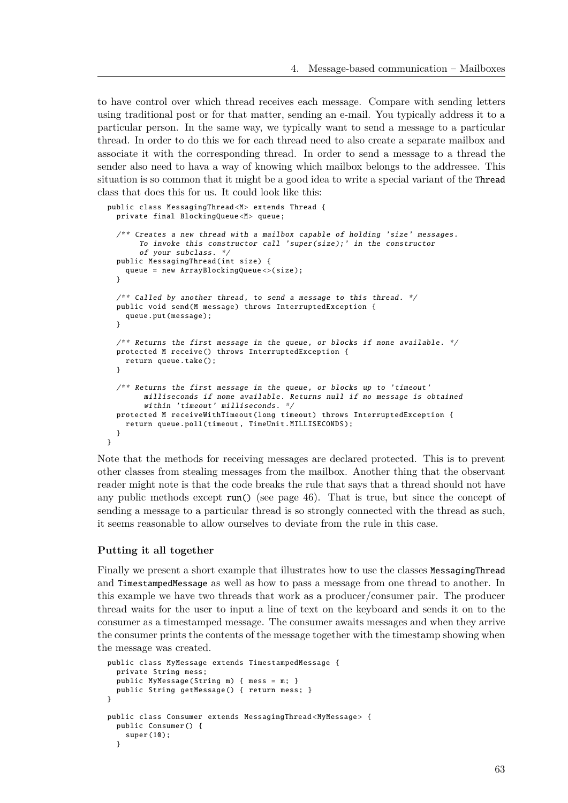to have control over which thread receives each message. Compare with sending letters using traditional post or for that matter, sending an e-mail. You typically address it to a particular person. In the same way, we typically want to send a message to a particular thread. In order to do this we for each thread need to also create a separate mailbox and associate it with the corresponding thread. In order to send a message to a thread the sender also need to hava a way of knowing which mailbox belongs to the addressee. This situation is so common that it might be a good idea to write a special variant of the Thread class that does this for us. It could look like this:

```
public class MessagingThread <M> extends Thread {
 private final BlockingQueue <M> queue;
  /** Creates a new thread with a mailbox capable of holding 'size ' messages.
       To invoke this constructor call 'super(size);' in the constructor
       of your subclass . */
 public MessagingThread (int size) {
    queue = new ArrayBlockingQueue <>( size );
 }
  /* Called by another thread, to send a message to this thread. */public void send(M message) throws InterruptedException {
    queue.put(message );
  }
  /** Returns the first message in the queue, or blocks if none available. */
 protected M receive () throws InterruptedException {
    return queue.take ();
  }
  \gamma^{**} Returns the first message in the queue, or blocks up to 'timeout'
        milliseconds if none available . Returns null if no message is obtained
        within 'timeout' milliseconds. */
 protected M receiveWithTimeout (long timeout) throws InterruptedException {
   return queue.poll(timeout , TimeUnit. MILLISECONDS );
  }
}
```
Note that the methods for receiving messages are declared protected. This is to prevent other classes from stealing messages from the mailbox. Another thing that the observant reader might note is that the code breaks the rule that says that a thread should not have any public methods except run() (see page 46). That is true, but since the concept of sending a message to a particular thread is so strongly connected with the thread as such, it seems reasonable to allow ourselves to deviate from the rule in this case.

#### **Putting it all together**

Finally we present a short example that illustrates how to use the classes MessagingThread and TimestampedMessage as well as how to pass a message from one thread to another. In this example we have two threads that work as a producer/consumer pair. The producer thread waits for the user to input a line of text on the keyboard and sends it on to the consumer as a timestamped message. The consumer awaits messages and when they arrive the consumer prints the contents of the message together with the timestamp showing when the message was created.

```
public class MyMessage extends TimestampedMessage {
 private String mess;
 public MyMessage (String m) { mess = m; }
 public String getMessage () { return mess; }
}
public class Consumer extends MessagingThread <MyMessage > {
 public Consumer () {
    super (10);
  }
```